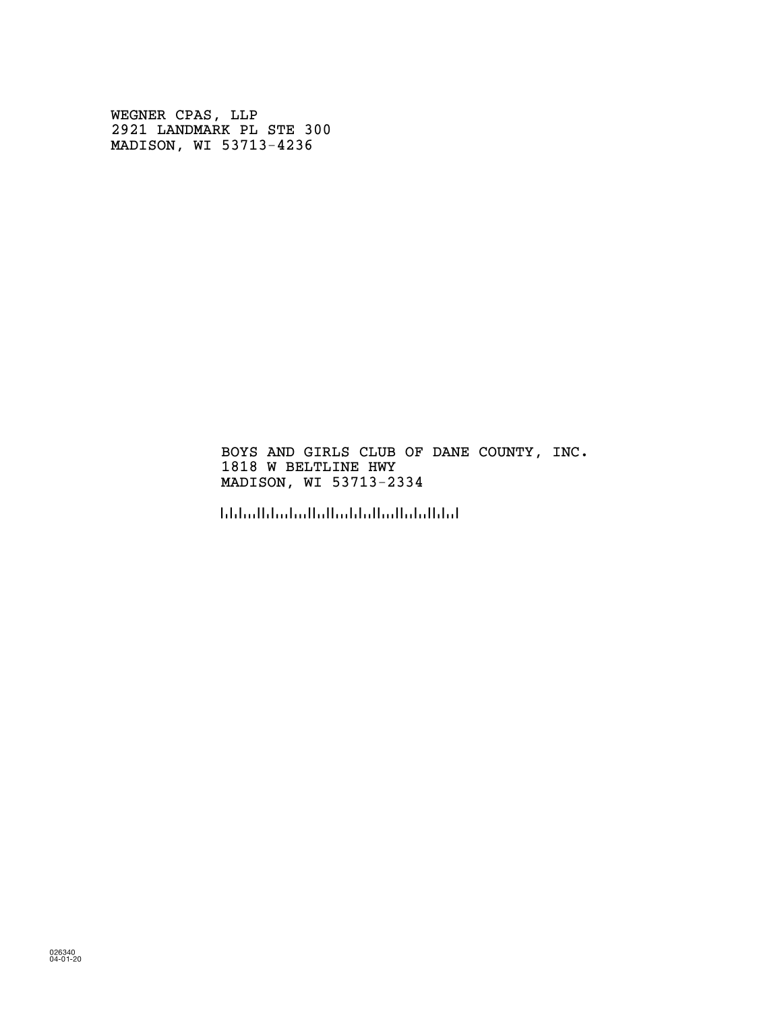WEGNER CPAS, LLP 2921 LANDMARK PL STE 300 MADISON, WI 53713-4236

## BOYS AND GIRLS CLUB OF DANE COUNTY, INC. 1818 W BELTLINE HWY MADISON, WI 53713-2334

!5371323349!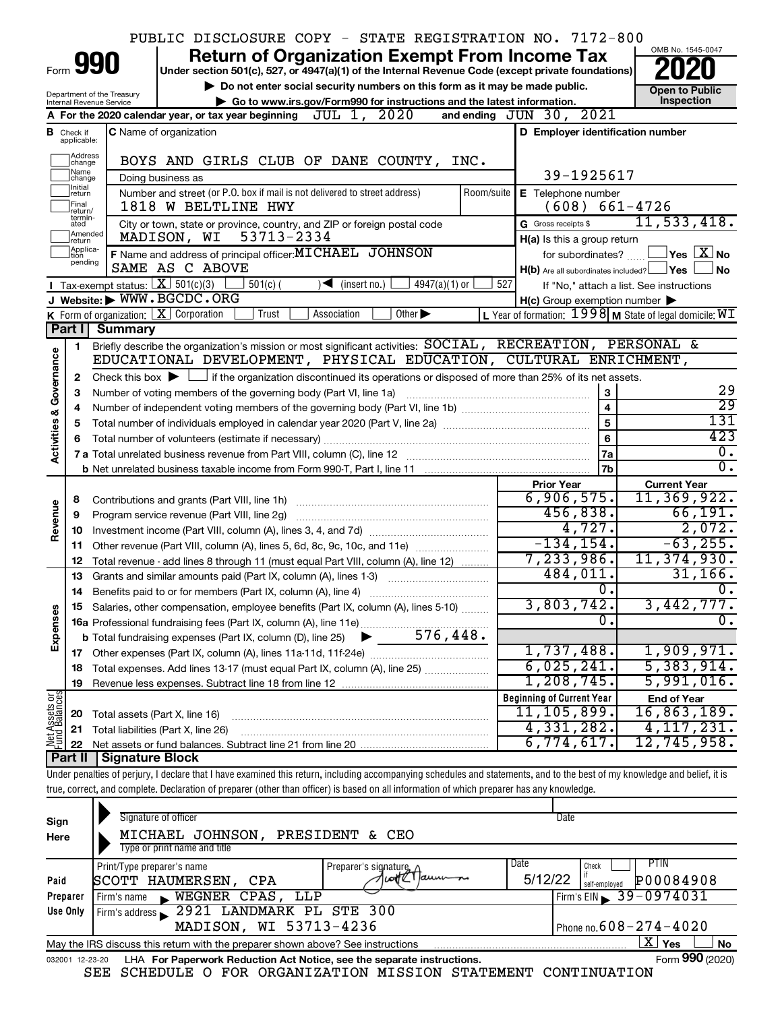|                                |                               |                                                        | PUBLIC DISCLOSURE COPY - STATE REGISTRATION NO. 7172-800                                                                                                                   |                                                         |                                                                  |
|--------------------------------|-------------------------------|--------------------------------------------------------|----------------------------------------------------------------------------------------------------------------------------------------------------------------------------|---------------------------------------------------------|------------------------------------------------------------------|
|                                |                               |                                                        | <b>Return of Organization Exempt From Income Tax</b>                                                                                                                       |                                                         | OMB No. 1545-0047                                                |
|                                |                               | 990                                                    | Under section 501(c), 527, or 4947(a)(1) of the Internal Revenue Code (except private foundations)                                                                         |                                                         |                                                                  |
|                                |                               |                                                        | Do not enter social security numbers on this form as it may be made public.                                                                                                |                                                         | <b>Open to Public</b>                                            |
|                                |                               | Department of the Treasury<br>Internal Revenue Service | Go to www.irs.gov/Form990 for instructions and the latest information.                                                                                                     |                                                         | Inspection                                                       |
|                                |                               |                                                        | JUL 1, 2020<br>A For the 2020 calendar year, or tax year beginning                                                                                                         | and ending JUN 30, 2021                                 |                                                                  |
|                                | <b>B</b> Check if applicable: |                                                        | C Name of organization                                                                                                                                                     | D Employer identification number                        |                                                                  |
|                                |                               |                                                        |                                                                                                                                                                            |                                                         |                                                                  |
|                                | Address<br>change<br>Name     |                                                        | BOYS AND GIRLS CLUB OF DANE COUNTY, INC.                                                                                                                                   |                                                         |                                                                  |
|                                | change<br>Initial             |                                                        | Doing business as                                                                                                                                                          | 39-1925617                                              |                                                                  |
|                                | return<br>Final               |                                                        | Number and street (or P.O. box if mail is not delivered to street address)<br>Room/suite<br>1818 W BELTLINE HWY                                                            | E Telephone number<br>$(608) 661 - 4726$                |                                                                  |
|                                | return/<br>termin-<br>ated    |                                                        | City or town, state or province, country, and ZIP or foreign postal code                                                                                                   | G Gross receipts \$                                     | 11, 533, 418.                                                    |
|                                | Amended<br>Ireturn            |                                                        | 53713-2334<br>MADISON, WI                                                                                                                                                  | H(a) Is this a group return                             |                                                                  |
|                                | Applica-<br>Ition             |                                                        | F Name and address of principal officer: MICHAEL JOHNSON                                                                                                                   | for subordinates?                                       | $ {\mathsf Y}{\mathsf e}{\mathsf s} \ \overline{{\mathsf X}}$ No |
|                                | pending                       |                                                        | SAME AS C ABOVE                                                                                                                                                            | $H(b)$ Are all subordinates included? $\Box$ Yes        | ⊿ No                                                             |
|                                |                               | Tax-exempt status: $X \overline{3}$ 501(c)(3)          | $4947(a)(1)$ or<br>$501(c)$ (<br>$\sqrt{\frac{1}{1}}$ (insert no.)                                                                                                         | 527                                                     | If "No," attach a list. See instructions                         |
|                                |                               |                                                        | J Website: WWW.BGCDC.ORG                                                                                                                                                   | $H(c)$ Group exemption number $\blacktriangleright$     |                                                                  |
|                                |                               |                                                        | K Form of organization: $\boxed{\mathbf{X}}$ Corporation<br>Trust<br>Association<br>Other $\blacktriangleright$                                                            | L Year of formation: 1998 M State of legal domicile: WI |                                                                  |
|                                | Part I                        | <b>Summary</b>                                         |                                                                                                                                                                            |                                                         |                                                                  |
|                                | 1                             |                                                        | Briefly describe the organization's mission or most significant activities: SOCIAL, RECREATION, PERSONAL &                                                                 |                                                         |                                                                  |
| Activities & Governance        |                               |                                                        | EDUCATIONAL DEVELOPMENT, PHYSICAL EDUCATION, CULTURAL ENRICHMENT,                                                                                                          |                                                         |                                                                  |
|                                | 2                             |                                                        | Check this box $\blacktriangleright$ $\Box$ if the organization discontinued its operations or disposed of more than 25% of its net assets.                                |                                                         |                                                                  |
|                                | З                             |                                                        | Number of voting members of the governing body (Part VI, line 1a)                                                                                                          | 3                                                       | 29                                                               |
|                                |                               |                                                        |                                                                                                                                                                            | $\overline{4}$                                          | $\overline{29}$                                                  |
|                                | 5                             |                                                        | Total number of individuals employed in calendar year 2020 (Part V, line 2a) manufacture controller to intervent                                                           | 5                                                       | 131                                                              |
|                                |                               |                                                        |                                                                                                                                                                            | 6                                                       | 423<br>$\overline{0}$ .                                          |
|                                |                               |                                                        |                                                                                                                                                                            | 7a                                                      | $\overline{0}$ .                                                 |
|                                |                               |                                                        |                                                                                                                                                                            | 7b<br><b>Prior Year</b>                                 | <b>Current Year</b>                                              |
|                                | 8                             |                                                        |                                                                                                                                                                            | 6,906,575.                                              | 11, 369, 922.                                                    |
| Revenue                        | 9                             |                                                        | Program service revenue (Part VIII, line 2g)                                                                                                                               | 456,838.                                                | 66,191.                                                          |
|                                | 10                            |                                                        |                                                                                                                                                                            | 4,727.                                                  | 2,072.                                                           |
|                                | 11                            |                                                        | Other revenue (Part VIII, column (A), lines 5, 6d, 8c, 9c, 10c, and 11e)                                                                                                   | $-134, 154.$                                            | $-63, 255.$                                                      |
|                                | 12                            |                                                        | Total revenue - add lines 8 through 11 (must equal Part VIII, column (A), line 12)                                                                                         | 7,233,986.                                              | 11, 374, 930.                                                    |
|                                | 13                            |                                                        | Grants and similar amounts paid (Part IX, column (A), lines 1-3) <i>manoronononononon</i>                                                                                  | 484,011.                                                | 31, 166.                                                         |
|                                |                               |                                                        | 14 Benefits paid to or for members (Part IX, column (A), line 4)                                                                                                           | 0.                                                      | 0.                                                               |
|                                |                               |                                                        | Salaries, other compensation, employee benefits (Part IX, column (A), lines 5-10)                                                                                          | 3,803,742.                                              | 3,442,777.                                                       |
| Expenses                       |                               |                                                        |                                                                                                                                                                            | $\mathbf 0$ .                                           | 0.                                                               |
|                                |                               |                                                        |                                                                                                                                                                            |                                                         |                                                                  |
|                                |                               |                                                        |                                                                                                                                                                            | 1,737,488.                                              | 1,909,971.                                                       |
|                                | 18                            |                                                        | Total expenses. Add lines 13-17 (must equal Part IX, column (A), line 25)                                                                                                  | 6,025,241.                                              | 5,383,914.                                                       |
|                                | 19                            |                                                        |                                                                                                                                                                            | 1,208,745.                                              | 5,991,016.                                                       |
| Net Assets or<br>Fund Balances |                               |                                                        |                                                                                                                                                                            | <b>Beginning of Current Year</b>                        | <b>End of Year</b>                                               |
|                                | 20                            | Total assets (Part X, line 16)                         |                                                                                                                                                                            | 11,105,899.                                             | 16,863,189.                                                      |
|                                | 21                            |                                                        | Total liabilities (Part X, line 26)                                                                                                                                        | 4,331,282.                                              | 4,117,231.                                                       |
|                                | 22                            |                                                        |                                                                                                                                                                            | 6,774,617.                                              | 12,745,958.                                                      |
|                                | Part II                       | Signature Block                                        | Under penalties of perjury, I declare that I have examined this return, including accompanying schedules and statements, and to the best of my knowledge and belief, it is |                                                         |                                                                  |
|                                |                               |                                                        | true, correct, and complete. Declaration of preparer (other than officer) is based on all information of which preparer has any knowledge.                                 |                                                         |                                                                  |
|                                |                               |                                                        |                                                                                                                                                                            |                                                         |                                                                  |

| Sign<br>Here    | Signature of officer<br>PRESIDENT<br>JOHNSON,<br>MICHAEL<br>CEO<br>&<br>Type or print name and title | Date<br>Date<br><b>PTIN</b><br>Check<br>Preparer's signature, $\wedge$<br>1 cotte I aunum<br>5/12/22<br>P00084908<br><b>CPA</b><br>self-employed<br>Firm's EIN 39-0974031<br>WEGNER CPAS,<br>LLP<br>2921 LANDMARK PL STE 300<br>MADISON, WI 53713-4236<br>  Phone no. $608 - 274 - 4020$<br>$\mathbf{X}$ Yes<br>No<br>Form 990 (2020) |
|-----------------|------------------------------------------------------------------------------------------------------|---------------------------------------------------------------------------------------------------------------------------------------------------------------------------------------------------------------------------------------------------------------------------------------------------------------------------------------|
| Paid            | Print/Type preparer's name<br>SCOTT HAUMERSEN,                                                       |                                                                                                                                                                                                                                                                                                                                       |
| Preparer        | Firm's name<br>$\mathbf{r}$                                                                          |                                                                                                                                                                                                                                                                                                                                       |
| Use Only        | Firm's address                                                                                       |                                                                                                                                                                                                                                                                                                                                       |
|                 |                                                                                                      |                                                                                                                                                                                                                                                                                                                                       |
|                 | May the IRS discuss this return with the preparer shown above? See instructions                      |                                                                                                                                                                                                                                                                                                                                       |
| 032001 12-23-20 | LHA For Paperwork Reduction Act Notice, see the separate instructions.                               |                                                                                                                                                                                                                                                                                                                                       |

SEE SCHEDULE O FOR ORGANIZATION MISSION STATEMENT CONTINUATION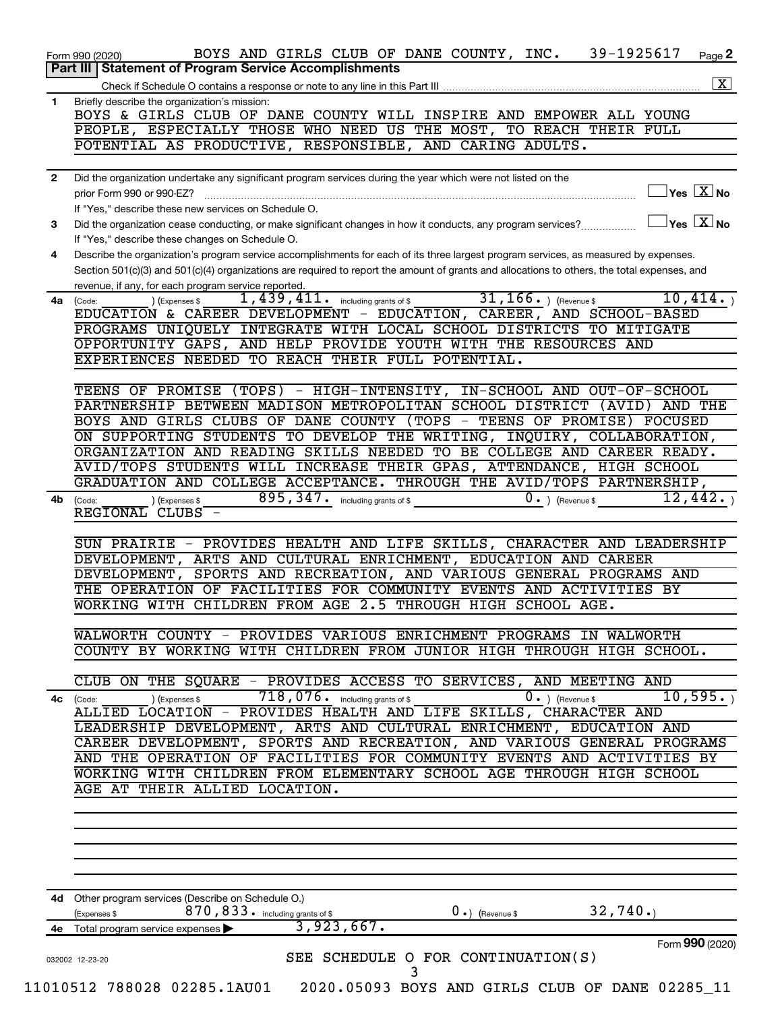|              | Part III   Statement of Program Service Accomplishments<br>$\boxed{\text{X}}$                                                                                                           |
|--------------|-----------------------------------------------------------------------------------------------------------------------------------------------------------------------------------------|
|              |                                                                                                                                                                                         |
| 1            | Briefly describe the organization's mission:<br>BOYS & GIRLS CLUB OF DANE COUNTY WILL INSPIRE AND EMPOWER ALL YOUNG                                                                     |
|              | PEOPLE, ESPECIALLY THOSE WHO NEED US THE MOST, TO REACH THEIR FULL                                                                                                                      |
|              | POTENTIAL AS PRODUCTIVE, RESPONSIBLE, AND CARING ADULTS.                                                                                                                                |
|              |                                                                                                                                                                                         |
| $\mathbf{2}$ | Did the organization undertake any significant program services during the year which were not listed on the                                                                            |
|              | $\overline{\ }$ Yes $\overline{\ \ \ }$ No<br>prior Form 990 or 990-EZ?                                                                                                                 |
|              | If "Yes," describe these new services on Schedule O.<br>$\sqrt{}$ Yes $\sqrt{}\,$ X $\sqrt{}\,$ No                                                                                      |
| 3            | Did the organization cease conducting, or make significant changes in how it conducts, any program services?                                                                            |
| 4            | If "Yes," describe these changes on Schedule O.<br>Describe the organization's program service accomplishments for each of its three largest program services, as measured by expenses. |
|              | Section 501(c)(3) and 501(c)(4) organizations are required to report the amount of grants and allocations to others, the total expenses, and                                            |
|              | revenue, if any, for each program service reported.                                                                                                                                     |
| 4a           | $31, 166.$ (Revenue \$)<br>1,439,411.<br>10,414.<br>including grants of \$<br>) (Expenses \$<br>(Code:                                                                                  |
|              | EDUCATION & CAREER DEVELOPMENT - EDUCATION, CAREER, AND SCHOOL-BASED                                                                                                                    |
|              | PROGRAMS UNIQUELY INTEGRATE WITH LOCAL SCHOOL DISTRICTS TO MITIGATE                                                                                                                     |
|              | OPPORTUNITY GAPS, AND HELP PROVIDE YOUTH WITH THE RESOURCES AND                                                                                                                         |
|              | EXPERIENCES NEEDED TO REACH THEIR FULL POTENTIAL.                                                                                                                                       |
|              | TEENS OF PROMISE (TOPS) - HIGH-INTENSITY, IN-SCHOOL AND OUT-OF-SCHOOL                                                                                                                   |
|              | PARTNERSHIP BETWEEN MADISON METROPOLITAN SCHOOL DISTRICT (AVID)<br>AND THE                                                                                                              |
|              | BOYS AND GIRLS CLUBS OF DANE COUNTY (TOPS - TEENS OF PROMISE) FOCUSED                                                                                                                   |
|              | ON SUPPORTING STUDENTS TO DEVELOP THE WRITING, INQUIRY, COLLABORATION,                                                                                                                  |
|              | ORGANIZATION AND READING SKILLS NEEDED TO BE COLLEGE AND CAREER READY.                                                                                                                  |
|              | AVID/TOPS STUDENTS WILL INCREASE THEIR GPAS, ATTENDANCE, HIGH SCHOOL                                                                                                                    |
|              | GRADUATION AND COLLEGE ACCEPTANCE. THROUGH THE AVID/TOPS PARTNERSHIP,                                                                                                                   |
| 4b           | 895, 347. including grants of \$<br>12,442.<br>$0 \cdot$ ) (Revenue \$<br>) (Expenses \$<br>(Code:                                                                                      |
|              | REGIONAL CLUBS -                                                                                                                                                                        |
|              | SUN PRAIRIE - PROVIDES HEALTH AND LIFE SKILLS, CHARACTER AND LEADERSHIP                                                                                                                 |
|              | ARTS AND CULTURAL ENRICHMENT, EDUCATION AND CAREER<br>DEVELOPMENT,                                                                                                                      |
|              | SPORTS AND RECREATION, AND VARIOUS GENERAL PROGRAMS AND<br>DEVELOPMENT,                                                                                                                 |
|              | THE OPERATION OF FACILITIES FOR COMMUNITY EVENTS AND ACTIVITIES BY                                                                                                                      |
|              | WORKING WITH CHILDREN FROM AGE 2.5 THROUGH HIGH SCHOOL AGE.                                                                                                                             |
|              |                                                                                                                                                                                         |
|              | WALWORTH COUNTY - PROVIDES VARIOUS ENRICHMENT PROGRAMS IN WALWORTH                                                                                                                      |
|              | COUNTY BY WORKING WITH CHILDREN FROM JUNIOR HIGH THROUGH HIGH SCHOOL.                                                                                                                   |
|              | CLUB ON THE SQUARE - PROVIDES ACCESS TO SERVICES, AND MEETING AND                                                                                                                       |
|              | 718,076. including grants of \$<br>10,595.<br>(Expenses \$<br>$\overline{0}$ . ) (Revenue \$<br>4c (Code:                                                                               |
|              | ALLIED LOCATION - PROVIDES HEALTH AND LIFE SKILLS, CHARACTER AND                                                                                                                        |
|              | LEADERSHIP DEVELOPMENT, ARTS AND CULTURAL ENRICHMENT, EDUCATION AND                                                                                                                     |
|              | CAREER DEVELOPMENT, SPORTS AND RECREATION, AND VARIOUS GENERAL PROGRAMS                                                                                                                 |
|              | AND THE OPERATION OF FACILITIES FOR COMMUNITY EVENTS AND ACTIVITIES BY                                                                                                                  |
|              | WORKING WITH CHILDREN FROM ELEMENTARY SCHOOL AGE THROUGH HIGH SCHOOL                                                                                                                    |
|              | AGE AT THEIR ALLIED LOCATION.                                                                                                                                                           |
|              |                                                                                                                                                                                         |
|              |                                                                                                                                                                                         |
|              |                                                                                                                                                                                         |
|              |                                                                                                                                                                                         |
|              |                                                                                                                                                                                         |
|              | 4d Other program services (Describe on Schedule O.)<br>870, 833. including grants of \$<br>32,740.<br>$0 \cdot$ ) (Revenue \$<br>(Expenses \$                                           |
|              |                                                                                                                                                                                         |
|              |                                                                                                                                                                                         |
|              | 3,923,667.<br>4e Total program service expenses ><br>Form 990 (2020)<br>SEE SCHEDULE O FOR CONTINUATION(S)                                                                              |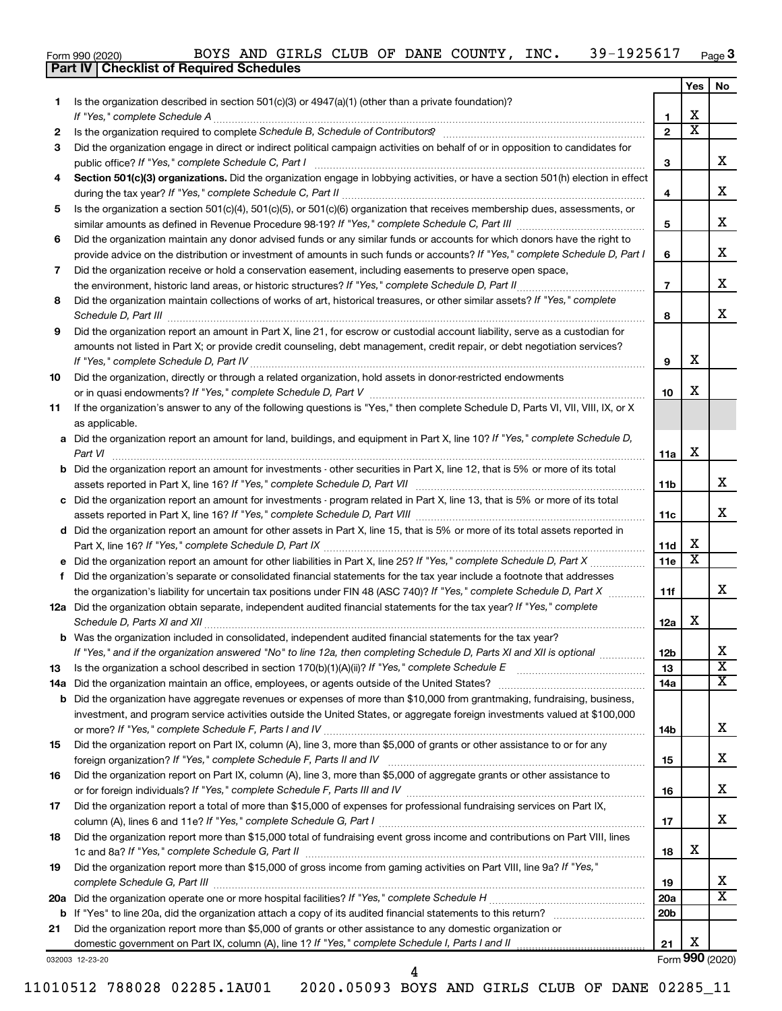|  | Form 990 (2020) |
|--|-----------------|

|     |                                                                                                                                                                                                                                 |                 | Yes                     | No                      |
|-----|---------------------------------------------------------------------------------------------------------------------------------------------------------------------------------------------------------------------------------|-----------------|-------------------------|-------------------------|
| 1.  | Is the organization described in section $501(c)(3)$ or $4947(a)(1)$ (other than a private foundation)?                                                                                                                         |                 |                         |                         |
|     | If "Yes," complete Schedule A                                                                                                                                                                                                   | 1               | x                       |                         |
| 2   |                                                                                                                                                                                                                                 | $\mathbf{2}$    | $\overline{\textbf{x}}$ |                         |
| 3   | Did the organization engage in direct or indirect political campaign activities on behalf of or in opposition to candidates for                                                                                                 |                 |                         |                         |
|     | public office? If "Yes," complete Schedule C, Part I                                                                                                                                                                            | 3               |                         | X.                      |
| 4   | Section 501(c)(3) organizations. Did the organization engage in lobbying activities, or have a section 501(h) election in effect                                                                                                | 4               |                         | x                       |
| 5   | Is the organization a section 501(c)(4), 501(c)(5), or 501(c)(6) organization that receives membership dues, assessments, or                                                                                                    |                 |                         |                         |
|     |                                                                                                                                                                                                                                 | 5               |                         | x                       |
| 6   | Did the organization maintain any donor advised funds or any similar funds or accounts for which donors have the right to                                                                                                       |                 |                         |                         |
|     | provide advice on the distribution or investment of amounts in such funds or accounts? If "Yes," complete Schedule D, Part I                                                                                                    | 6               |                         | x                       |
| 7   | Did the organization receive or hold a conservation easement, including easements to preserve open space,                                                                                                                       |                 |                         |                         |
|     |                                                                                                                                                                                                                                 | $\overline{7}$  |                         | x                       |
| 8   | Did the organization maintain collections of works of art, historical treasures, or other similar assets? If "Yes," complete<br>Schedule D, Part III <b>www.community.community.community.community.community.community.com</b> | 8               |                         | X.                      |
| 9   | Did the organization report an amount in Part X, line 21, for escrow or custodial account liability, serve as a custodian for                                                                                                   |                 |                         |                         |
|     | amounts not listed in Part X; or provide credit counseling, debt management, credit repair, or debt negotiation services?                                                                                                       | 9               | х                       |                         |
| 10  | Did the organization, directly or through a related organization, hold assets in donor-restricted endowments                                                                                                                    |                 |                         |                         |
|     |                                                                                                                                                                                                                                 | 10              | х                       |                         |
| 11  | If the organization's answer to any of the following questions is "Yes," then complete Schedule D, Parts VI, VII, VIII, IX, or X<br>as applicable.                                                                              |                 |                         |                         |
|     | a Did the organization report an amount for land, buildings, and equipment in Part X, line 10? If "Yes," complete Schedule D,                                                                                                   |                 |                         |                         |
|     | Part VI                                                                                                                                                                                                                         | 11a             | х                       |                         |
| b   | Did the organization report an amount for investments - other securities in Part X, line 12, that is 5% or more of its total                                                                                                    |                 |                         |                         |
|     |                                                                                                                                                                                                                                 | 11b             |                         | x                       |
|     | Did the organization report an amount for investments - program related in Part X, line 13, that is 5% or more of its total                                                                                                     | 11c             |                         | X.                      |
|     | d Did the organization report an amount for other assets in Part X, line 15, that is 5% or more of its total assets reported in                                                                                                 |                 |                         |                         |
|     |                                                                                                                                                                                                                                 | 11d             | х                       |                         |
|     |                                                                                                                                                                                                                                 | 11e             | X                       |                         |
| f   | Did the organization's separate or consolidated financial statements for the tax year include a footnote that addresses                                                                                                         |                 |                         |                         |
|     | the organization's liability for uncertain tax positions under FIN 48 (ASC 740)? If "Yes," complete Schedule D, Part X                                                                                                          | 11f             |                         | x                       |
|     | 12a Did the organization obtain separate, independent audited financial statements for the tax year? If "Yes," complete                                                                                                         | 12a             | х                       |                         |
|     | <b>b</b> Was the organization included in consolidated, independent audited financial statements for the tax year?                                                                                                              |                 |                         |                         |
|     | If "Yes," and if the organization answered "No" to line 12a, then completing Schedule D, Parts XI and XII is optional                                                                                                           | 12 <sub>b</sub> |                         | x                       |
| 13  | Is the organization a school described in section 170(b)(1)(A)(ii)? If "Yes," complete Schedule E                                                                                                                               | 13              |                         | $\overline{\text{x}}$   |
| 14a | Did the organization maintain an office, employees, or agents outside of the United States?                                                                                                                                     | 14a             |                         | x                       |
| b   | Did the organization have aggregate revenues or expenses of more than \$10,000 from grantmaking, fundraising, business,                                                                                                         |                 |                         |                         |
|     | investment, and program service activities outside the United States, or aggregate foreign investments valued at \$100,000                                                                                                      |                 |                         |                         |
|     |                                                                                                                                                                                                                                 | 14b             |                         | x                       |
| 15  | Did the organization report on Part IX, column (A), line 3, more than \$5,000 of grants or other assistance to or for any                                                                                                       |                 |                         |                         |
|     |                                                                                                                                                                                                                                 | 15              |                         | х                       |
| 16  | Did the organization report on Part IX, column (A), line 3, more than \$5,000 of aggregate grants or other assistance to                                                                                                        | 16              |                         | х                       |
| 17  | Did the organization report a total of more than \$15,000 of expenses for professional fundraising services on Part IX,                                                                                                         |                 |                         |                         |
|     |                                                                                                                                                                                                                                 | 17              |                         | x                       |
| 18  | Did the organization report more than \$15,000 total of fundraising event gross income and contributions on Part VIII, lines                                                                                                    |                 |                         |                         |
|     |                                                                                                                                                                                                                                 | 18              | x                       |                         |
| 19  | Did the organization report more than \$15,000 of gross income from gaming activities on Part VIII, line 9a? If "Yes,"                                                                                                          | 19              |                         | X                       |
| 20a |                                                                                                                                                                                                                                 | 20a             |                         | $\overline{\textbf{X}}$ |
| b   |                                                                                                                                                                                                                                 | 20b             |                         |                         |
| 21  | Did the organization report more than \$5,000 of grants or other assistance to any domestic organization or                                                                                                                     |                 |                         |                         |
|     | domestic government on Part IX, column (A), line 1? If "Yes," complete Schedule I, Parts I and II                                                                                                                               | 21              | х                       |                         |
|     | 032003 12-23-20                                                                                                                                                                                                                 |                 |                         | Form 990 (2020)         |

4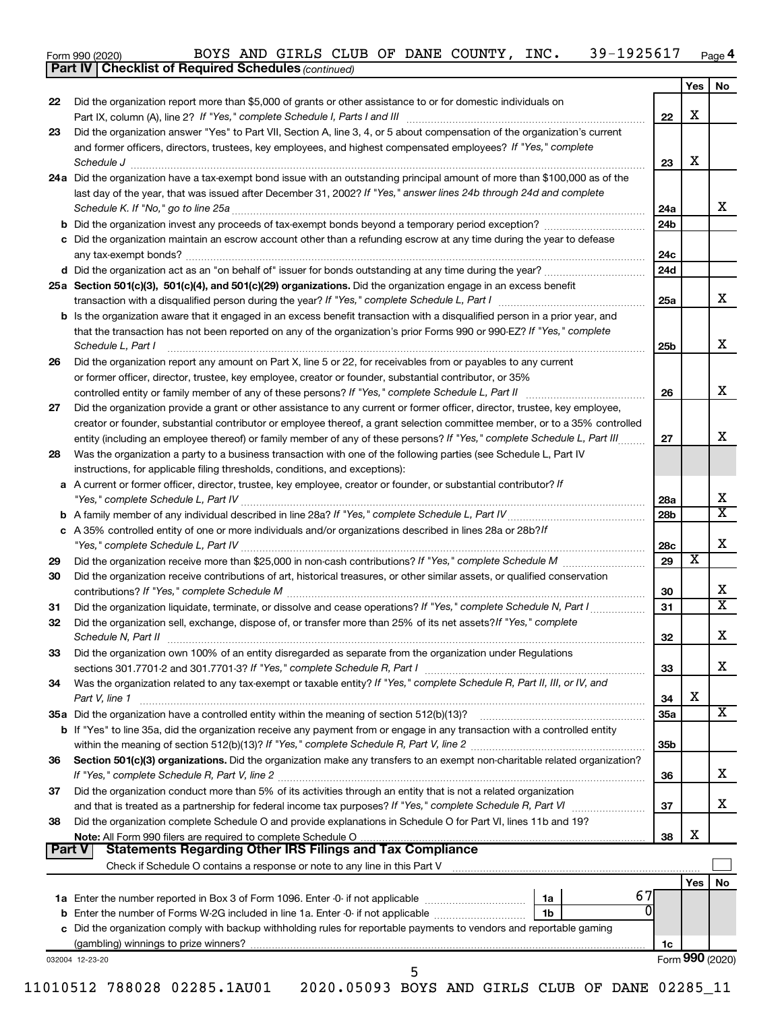| 1925617<br>INC.<br>DANE<br>AND<br>COUNTY<br>GIRLS<br>39–<br>CLUB<br>BOYS<br>OF<br>Form 990 (2020) | Page 4 |
|---------------------------------------------------------------------------------------------------|--------|
|---------------------------------------------------------------------------------------------------|--------|

*(continued)*

**Part IV Checklist of Required Schedules**

|                                             |                                                                                                                                                                                                                                                                                    |                 | Yes                     | No |
|---------------------------------------------|------------------------------------------------------------------------------------------------------------------------------------------------------------------------------------------------------------------------------------------------------------------------------------|-----------------|-------------------------|----|
| 22                                          | Did the organization report more than \$5,000 of grants or other assistance to or for domestic individuals on                                                                                                                                                                      | 22              | X                       |    |
| 23                                          | Did the organization answer "Yes" to Part VII, Section A, line 3, 4, or 5 about compensation of the organization's current                                                                                                                                                         |                 |                         |    |
|                                             | and former officers, directors, trustees, key employees, and highest compensated employees? If "Yes," complete<br>Schedule J <b>www.communications.communications.communications.com</b>                                                                                           | 23              | х                       |    |
|                                             | 24a Did the organization have a tax-exempt bond issue with an outstanding principal amount of more than \$100,000 as of the                                                                                                                                                        |                 |                         |    |
|                                             | last day of the year, that was issued after December 31, 2002? If "Yes," answer lines 24b through 24d and complete                                                                                                                                                                 | 24a             |                         |    |
|                                             |                                                                                                                                                                                                                                                                                    | 24b             |                         |    |
|                                             | c Did the organization maintain an escrow account other than a refunding escrow at any time during the year to defease                                                                                                                                                             | 24c             |                         |    |
|                                             |                                                                                                                                                                                                                                                                                    | 24d             |                         |    |
|                                             | 25a Section 501(c)(3), 501(c)(4), and 501(c)(29) organizations. Did the organization engage in an excess benefit                                                                                                                                                                   |                 |                         |    |
|                                             |                                                                                                                                                                                                                                                                                    | 25a             |                         |    |
|                                             | <b>b</b> Is the organization aware that it engaged in an excess benefit transaction with a disqualified person in a prior year, and<br>that the transaction has not been reported on any of the organization's prior Forms 990 or 990-EZ? If "Yes," complete<br>Schedule L, Part I | 25b             |                         |    |
| 26                                          | Did the organization report any amount on Part X, line 5 or 22, for receivables from or payables to any current                                                                                                                                                                    |                 |                         |    |
|                                             | or former officer, director, trustee, key employee, creator or founder, substantial contributor, or 35%                                                                                                                                                                            |                 |                         |    |
|                                             |                                                                                                                                                                                                                                                                                    | 26              |                         |    |
| 27                                          | Did the organization provide a grant or other assistance to any current or former officer, director, trustee, key employee,                                                                                                                                                        |                 |                         |    |
|                                             | creator or founder, substantial contributor or employee thereof, a grant selection committee member, or to a 35% controlled                                                                                                                                                        |                 |                         |    |
|                                             | entity (including an employee thereof) or family member of any of these persons? If "Yes," complete Schedule L, Part III.                                                                                                                                                          | 27              |                         |    |
| 28                                          | Was the organization a party to a business transaction with one of the following parties (see Schedule L, Part IV<br>instructions, for applicable filing thresholds, conditions, and exceptions):                                                                                  |                 |                         |    |
|                                             | a A current or former officer, director, trustee, key employee, creator or founder, or substantial contributor? If                                                                                                                                                                 | 28a             |                         |    |
|                                             |                                                                                                                                                                                                                                                                                    | 28b             |                         |    |
|                                             | c A 35% controlled entity of one or more individuals and/or organizations described in lines 28a or 28b?/f                                                                                                                                                                         | 28c             |                         |    |
| 29                                          |                                                                                                                                                                                                                                                                                    | 29              | $\overline{\textbf{x}}$ |    |
| 30                                          | Did the organization receive contributions of art, historical treasures, or other similar assets, or qualified conservation                                                                                                                                                        | 30              |                         |    |
| 31                                          | Did the organization liquidate, terminate, or dissolve and cease operations? If "Yes," complete Schedule N, Part I                                                                                                                                                                 | 31              |                         |    |
| 32                                          | Did the organization sell, exchange, dispose of, or transfer more than 25% of its net assets? If "Yes," complete                                                                                                                                                                   |                 |                         |    |
|                                             |                                                                                                                                                                                                                                                                                    |                 |                         |    |
|                                             |                                                                                                                                                                                                                                                                                    | 32              |                         |    |
|                                             | Did the organization own 100% of an entity disregarded as separate from the organization under Regulations                                                                                                                                                                         | 33              |                         |    |
|                                             | Was the organization related to any tax-exempt or taxable entity? If "Yes," complete Schedule R, Part II, III, or IV, and                                                                                                                                                          |                 |                         |    |
|                                             | Part V, line 1                                                                                                                                                                                                                                                                     | 34              | X                       |    |
|                                             | b If "Yes" to line 35a, did the organization receive any payment from or engage in any transaction with a controlled entity                                                                                                                                                        | 35a             |                         |    |
|                                             |                                                                                                                                                                                                                                                                                    | 35 <sub>b</sub> |                         |    |
|                                             | Section 501(c)(3) organizations. Did the organization make any transfers to an exempt non-charitable related organization?                                                                                                                                                         | 36              |                         |    |
|                                             | Did the organization conduct more than 5% of its activities through an entity that is not a related organization<br>and that is treated as a partnership for federal income tax purposes? If "Yes," complete Schedule R, Part VI                                                   | 37              |                         |    |
|                                             | Did the organization complete Schedule O and provide explanations in Schedule O for Part VI, lines 11b and 19?                                                                                                                                                                     | 38              | X                       |    |
|                                             |                                                                                                                                                                                                                                                                                    |                 |                         |    |
|                                             | Check if Schedule O contains a response or note to any line in this Part V [11] [12] manument contains a response or note to any line in this Part V [11] manument contains a response or note to any line in this Part V [12]                                                     |                 |                         |    |
| 33<br>34<br>36<br>37<br>38<br><b>Part V</b> | 67                                                                                                                                                                                                                                                                                 |                 | <b>Yes</b>              |    |
|                                             | 0                                                                                                                                                                                                                                                                                  |                 |                         |    |
|                                             |                                                                                                                                                                                                                                                                                    |                 |                         |    |
|                                             | c Did the organization comply with backup withholding rules for reportable payments to vendors and reportable gaming                                                                                                                                                               | 1c              |                         |    |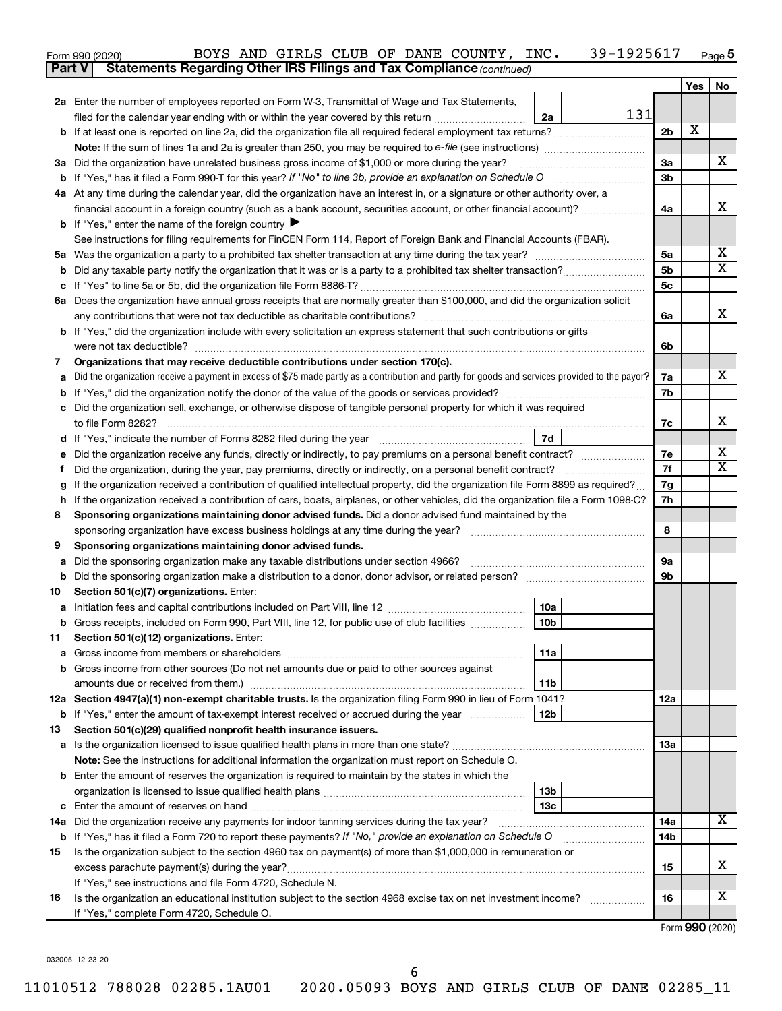| Form 990 (2020) |                                                                                     |  |  | BOYS AND GIRLS CLUB OF DANE COUNTY, INC. | 39-1925617 | Page $5$ |
|-----------------|-------------------------------------------------------------------------------------|--|--|------------------------------------------|------------|----------|
|                 | <b>Part V</b> Statements Regarding Other IRS Filings and Tax Compliance (continued) |  |  |                                          |            |          |

| <b>Part V</b> | Statements Regarding Other IRS Filings and Tax Compliance (continued)                                                                           |                |     |                              |
|---------------|-------------------------------------------------------------------------------------------------------------------------------------------------|----------------|-----|------------------------------|
|               |                                                                                                                                                 |                | Yes | No                           |
|               | 2a Enter the number of employees reported on Form W-3, Transmittal of Wage and Tax Statements,                                                  |                |     |                              |
|               | 131<br>filed for the calendar year ending with or within the year covered by this return<br>2a                                                  |                |     |                              |
|               | b If at least one is reported on line 2a, did the organization file all required federal employment tax returns?                                | 2 <sub>b</sub> | x   |                              |
|               |                                                                                                                                                 |                |     |                              |
|               | 3a Did the organization have unrelated business gross income of \$1,000 or more during the year?                                                | 3a             |     | x                            |
|               |                                                                                                                                                 | 3b             |     |                              |
|               | 4a At any time during the calendar year, did the organization have an interest in, or a signature or other authority over, a                    |                |     |                              |
|               | financial account in a foreign country (such as a bank account, securities account, or other financial account)?                                | 4a             |     | x                            |
|               | <b>b</b> If "Yes," enter the name of the foreign country $\blacktriangleright$                                                                  |                |     |                              |
|               | See instructions for filing requirements for FinCEN Form 114, Report of Foreign Bank and Financial Accounts (FBAR).                             |                |     |                              |
|               |                                                                                                                                                 | 5a             |     | x                            |
| b             |                                                                                                                                                 | 5b             |     | $\overline{\mathbf{X}}$      |
| с             |                                                                                                                                                 | 5с             |     |                              |
|               | 6a Does the organization have annual gross receipts that are normally greater than \$100,000, and did the organization solicit                  |                |     |                              |
|               |                                                                                                                                                 | 6a             |     | x                            |
|               | <b>b</b> If "Yes," did the organization include with every solicitation an express statement that such contributions or gifts                   |                |     |                              |
|               |                                                                                                                                                 | 6b             |     |                              |
| 7             | Organizations that may receive deductible contributions under section 170(c).                                                                   |                |     |                              |
| a             | Did the organization receive a payment in excess of \$75 made partly as a contribution and partly for goods and services provided to the payor? | 7a             |     | х                            |
| b             |                                                                                                                                                 | 7b             |     |                              |
| с             | Did the organization sell, exchange, or otherwise dispose of tangible personal property for which it was required                               |                |     |                              |
|               |                                                                                                                                                 | 7c             |     | х                            |
| d             | 7d                                                                                                                                              |                |     |                              |
| е             | Did the organization receive any funds, directly or indirectly, to pay premiums on a personal benefit contract?                                 | 7е             |     | x<br>$\overline{\textbf{x}}$ |
| f.            |                                                                                                                                                 | 7f             |     |                              |
| g             | If the organization received a contribution of qualified intellectual property, did the organization file Form 8899 as required?                | 7g             |     |                              |
| h             | If the organization received a contribution of cars, boats, airplanes, or other vehicles, did the organization file a Form 1098-C?              | 7h             |     |                              |
| 8             | Sponsoring organizations maintaining donor advised funds. Did a donor advised fund maintained by the                                            |                |     |                              |
|               | Sponsoring organizations maintaining donor advised funds.                                                                                       | 8              |     |                              |
| 9<br>а        | Did the sponsoring organization make any taxable distributions under section 4966?                                                              | 9а             |     |                              |
| b             |                                                                                                                                                 | 9b             |     |                              |
| 10            | Section 501(c)(7) organizations. Enter:                                                                                                         |                |     |                              |
|               | 10a                                                                                                                                             |                |     |                              |
|               | b Gross receipts, included on Form 990, Part VIII, line 12, for public use of club facilities<br>10 <sub>b</sub>                                |                |     |                              |
| 11            | Section 501(c)(12) organizations. Enter:                                                                                                        |                |     |                              |
|               | 11a                                                                                                                                             |                |     |                              |
|               | <b>b</b> Gross income from other sources (Do not net amounts due or paid to other sources against                                               |                |     |                              |
|               | 11b                                                                                                                                             |                |     |                              |
|               | 12a Section 4947(a)(1) non-exempt charitable trusts. Is the organization filing Form 990 in lieu of Form 1041?                                  | 12a            |     |                              |
|               | 12 <sub>b</sub><br>b If "Yes," enter the amount of tax-exempt interest received or accrued during the year                                      |                |     |                              |
| 13            | Section 501(c)(29) qualified nonprofit health insurance issuers.                                                                                |                |     |                              |
|               | a Is the organization licensed to issue qualified health plans in more than one state?                                                          | 1За            |     |                              |
|               | Note: See the instructions for additional information the organization must report on Schedule O.                                               |                |     |                              |
|               | <b>b</b> Enter the amount of reserves the organization is required to maintain by the states in which the                                       |                |     |                              |
|               | 13 <sub>b</sub>                                                                                                                                 |                |     |                              |
|               | 13с                                                                                                                                             |                |     |                              |
|               | 14a Did the organization receive any payments for indoor tanning services during the tax year?                                                  | 14a            |     | x                            |
|               | <b>b</b> If "Yes," has it filed a Form 720 to report these payments? If "No," provide an explanation on Schedule O                              | 14b            |     |                              |
| 15            | Is the organization subject to the section 4960 tax on payment(s) of more than \$1,000,000 in remuneration or                                   |                |     |                              |
|               | excess parachute payment(s) during the year?                                                                                                    | 15             |     | X                            |
|               | If "Yes," see instructions and file Form 4720, Schedule N.                                                                                      |                |     |                              |
| 16            | Is the organization an educational institution subject to the section 4968 excise tax on net investment income?                                 | 16             |     | X                            |
|               | If "Yes," complete Form 4720, Schedule O.                                                                                                       |                |     |                              |

032005 12-23-20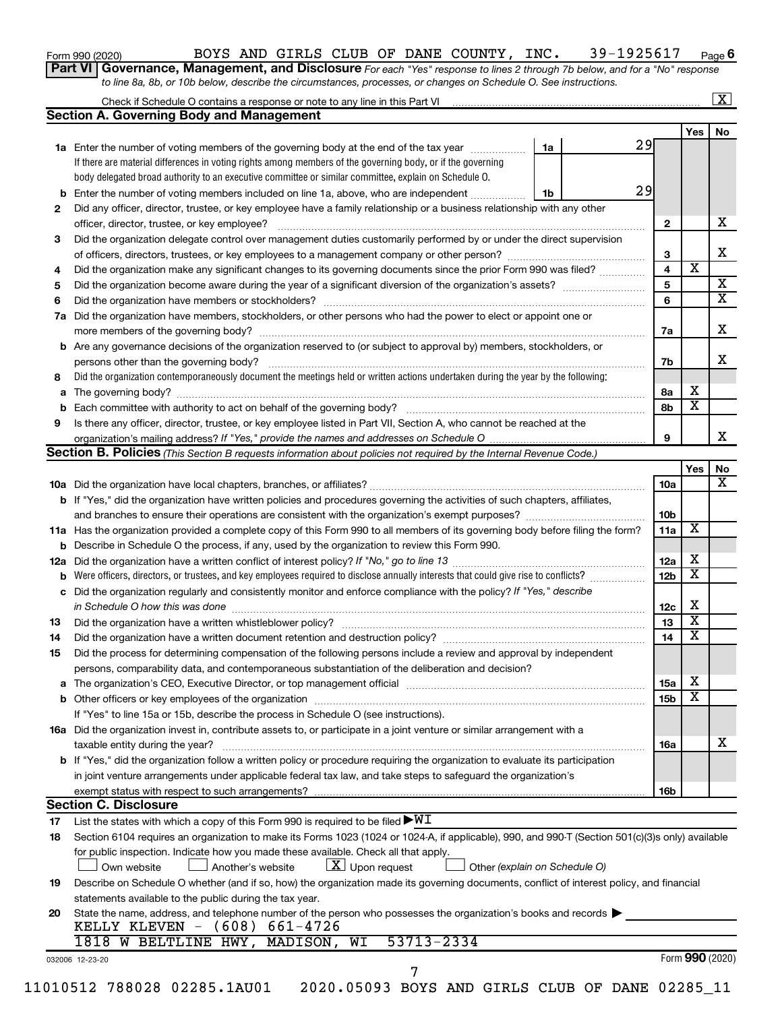| Form 990 (2020) |  |
|-----------------|--|
|-----------------|--|

#### Form 990 (2020) Page BOYS AND GIRLS CLUB OF DANE COUNTY, INC. 39-1925617

**6**

| Part VI   Governance, Management, and Disclosure For each "Yes" response to lines 2 through 7b below, and for a "No" response |
|-------------------------------------------------------------------------------------------------------------------------------|
| to line 8a, 8b, or 10b below, describe the circumstances, processes, or changes on Schedule O. See instructions.              |

|     | Check if Schedule O contains a response or note to any line in this Part VI [1] [1] [1] [1] [1] [1] [1] [1] [1                                                                                                                |    |  |    |                 |                         | $\mathbf{X}$ |
|-----|-------------------------------------------------------------------------------------------------------------------------------------------------------------------------------------------------------------------------------|----|--|----|-----------------|-------------------------|--------------|
|     | <b>Section A. Governing Body and Management</b>                                                                                                                                                                               |    |  |    |                 |                         |              |
|     |                                                                                                                                                                                                                               |    |  | 29 |                 | Yes                     | No           |
|     | 1a Enter the number of voting members of the governing body at the end of the tax year<br>If there are material differences in voting rights among members of the governing body, or if the governing                         | 1a |  |    |                 |                         |              |
|     |                                                                                                                                                                                                                               |    |  |    |                 |                         |              |
|     | body delegated broad authority to an executive committee or similar committee, explain on Schedule O.                                                                                                                         |    |  | 29 |                 |                         |              |
| b   | Enter the number of voting members included on line 1a, above, who are independent                                                                                                                                            | 1b |  |    |                 |                         |              |
| 2   | Did any officer, director, trustee, or key employee have a family relationship or a business relationship with any other                                                                                                      |    |  |    |                 |                         |              |
|     | officer, director, trustee, or key employee?                                                                                                                                                                                  |    |  |    | $\mathbf{2}$    |                         |              |
| 3   | Did the organization delegate control over management duties customarily performed by or under the direct supervision                                                                                                         |    |  |    |                 |                         |              |
|     |                                                                                                                                                                                                                               |    |  |    | 3               |                         |              |
| 4   | Did the organization make any significant changes to its governing documents since the prior Form 990 was filed?                                                                                                              |    |  |    | $\overline{4}$  | $\overline{\text{x}}$   |              |
| 5   |                                                                                                                                                                                                                               |    |  |    | 5               |                         |              |
| 6   |                                                                                                                                                                                                                               |    |  |    | 6               |                         |              |
| 7a  | Did the organization have members, stockholders, or other persons who had the power to elect or appoint one or                                                                                                                |    |  |    |                 |                         |              |
|     |                                                                                                                                                                                                                               |    |  |    | 7a              |                         |              |
| b   | Are any governance decisions of the organization reserved to (or subject to approval by) members, stockholders, or                                                                                                            |    |  |    |                 |                         |              |
|     |                                                                                                                                                                                                                               |    |  |    | 7b              |                         |              |
| 8   | Did the organization contemporaneously document the meetings held or written actions undertaken during the year by the following:                                                                                             |    |  |    |                 |                         |              |
| а   |                                                                                                                                                                                                                               |    |  |    | 8а              | х                       |              |
| b   |                                                                                                                                                                                                                               |    |  |    | 8b              | $\overline{\textbf{x}}$ |              |
| 9   | Is there any officer, director, trustee, or key employee listed in Part VII, Section A, who cannot be reached at the                                                                                                          |    |  |    |                 |                         |              |
|     |                                                                                                                                                                                                                               |    |  |    | 9               |                         |              |
|     | <b>Section B. Policies</b> (This Section B requests information about policies not required by the Internal Revenue Code.)                                                                                                    |    |  |    |                 |                         |              |
|     |                                                                                                                                                                                                                               |    |  |    |                 | Yes                     |              |
|     |                                                                                                                                                                                                                               |    |  |    | 10a             |                         |              |
|     | <b>b</b> If "Yes," did the organization have written policies and procedures governing the activities of such chapters, affiliates,                                                                                           |    |  |    |                 |                         |              |
|     |                                                                                                                                                                                                                               |    |  |    | 10 <sub>b</sub> |                         |              |
|     | 11a Has the organization provided a complete copy of this Form 990 to all members of its governing body before filing the form?                                                                                               |    |  |    | 11a             | X                       |              |
|     | <b>b</b> Describe in Schedule O the process, if any, used by the organization to review this Form 990.                                                                                                                        |    |  |    |                 |                         |              |
| 12a |                                                                                                                                                                                                                               |    |  |    | 12a             | х                       |              |
| b   | Were officers, directors, or trustees, and key employees required to disclose annually interests that could give rise to conflicts?                                                                                           |    |  |    | 12 <sub>b</sub> | $\overline{\mathbf{X}}$ |              |
|     | Did the organization regularly and consistently monitor and enforce compliance with the policy? If "Yes," describe                                                                                                            |    |  |    |                 |                         |              |
| с   |                                                                                                                                                                                                                               |    |  |    | 12c             | Х                       |              |
| 13  |                                                                                                                                                                                                                               |    |  |    | 13              | $\overline{\mathbf{X}}$ |              |
|     |                                                                                                                                                                                                                               |    |  |    |                 | $\overline{\mathbf{X}}$ |              |
| 14  | Did the organization have a written document retention and destruction policy? [11] manufaction manufaction in                                                                                                                |    |  |    | 14              |                         |              |
| 15  | Did the process for determining compensation of the following persons include a review and approval by independent                                                                                                            |    |  |    |                 |                         |              |
|     | persons, comparability data, and contemporaneous substantiation of the deliberation and decision?                                                                                                                             |    |  |    |                 |                         |              |
| а   | The organization's CEO, Executive Director, or top management official [111] [11] manument content of the organization's CEO, Executive Director, or top management official [11] manument content of the organization of the |    |  |    | 15a             | х                       |              |
|     |                                                                                                                                                                                                                               |    |  |    | 15 <sub>b</sub> | $\overline{\textbf{x}}$ |              |
|     | If "Yes" to line 15a or 15b, describe the process in Schedule O (see instructions).                                                                                                                                           |    |  |    |                 |                         |              |
|     | 16a Did the organization invest in, contribute assets to, or participate in a joint venture or similar arrangement with a                                                                                                     |    |  |    |                 |                         |              |
|     | taxable entity during the year?                                                                                                                                                                                               |    |  |    | 16a             |                         |              |
|     | b If "Yes," did the organization follow a written policy or procedure requiring the organization to evaluate its participation                                                                                                |    |  |    |                 |                         |              |
|     | in joint venture arrangements under applicable federal tax law, and take steps to safeguard the organization's                                                                                                                |    |  |    |                 |                         |              |
|     | exempt status with respect to such arrangements?                                                                                                                                                                              |    |  |    | 16b             |                         |              |
|     | <b>Section C. Disclosure</b>                                                                                                                                                                                                  |    |  |    |                 |                         |              |
| 17  | List the states with which a copy of this Form 990 is required to be filed $\blacktriangleright\texttt{WI}$                                                                                                                   |    |  |    |                 |                         |              |
| 18  | Section 6104 requires an organization to make its Forms 1023 (1024 or 1024-A, if applicable), 990, and 990-T (Section 501(c)(3)s only) available                                                                              |    |  |    |                 |                         |              |
|     | for public inspection. Indicate how you made these available. Check all that apply.                                                                                                                                           |    |  |    |                 |                         |              |
|     | $\lfloor x \rfloor$ Upon request<br>Another's website<br>Other (explain on Schedule O)<br>Own website                                                                                                                         |    |  |    |                 |                         |              |
|     | Describe on Schedule O whether (and if so, how) the organization made its governing documents, conflict of interest policy, and financial                                                                                     |    |  |    |                 |                         |              |
| 19  |                                                                                                                                                                                                                               |    |  |    |                 |                         |              |
|     | statements available to the public during the tax year.                                                                                                                                                                       |    |  |    |                 |                         |              |
| 20  |                                                                                                                                                                                                                               |    |  |    |                 |                         |              |
|     | State the name, address, and telephone number of the person who possesses the organization's books and records<br>KELLY KLEVEN - $(608) 661-4726$                                                                             |    |  |    |                 |                         |              |
|     | 53713-2334<br>1818 W BELTLINE HWY,<br>MADISON, WI                                                                                                                                                                             |    |  |    |                 |                         |              |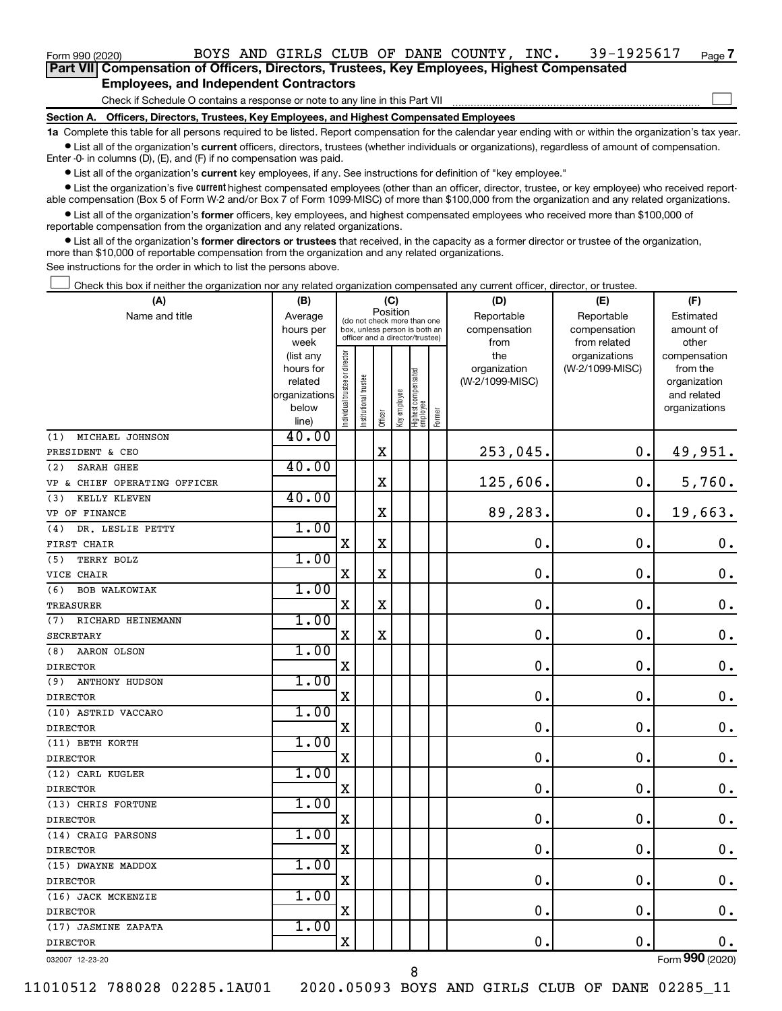Form 990 (2020) Page BOYS AND GIRLS CLUB OF DANE COUNTY, INC. 39-1925617

| Part VII Compensation of Officers, Directors, Trustees, Key Employees, Highest Compensated |  |  |
|--------------------------------------------------------------------------------------------|--|--|
| <b>Employees, and Independent Contractors</b>                                              |  |  |

Check if Schedule O contains a response or note to any line in this Part VII

**Section A. Officers, Directors, Trustees, Key Employees, and Highest Compensated Employees**

**1a**  Complete this table for all persons required to be listed. Report compensation for the calendar year ending with or within the organization's tax year.  $\bullet$  List all of the organization's current officers, directors, trustees (whether individuals or organizations), regardless of amount of compensation.

Enter -0- in columns (D), (E), and (F) if no compensation was paid.

**•** List all of the organization's current key employees, if any. See instructions for definition of "key employee."

• List the organization's five *current* highest compensated employees (other than an officer, director, trustee, or key employee) who received reportable compensation (Box 5 of Form W-2 and/or Box 7 of Form 1099-MISC) of more than \$100,000 from the organization and any related organizations.

 $\bullet$  List all of the organization's former officers, key employees, and highest compensated employees who received more than \$100,000 of reportable compensation from the organization and any related organizations.

**•** List all of the organization's former directors or trustees that received, in the capacity as a former director or trustee of the organization, more than \$10,000 of reportable compensation from the organization and any related organizations.

See instructions for the order in which to list the persons above.

Check this box if neither the organization nor any related organization compensated any current officer, director, or trustee.  $\Box$ 

| (A)                          | (B)                      | (C)                                     |                                 |             |              |                                   | (D)        | (F)             |                 |                             |
|------------------------------|--------------------------|-----------------------------------------|---------------------------------|-------------|--------------|-----------------------------------|------------|-----------------|-----------------|-----------------------------|
| Name and title               | Average                  | Position<br>(do not check more than one |                                 |             |              |                                   | Reportable | Reportable      | Estimated       |                             |
|                              | hours per                |                                         | box, unless person is both an   |             |              |                                   |            | compensation    | compensation    | amount of                   |
|                              | week                     |                                         | officer and a director/trustee) |             |              |                                   |            | from            | from related    | other                       |
|                              | (list any                |                                         |                                 |             |              |                                   |            | the             | organizations   | compensation                |
|                              | hours for                |                                         |                                 |             |              |                                   |            | organization    | (W-2/1099-MISC) | from the                    |
|                              | related<br>organizations |                                         |                                 |             |              |                                   |            | (W-2/1099-MISC) |                 | organization<br>and related |
|                              | below                    |                                         |                                 |             |              |                                   |            |                 |                 | organizations               |
|                              | line)                    | ndividual trustee or director           | nstitutional trustee            | Officer     | key employee | Highest compensated<br>  employee | Former     |                 |                 |                             |
| MICHAEL JOHNSON<br>(1)       | 40.00                    |                                         |                                 |             |              |                                   |            |                 |                 |                             |
| PRESIDENT & CEO              |                          |                                         |                                 | $\mathbf X$ |              |                                   |            | 253,045.        | $\mathbf 0$ .   | 49,951.                     |
| <b>SARAH GHEE</b><br>(2)     | 40.00                    |                                         |                                 |             |              |                                   |            |                 |                 |                             |
| VP & CHIEF OPERATING OFFICER |                          |                                         |                                 | $\mathbf X$ |              |                                   |            | 125,606.        | $\mathbf 0$ .   | 5,760.                      |
| KELLY KLEVEN<br>(3)          | 40.00                    |                                         |                                 |             |              |                                   |            |                 |                 |                             |
| VP OF FINANCE                |                          |                                         |                                 | X           |              |                                   |            | 89,283.         | $\mathbf 0$ .   | 19,663.                     |
| DR. LESLIE PETTY<br>(4)      | 1.00                     |                                         |                                 |             |              |                                   |            |                 |                 |                             |
| FIRST CHAIR                  |                          | $\mathbf X$                             |                                 | $\mathbf X$ |              |                                   |            | $\mathbf 0$ .   | $\mathbf 0$ .   | $\mathbf 0$ .               |
| (5)<br>TERRY BOLZ            | 1.00                     |                                         |                                 |             |              |                                   |            |                 |                 |                             |
| VICE CHAIR                   |                          | X                                       |                                 | X           |              |                                   |            | $\mathbf 0$     | $\mathbf 0$     | $\mathbf 0$ .               |
| <b>BOB WALKOWIAK</b><br>(6)  | 1.00                     |                                         |                                 |             |              |                                   |            |                 |                 |                             |
| TREASURER                    |                          | $\mathbf X$                             |                                 | $\mathbf X$ |              |                                   |            | $\mathbf 0$ .   | $\mathbf 0$ .   | $\mathbf 0$ .               |
| (7)<br>RICHARD HEINEMANN     | 1.00                     |                                         |                                 |             |              |                                   |            |                 |                 |                             |
| <b>SECRETARY</b>             |                          | $\mathbf X$                             |                                 | X           |              |                                   |            | $\mathbf 0$ .   | $\mathbf 0$ .   | $\mathbf 0$ .               |
| AARON OLSON<br>(8)           | 1.00                     |                                         |                                 |             |              |                                   |            |                 |                 |                             |
| <b>DIRECTOR</b>              |                          | $\mathbf X$                             |                                 |             |              |                                   |            | $\mathbf 0$ .   | $\mathbf 0$ .   | $\mathbf 0$ .               |
| <b>ANTHONY HUDSON</b><br>(9) | 1.00                     |                                         |                                 |             |              |                                   |            |                 |                 |                             |
| <b>DIRECTOR</b>              |                          | $\mathbf X$                             |                                 |             |              |                                   |            | $\mathbf 0$ .   | $\mathbf 0$ .   | $\mathbf 0$ .               |
| (10) ASTRID VACCARO          | 1.00                     |                                         |                                 |             |              |                                   |            |                 |                 |                             |
| <b>DIRECTOR</b>              |                          | $\mathbf X$                             |                                 |             |              |                                   |            | $\mathbf 0$ .   | $\mathbf 0$ .   | 0.                          |
| (11) BETH KORTH              | 1.00                     |                                         |                                 |             |              |                                   |            |                 |                 |                             |
| <b>DIRECTOR</b>              |                          | $\mathbf x$                             |                                 |             |              |                                   |            | 0.              | $\mathbf 0$ .   | $\mathbf 0$ .               |
| (12) CARL KUGLER             | 1.00                     |                                         |                                 |             |              |                                   |            |                 |                 |                             |
| <b>DIRECTOR</b>              |                          | X                                       |                                 |             |              |                                   |            | 0.              | $\mathbf 0$ .   | $\mathbf 0$ .               |
| (13) CHRIS FORTUNE           | 1.00                     |                                         |                                 |             |              |                                   |            |                 |                 |                             |
| <b>DIRECTOR</b>              |                          | $\mathbf x$                             |                                 |             |              |                                   |            | 0.              | $\mathbf 0$ .   | $\mathbf 0$ .               |
| (14) CRAIG PARSONS           | 1.00                     |                                         |                                 |             |              |                                   |            |                 |                 |                             |
| <b>DIRECTOR</b>              |                          | X                                       |                                 |             |              |                                   |            | $\mathbf 0$ .   | 0.              | $\mathbf 0$ .               |
| (15) DWAYNE MADDOX           | 1.00                     |                                         |                                 |             |              |                                   |            |                 |                 |                             |
| <b>DIRECTOR</b>              |                          | $\mathbf X$                             |                                 |             |              |                                   |            | $\mathbf 0$ .   | $\mathbf 0$ .   | $\mathbf 0$ .               |
| (16) JACK MCKENZIE           | 1.00                     |                                         |                                 |             |              |                                   |            |                 |                 |                             |
| <b>DIRECTOR</b>              |                          | $\mathbf X$                             |                                 |             |              |                                   |            | $\mathbf 0$ .   | $\mathbf 0$ .   | $\mathbf 0$ .               |
| (17) JASMINE ZAPATA          | 1.00                     |                                         |                                 |             |              |                                   |            |                 |                 |                             |
| <b>DIRECTOR</b>              |                          | $\mathbf X$                             |                                 |             |              |                                   |            | 0.              | $\mathbf 0$ .   | 0.                          |
| 032007 12-23-20              |                          |                                         |                                 |             |              |                                   |            |                 |                 | Form 990 (2020)             |

11010512 788028 02285.1AU01 2020.05093 BOYS AND GIRLS CLUB OF DANE 02285\_11

8

**7**

 $\Box$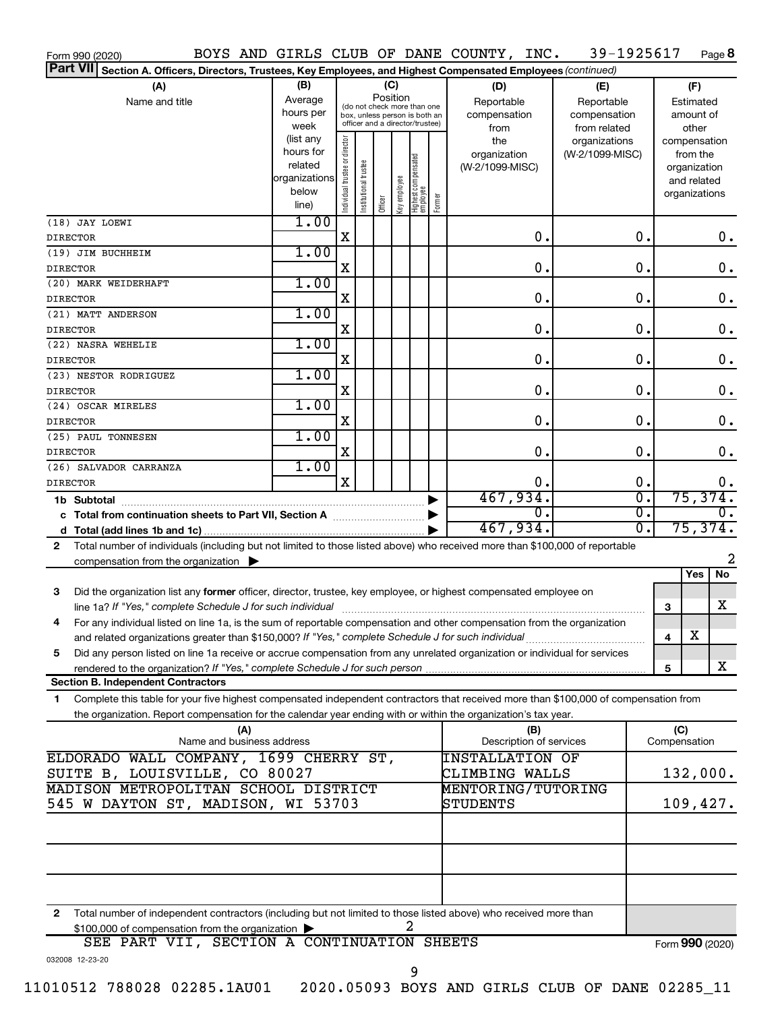| Form 990 (2020)                                                                                                                            |                        |                                |                       |                                         |              |                                   |                  | BOYS AND GIRLS CLUB OF DANE COUNTY, INC. | 39-1925617      |                             |     |                             | Page 8           |
|--------------------------------------------------------------------------------------------------------------------------------------------|------------------------|--------------------------------|-----------------------|-----------------------------------------|--------------|-----------------------------------|------------------|------------------------------------------|-----------------|-----------------------------|-----|-----------------------------|------------------|
| Part VII Section A. Officers, Directors, Trustees, Key Employees, and Highest Compensated Employees (continued)                            |                        |                                |                       |                                         |              |                                   |                  |                                          |                 |                             |     |                             |                  |
| (A)                                                                                                                                        | (B)                    |                                |                       | (C)                                     |              |                                   |                  | (D)                                      | (E)             |                             |     | (F)                         |                  |
| Name and title                                                                                                                             | Average                |                                |                       | Position<br>(do not check more than one |              |                                   |                  | Reportable                               | Reportable      |                             |     | Estimated                   |                  |
|                                                                                                                                            | hours per              |                                |                       | box, unless person is both an           |              |                                   |                  | compensation                             | compensation    |                             |     | amount of                   |                  |
|                                                                                                                                            | week                   |                                |                       | officer and a director/trustee)         |              |                                   |                  | from                                     | from related    |                             |     | other                       |                  |
|                                                                                                                                            | (list any<br>hours for |                                |                       |                                         |              |                                   |                  | the                                      | organizations   |                             |     | compensation                |                  |
|                                                                                                                                            | related                |                                |                       |                                         |              |                                   |                  | organization                             | (W-2/1099-MISC) |                             |     | from the                    |                  |
|                                                                                                                                            | organizations          |                                |                       |                                         |              |                                   |                  | (W-2/1099-MISC)                          |                 |                             |     | organization<br>and related |                  |
|                                                                                                                                            | below                  |                                |                       |                                         |              |                                   |                  |                                          |                 |                             |     | organizations               |                  |
|                                                                                                                                            | line)                  | Individual trustee or director | Institutional trustee | Officer                                 | Key employee | Highest compensated<br>  employee | Former           |                                          |                 |                             |     |                             |                  |
| (18) JAY LOEWI                                                                                                                             | 1.00                   |                                |                       |                                         |              |                                   |                  |                                          |                 |                             |     |                             |                  |
| <b>DIRECTOR</b>                                                                                                                            |                        | $\mathbf X$                    |                       |                                         |              |                                   |                  | 0.                                       |                 | 0.                          |     |                             | $0$ .            |
| (19) JIM BUCHHEIM                                                                                                                          | 1.00                   |                                |                       |                                         |              |                                   |                  |                                          |                 |                             |     |                             |                  |
| <b>DIRECTOR</b>                                                                                                                            |                        | X                              |                       |                                         |              |                                   |                  | 0.                                       |                 | 0.                          |     |                             | 0.               |
| (20) MARK WEIDERHAFT                                                                                                                       | 1.00                   |                                |                       |                                         |              |                                   |                  |                                          |                 |                             |     |                             |                  |
| <b>DIRECTOR</b>                                                                                                                            |                        | X                              |                       |                                         |              |                                   |                  | 0.                                       |                 | 0.                          |     |                             | 0.               |
| (21) MATT ANDERSON                                                                                                                         | 1.00                   |                                |                       |                                         |              |                                   |                  |                                          |                 |                             |     |                             |                  |
| <b>DIRECTOR</b>                                                                                                                            |                        | X                              |                       |                                         |              |                                   |                  | 0.                                       |                 | 0.                          |     |                             | 0.               |
| (22) NASRA WEHELIE                                                                                                                         | 1.00                   |                                |                       |                                         |              |                                   |                  |                                          |                 |                             |     |                             |                  |
| <b>DIRECTOR</b>                                                                                                                            |                        | X                              |                       |                                         |              |                                   |                  | 0.                                       |                 | 0.                          |     |                             | 0.               |
| (23) NESTOR RODRIGUEZ                                                                                                                      | 1.00                   |                                |                       |                                         |              |                                   |                  |                                          |                 |                             |     |                             |                  |
| <b>DIRECTOR</b>                                                                                                                            |                        | х                              |                       |                                         |              |                                   |                  | 0.                                       |                 | 0.                          |     |                             | 0.               |
| (24) OSCAR MIRELES                                                                                                                         | 1.00                   |                                |                       |                                         |              |                                   |                  |                                          |                 |                             |     |                             |                  |
| <b>DIRECTOR</b>                                                                                                                            |                        | х                              |                       |                                         |              |                                   |                  | 0.                                       |                 | 0.                          |     |                             | 0.               |
| (25) PAUL TONNESEN                                                                                                                         | 1.00                   |                                |                       |                                         |              |                                   |                  |                                          |                 |                             |     |                             |                  |
| <b>DIRECTOR</b>                                                                                                                            |                        | х                              |                       |                                         |              |                                   |                  | 0.                                       |                 | $\mathbf 0$ .               |     |                             | 0.               |
| (26) SALVADOR CARRANZA                                                                                                                     | 1.00                   |                                |                       |                                         |              |                                   |                  |                                          |                 |                             |     |                             |                  |
| <b>DIRECTOR</b>                                                                                                                            |                        | $\mathbf X$                    |                       |                                         |              |                                   |                  | 0.                                       |                 | 0.                          |     |                             | $0$ .            |
|                                                                                                                                            |                        |                                |                       |                                         |              |                                   |                  | 467,934.                                 |                 | $\overline{\mathfrak{o}}$ . |     | 75, 374.                    |                  |
|                                                                                                                                            |                        |                                |                       |                                         |              |                                   |                  | $\overline{0}$ .                         |                 | $\overline{\mathfrak{o}}$ . |     |                             | $\overline{0}$ . |
| 467,934.                                                                                                                                   |                        |                                |                       |                                         |              |                                   | $\overline{0}$ . |                                          | 75,374.         |                             |     |                             |                  |
| Total number of individuals (including but not limited to those listed above) who received more than \$100,000 of reportable<br>2          |                        |                                |                       |                                         |              |                                   |                  |                                          |                 |                             |     |                             |                  |
| compensation from the organization $\blacktriangleright$                                                                                   |                        |                                |                       |                                         |              |                                   |                  |                                          |                 |                             |     |                             | 2                |
|                                                                                                                                            |                        |                                |                       |                                         |              |                                   |                  |                                          |                 |                             |     | Yes                         | No               |
| Did the organization list any former officer, director, trustee, key employee, or highest compensated employee on<br>3                     |                        |                                |                       |                                         |              |                                   |                  |                                          |                 |                             |     |                             |                  |
| line 1a? If "Yes," complete Schedule J for such individual manufacture content to the set of the set of the schedule J for such individual |                        |                                |                       |                                         |              |                                   |                  |                                          |                 |                             | 3   |                             | х                |
| For any individual listed on line 1a, is the sum of reportable compensation and other compensation from the organization                   |                        |                                |                       |                                         |              |                                   |                  |                                          |                 |                             |     |                             |                  |
| and related organizations greater than \$150,000? If "Yes," complete Schedule J for such individual                                        |                        |                                |                       |                                         |              |                                   |                  |                                          |                 |                             | 4   | х                           |                  |
| Did any person listed on line 1a receive or accrue compensation from any unrelated organization or individual for services<br>5            |                        |                                |                       |                                         |              |                                   |                  |                                          |                 |                             |     |                             | x                |
| <b>Section B. Independent Contractors</b>                                                                                                  |                        |                                |                       |                                         |              |                                   |                  |                                          |                 |                             | 5   |                             |                  |
|                                                                                                                                            |                        |                                |                       |                                         |              |                                   |                  |                                          |                 |                             |     |                             |                  |
| Complete this table for your five highest compensated independent contractors that received more than \$100,000 of compensation from<br>1  |                        |                                |                       |                                         |              |                                   |                  |                                          |                 |                             |     |                             |                  |
| the organization. Report compensation for the calendar year ending with or within the organization's tax year.<br>(A)                      |                        |                                |                       |                                         |              |                                   |                  | (B)                                      |                 |                             | (C) |                             |                  |
| Name and business address                                                                                                                  |                        |                                |                       |                                         |              |                                   |                  | Description of services                  |                 |                             |     | Compensation                |                  |
| ELDORADO WALL COMPANY, 1699 CHERRY ST,                                                                                                     |                        |                                |                       |                                         |              |                                   |                  | <b>INSTALLATION OF</b>                   |                 |                             |     |                             |                  |
| SUITE B, LOUISVILLE, CO 80027                                                                                                              |                        |                                |                       |                                         |              |                                   |                  | CLIMBING WALLS                           |                 |                             |     | 132,000.                    |                  |
| MADISON METROPOLITAN SCHOOL DISTRICT                                                                                                       |                        |                                |                       |                                         |              |                                   |                  | <b>MENTORING/TUTORING</b>                |                 |                             |     |                             |                  |
| 545 W DAYTON ST, MADISON, WI 53703                                                                                                         |                        |                                |                       |                                         |              |                                   |                  | STUDENTS                                 |                 |                             |     | 109,427.                    |                  |
|                                                                                                                                            |                        |                                |                       |                                         |              |                                   |                  |                                          |                 |                             |     |                             |                  |
|                                                                                                                                            |                        |                                |                       |                                         |              |                                   |                  |                                          |                 |                             |     |                             |                  |
|                                                                                                                                            |                        |                                |                       |                                         |              |                                   |                  |                                          |                 |                             |     |                             |                  |
|                                                                                                                                            |                        |                                |                       |                                         |              |                                   |                  |                                          |                 |                             |     |                             |                  |
|                                                                                                                                            |                        |                                |                       |                                         |              |                                   |                  |                                          |                 |                             |     |                             |                  |
| Total number of independent contractors (including but not limited to those listed above) who received more than<br>2                      |                        |                                |                       |                                         |              |                                   |                  |                                          |                 |                             |     |                             |                  |
| \$100,000 of compensation from the organization<br>SEE PART VII, SECTION A CONTINUATION SHEETS                                             |                        |                                |                       |                                         |              |                                   |                  |                                          |                 |                             |     |                             |                  |
|                                                                                                                                            |                        |                                |                       |                                         |              |                                   |                  |                                          |                 |                             |     | Form 990 (2020)             |                  |
| 032008 12-23-20                                                                                                                            |                        |                                |                       |                                         |              | 9                                 |                  |                                          |                 |                             |     |                             |                  |
|                                                                                                                                            |                        |                                |                       |                                         |              |                                   |                  |                                          |                 |                             |     |                             |                  |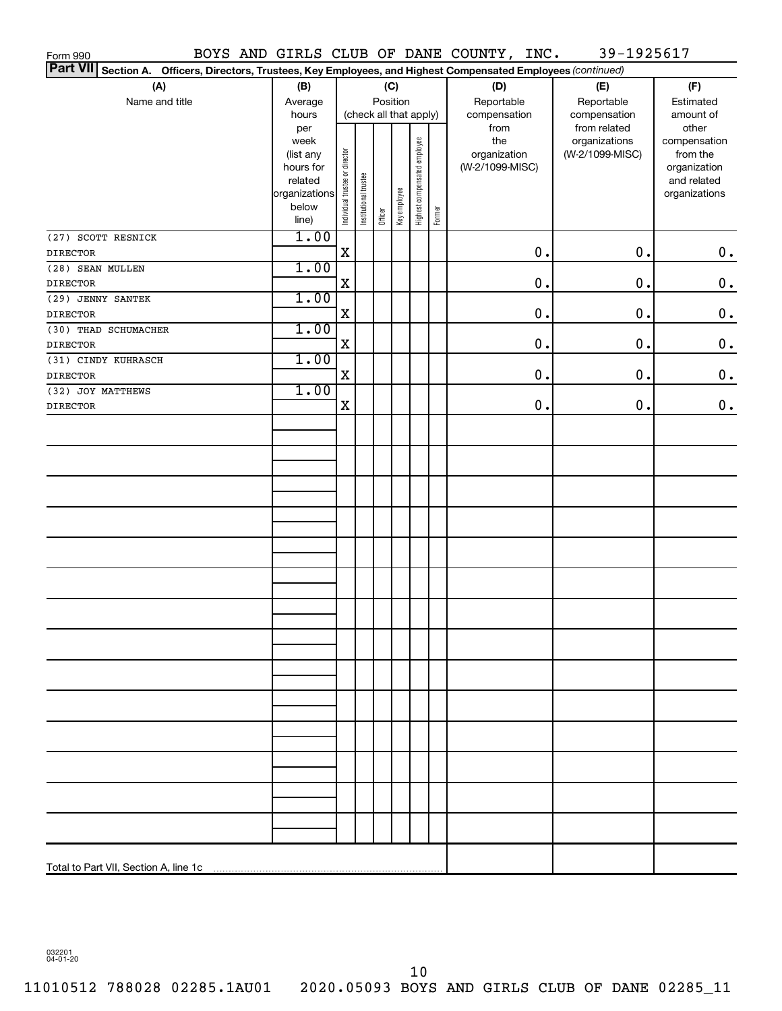| Form 990                                                                                                        |                                                                     |             |                       |                        |              |                              |        | BOYS AND GIRLS CLUB OF DANE COUNTY, INC. | 39-1925617      |                             |
|-----------------------------------------------------------------------------------------------------------------|---------------------------------------------------------------------|-------------|-----------------------|------------------------|--------------|------------------------------|--------|------------------------------------------|-----------------|-----------------------------|
| Part VII Section A. Officers, Directors, Trustees, Key Employees, and Highest Compensated Employees (continued) |                                                                     |             |                       |                        |              |                              |        |                                          |                 |                             |
| (A)                                                                                                             | (B)                                                                 |             |                       |                        | (C)          |                              |        | (D)                                      | (E)             | (F)                         |
| Name and title                                                                                                  | Average                                                             | Position    |                       |                        |              |                              |        | Reportable                               | Reportable      | Estimated                   |
|                                                                                                                 | hours                                                               |             |                       | (check all that apply) |              |                              |        | compensation                             | compensation    | amount of                   |
|                                                                                                                 | per                                                                 |             |                       |                        |              |                              |        | from                                     | from related    | other                       |
|                                                                                                                 | week                                                                |             |                       |                        |              |                              |        | the                                      | organizations   | compensation                |
|                                                                                                                 |                                                                     |             |                       |                        |              |                              |        | organization                             | (W-2/1099-MISC) | from the                    |
|                                                                                                                 |                                                                     |             |                       |                        |              |                              |        | (W-2/1099-MISC)                          |                 | organization<br>and related |
|                                                                                                                 |                                                                     |             |                       |                        |              | Highest compensated employee |        |                                          |                 | organizations               |
|                                                                                                                 |                                                                     |             |                       |                        |              |                              |        |                                          |                 |                             |
|                                                                                                                 | (list any<br>hours for<br>leated<br>organizations<br>below<br>line) |             | Institutional trustee | Officer                | Key employee |                              | Former |                                          |                 |                             |
| (27) SCOTT RESNICK                                                                                              | 1.00                                                                |             |                       |                        |              |                              |        |                                          |                 |                             |
| <b>DIRECTOR</b>                                                                                                 |                                                                     | $\mathbf X$ |                       |                        |              |                              |        | 0.                                       | $0$ .           | $\mathbf 0$ .               |
| (28) SEAN MULLEN                                                                                                | 1.00                                                                |             |                       |                        |              |                              |        |                                          |                 |                             |
| <b>DIRECTOR</b>                                                                                                 |                                                                     | $\mathbf X$ |                       |                        |              |                              |        | 0.                                       | $0$ .           | $\mathbf 0$ .               |
| (29) JENNY SANTEK                                                                                               | 1.00                                                                |             |                       |                        |              |                              |        |                                          |                 |                             |
| <b>DIRECTOR</b>                                                                                                 |                                                                     | $\mathbf X$ |                       |                        |              |                              |        | 0.                                       | $0$ .           | $\mathbf 0$ .               |
| (30) THAD SCHUMACHER                                                                                            | 1.00                                                                |             |                       |                        |              |                              |        |                                          |                 |                             |
| <b>DIRECTOR</b>                                                                                                 |                                                                     | $\mathbf X$ |                       |                        |              |                              |        | 0.                                       | $0$ .           | $\mathbf 0$ .               |
| (31) CINDY KUHRASCH                                                                                             | 1.00                                                                |             |                       |                        |              |                              |        |                                          |                 |                             |
| <b>DIRECTOR</b>                                                                                                 |                                                                     | $\mathbf X$ |                       |                        |              |                              |        | 0.                                       | $0$ .           | $\mathbf 0$ .               |
| (32) JOY MATTHEWS                                                                                               | 1.00                                                                |             |                       |                        |              |                              |        |                                          |                 |                             |
| <b>DIRECTOR</b>                                                                                                 |                                                                     | $\mathbf X$ |                       |                        |              |                              |        | 0.                                       | $0$ .           | $\mathbf 0$ .               |
|                                                                                                                 |                                                                     |             |                       |                        |              |                              |        |                                          |                 |                             |
|                                                                                                                 |                                                                     |             |                       |                        |              |                              |        |                                          |                 |                             |
|                                                                                                                 |                                                                     |             |                       |                        |              |                              |        |                                          |                 |                             |
|                                                                                                                 |                                                                     |             |                       |                        |              |                              |        |                                          |                 |                             |
|                                                                                                                 |                                                                     |             |                       |                        |              |                              |        |                                          |                 |                             |
|                                                                                                                 |                                                                     |             |                       |                        |              |                              |        |                                          |                 |                             |
|                                                                                                                 |                                                                     |             |                       |                        |              |                              |        |                                          |                 |                             |
|                                                                                                                 |                                                                     |             |                       |                        |              |                              |        |                                          |                 |                             |
|                                                                                                                 |                                                                     |             |                       |                        |              |                              |        |                                          |                 |                             |
|                                                                                                                 |                                                                     |             |                       |                        |              |                              |        |                                          |                 |                             |
|                                                                                                                 |                                                                     |             |                       |                        |              |                              |        |                                          |                 |                             |
|                                                                                                                 |                                                                     |             |                       |                        |              |                              |        |                                          |                 |                             |
|                                                                                                                 |                                                                     |             |                       |                        |              |                              |        |                                          |                 |                             |
|                                                                                                                 |                                                                     |             |                       |                        |              |                              |        |                                          |                 |                             |
|                                                                                                                 |                                                                     |             |                       |                        |              |                              |        |                                          |                 |                             |
|                                                                                                                 |                                                                     |             |                       |                        |              |                              |        |                                          |                 |                             |
|                                                                                                                 |                                                                     |             |                       |                        |              |                              |        |                                          |                 |                             |
|                                                                                                                 |                                                                     |             |                       |                        |              |                              |        |                                          |                 |                             |
|                                                                                                                 |                                                                     |             |                       |                        |              |                              |        |                                          |                 |                             |
|                                                                                                                 |                                                                     |             |                       |                        |              |                              |        |                                          |                 |                             |
|                                                                                                                 |                                                                     |             |                       |                        |              |                              |        |                                          |                 |                             |
|                                                                                                                 |                                                                     |             |                       |                        |              |                              |        |                                          |                 |                             |
|                                                                                                                 |                                                                     |             |                       |                        |              |                              |        |                                          |                 |                             |
|                                                                                                                 |                                                                     |             |                       |                        |              |                              |        |                                          |                 |                             |
|                                                                                                                 |                                                                     |             |                       |                        |              |                              |        |                                          |                 |                             |
|                                                                                                                 |                                                                     |             |                       |                        |              |                              |        |                                          |                 |                             |
|                                                                                                                 |                                                                     |             |                       |                        |              |                              |        |                                          |                 |                             |
|                                                                                                                 |                                                                     |             |                       |                        |              |                              |        |                                          |                 |                             |
|                                                                                                                 |                                                                     |             |                       |                        |              |                              |        |                                          |                 |                             |
|                                                                                                                 |                                                                     |             |                       |                        |              |                              |        |                                          |                 |                             |
|                                                                                                                 |                                                                     |             |                       |                        |              |                              |        |                                          |                 |                             |

032201 04-01-20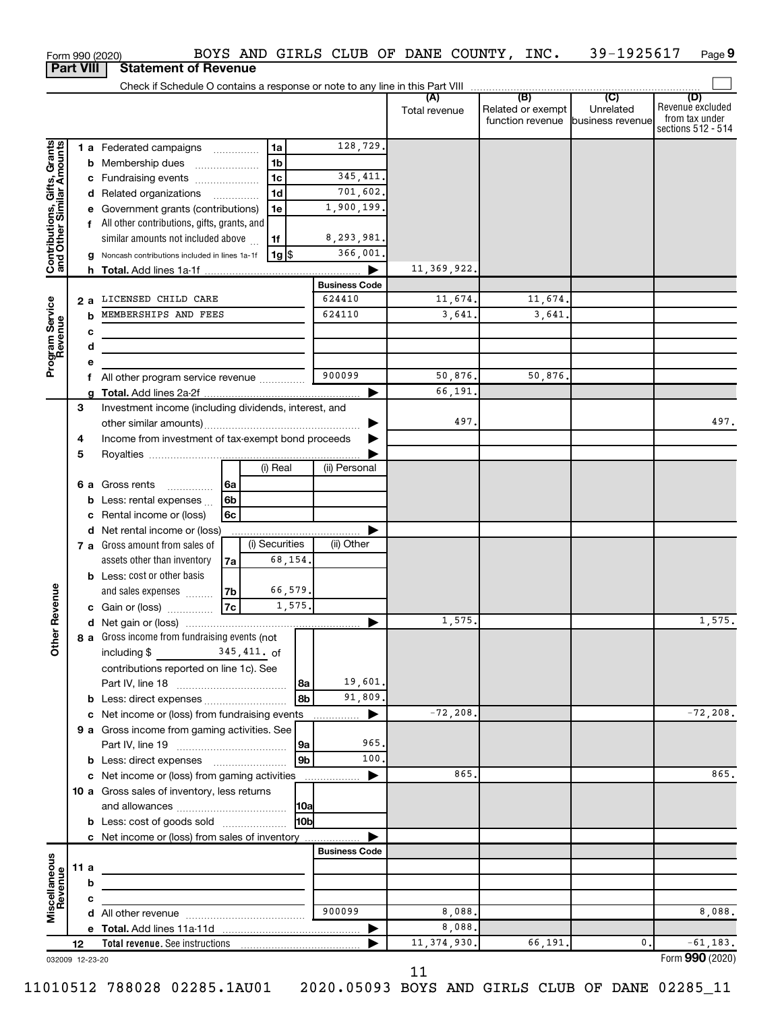|                                                           |                                    |   | Form 990 (2020)                                       |                               |                |             |                      |                         | BOYS AND GIRLS CLUB OF DANE COUNTY, INC. 39-1925617 |                                                 |                                                                 | Page 9      |
|-----------------------------------------------------------|------------------------------------|---|-------------------------------------------------------|-------------------------------|----------------|-------------|----------------------|-------------------------|-----------------------------------------------------|-------------------------------------------------|-----------------------------------------------------------------|-------------|
| <b>Part VIII</b>                                          |                                    |   | <b>Statement of Revenue</b>                           |                               |                |             |                      |                         |                                                     |                                                 |                                                                 |             |
|                                                           |                                    |   |                                                       |                               |                |             |                      | (A)<br>Total revenue    | (B)<br>Related or exempt<br>function revenue        | $\overline{C}$<br>Unrelated<br>business revenue | (D)<br>Revenue excluded<br>from tax under<br>sections 512 - 514 |             |
|                                                           |                                    |   | 1 a Federated campaigns                               |                               | 1a             |             | 128,729.             |                         |                                                     |                                                 |                                                                 |             |
| Contributions, Gifts, Grants<br>and Other Similar Amounts |                                    |   | <b>b</b> Membership dues                              | $\ldots \ldots \ldots \ldots$ | 1b             |             |                      |                         |                                                     |                                                 |                                                                 |             |
|                                                           |                                    |   | c Fundraising events                                  |                               | 1c             |             | 345, 411.            |                         |                                                     |                                                 |                                                                 |             |
|                                                           |                                    |   | d Related organizations                               |                               | 1d             |             | 701,602.             |                         |                                                     |                                                 |                                                                 |             |
|                                                           |                                    |   | e Government grants (contributions)                   |                               | 1е             |             | 1,900,199.           |                         |                                                     |                                                 |                                                                 |             |
|                                                           |                                    |   | f All other contributions, gifts, grants, and         |                               |                |             |                      |                         |                                                     |                                                 |                                                                 |             |
|                                                           |                                    |   | similar amounts not included above                    |                               | 1f             |             | 8,293,981.           |                         |                                                     |                                                 |                                                                 |             |
|                                                           |                                    |   | g Noncash contributions included in lines 1a-1f       |                               | 1g   \$        |             | 366,001.             |                         |                                                     |                                                 |                                                                 |             |
|                                                           |                                    |   |                                                       |                               |                |             | <b>Business Code</b> | 11,369,922.             |                                                     |                                                 |                                                                 |             |
|                                                           |                                    |   | 2 a LICENSED CHILD CARE                               |                               |                |             | 624410               | 11,674.                 | 11,674.                                             |                                                 |                                                                 |             |
|                                                           |                                    | b | MEMBERSHIPS AND FEES                                  |                               |                |             | 624110               | 3,641.                  | 3,641.                                              |                                                 |                                                                 |             |
|                                                           |                                    | с |                                                       |                               |                |             |                      |                         |                                                     |                                                 |                                                                 |             |
|                                                           |                                    | d |                                                       |                               |                |             |                      |                         |                                                     |                                                 |                                                                 |             |
| Program Service<br>Revenue                                |                                    | е |                                                       |                               |                |             |                      |                         |                                                     |                                                 |                                                                 |             |
|                                                           |                                    | f | All other program service revenue                     |                               |                |             | 900099               | 50,876.                 | 50,876.                                             |                                                 |                                                                 |             |
|                                                           |                                    |   |                                                       |                               |                |             |                      | 66,191.                 |                                                     |                                                 |                                                                 |             |
|                                                           | 3                                  |   | Investment income (including dividends, interest, and |                               |                |             |                      | 497.                    |                                                     |                                                 |                                                                 |             |
|                                                           |                                    |   | Income from investment of tax-exempt bond proceeds    |                               |                |             |                      |                         |                                                     |                                                 |                                                                 | 497.        |
|                                                           | 4<br>5                             |   |                                                       |                               |                |             |                      |                         |                                                     |                                                 |                                                                 |             |
|                                                           |                                    |   |                                                       |                               | (i) Real       |             | (ii) Personal        |                         |                                                     |                                                 |                                                                 |             |
|                                                           |                                    |   | 6 a Gross rents<br>.                                  | 6a                            |                |             |                      |                         |                                                     |                                                 |                                                                 |             |
|                                                           |                                    |   | <b>b</b> Less: rental expenses $\ldots$               | 6b                            |                |             |                      |                         |                                                     |                                                 |                                                                 |             |
|                                                           | Rental income or (loss)<br>6c<br>с |   |                                                       |                               |                |             |                      |                         |                                                     |                                                 |                                                                 |             |
|                                                           |                                    |   | d Net rental income or (loss)                         |                               |                |             |                      |                         |                                                     |                                                 |                                                                 |             |
|                                                           |                                    |   | 7 a Gross amount from sales of                        |                               | (i) Securities |             | (ii) Other           |                         |                                                     |                                                 |                                                                 |             |
|                                                           |                                    |   | assets other than inventory                           | 7a                            | 68,154.        |             |                      |                         |                                                     |                                                 |                                                                 |             |
|                                                           |                                    |   | <b>b</b> Less: cost or other basis                    |                               |                |             |                      |                         |                                                     |                                                 |                                                                 |             |
| venue                                                     |                                    |   | and sales expenses                                    | 7b                            | 66,579.        |             |                      |                         |                                                     |                                                 |                                                                 |             |
|                                                           |                                    |   | c Gain or (loss)                                      | 7c                            |                | 1,575.      |                      | 1,575.                  |                                                     |                                                 |                                                                 | 1,575.      |
| Œ                                                         |                                    |   | 8 a Gross income from fundraising events (not         |                               |                |             |                      |                         |                                                     |                                                 |                                                                 |             |
| Other                                                     |                                    |   | including $$345,411.$ of                              |                               |                |             |                      |                         |                                                     |                                                 |                                                                 |             |
|                                                           |                                    |   | contributions reported on line 1c). See               |                               |                |             |                      |                         |                                                     |                                                 |                                                                 |             |
|                                                           |                                    |   |                                                       |                               |                | 8a          | 19,601.              |                         |                                                     |                                                 |                                                                 |             |
|                                                           |                                    |   | <b>b</b> Less: direct expenses                        |                               |                | 8b          | 91,809.              |                         |                                                     |                                                 |                                                                 |             |
|                                                           |                                    |   | c Net income or (loss) from fundraising events        |                               |                |             | ▶                    | $-72, 208.$             |                                                     |                                                 |                                                                 | $-72, 208.$ |
|                                                           |                                    |   | 9 a Gross income from gaming activities. See          |                               |                |             |                      |                         |                                                     |                                                 |                                                                 |             |
|                                                           |                                    |   |                                                       |                               |                | 9a          | 965.                 |                         |                                                     |                                                 |                                                                 |             |
|                                                           |                                    |   |                                                       |                               |                | 9b          | 100.                 |                         |                                                     |                                                 |                                                                 |             |
|                                                           |                                    |   | c Net income or (loss) from gaming activities         |                               |                |             | ▶                    | 865.                    |                                                     |                                                 |                                                                 | 865.        |
|                                                           |                                    |   | 10 a Gross sales of inventory, less returns           |                               |                | 10a         |                      |                         |                                                     |                                                 |                                                                 |             |
|                                                           |                                    |   | <b>b</b> Less: cost of goods sold                     |                               |                | <b>HObl</b> |                      |                         |                                                     |                                                 |                                                                 |             |
|                                                           |                                    |   | c Net income or (loss) from sales of inventory        |                               |                |             |                      |                         |                                                     |                                                 |                                                                 |             |
|                                                           |                                    |   |                                                       |                               |                |             | <b>Business Code</b> |                         |                                                     |                                                 |                                                                 |             |
| Miscellaneous<br>Revenue                                  | 11 a                               |   |                                                       |                               |                |             |                      |                         |                                                     |                                                 |                                                                 |             |
|                                                           |                                    | b |                                                       |                               |                |             |                      |                         |                                                     |                                                 |                                                                 |             |
|                                                           |                                    | с |                                                       |                               |                |             |                      |                         |                                                     |                                                 |                                                                 |             |
|                                                           |                                    |   |                                                       |                               |                |             | 900099               | 8,088.                  |                                                     |                                                 |                                                                 | 8,088.      |
|                                                           | 12                                 |   |                                                       |                               |                |             | ▶                    | 8,088.<br>11, 374, 930. | 66,191.                                             | $\mathbf{0}$ .                                  |                                                                 | $-61, 183.$ |
| 032009 12-23-20                                           |                                    |   |                                                       |                               |                |             |                      |                         |                                                     |                                                 | Form 990 (2020)                                                 |             |

11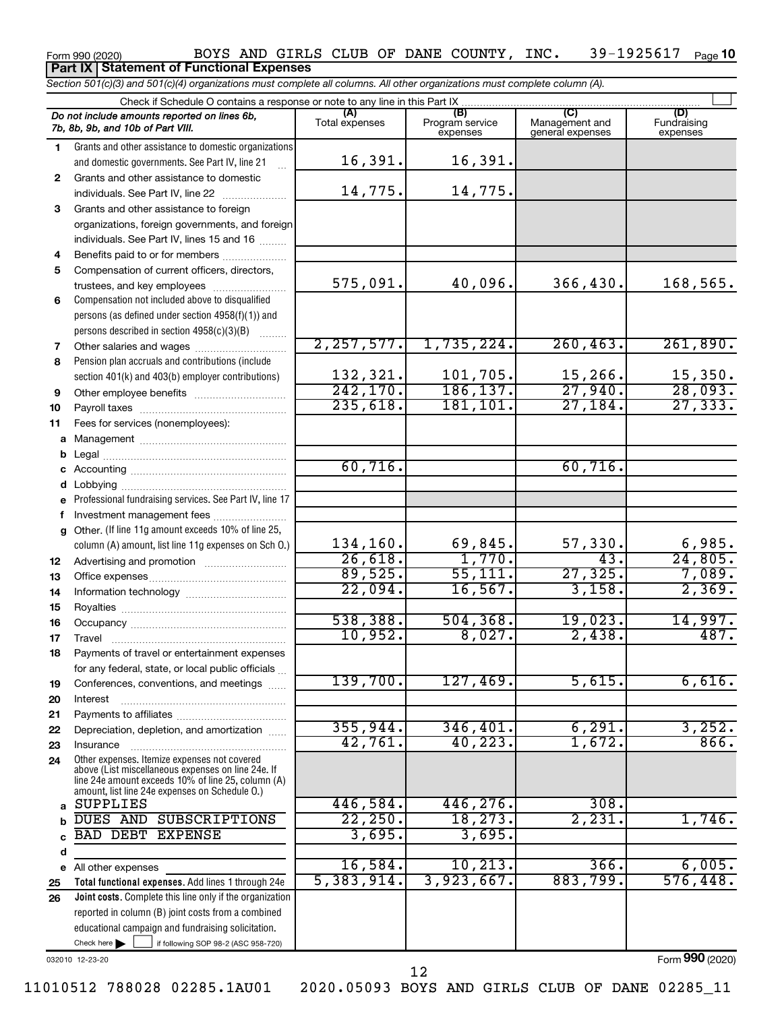#### Form 990 (2020) Page BOYS AND GIRLS CLUB OF DANE COUNTY, INC. 39-1925617 39-1925617 Page 10 **Part IX Statement of Functional Expenses**

*Section 501(c)(3) and 501(c)(4) organizations must complete all columns. All other organizations must complete column (A).*

|              | Check if Schedule O contains a response or note to any line in this Part IX.                          |                       |                                    |                                    |                                |
|--------------|-------------------------------------------------------------------------------------------------------|-----------------------|------------------------------------|------------------------------------|--------------------------------|
|              | Do not include amounts reported on lines 6b,<br>7b, 8b, 9b, and 10b of Part VIII.                     | (A)<br>Total expenses | (B)<br>Program service<br>expenses | Management and<br>general expenses | (D)<br>Fundraising<br>expenses |
| 1.           | Grants and other assistance to domestic organizations                                                 | 16,391.               | 16,391.                            |                                    |                                |
|              | and domestic governments. See Part IV, line 21                                                        |                       |                                    |                                    |                                |
| $\mathbf{2}$ | Grants and other assistance to domestic<br>individuals. See Part IV, line 22                          | 14,775.               | 14,775.                            |                                    |                                |
| 3            | Grants and other assistance to foreign                                                                |                       |                                    |                                    |                                |
|              | organizations, foreign governments, and foreign                                                       |                       |                                    |                                    |                                |
|              | individuals. See Part IV, lines 15 and 16                                                             |                       |                                    |                                    |                                |
| 4            | Benefits paid to or for members                                                                       |                       |                                    |                                    |                                |
| 5            | Compensation of current officers, directors,                                                          |                       |                                    |                                    |                                |
|              | trustees, and key employees                                                                           | 575,091.              | 40,096.                            | 366,430.                           | 168,565.                       |
| 6            | Compensation not included above to disqualified                                                       |                       |                                    |                                    |                                |
|              | persons (as defined under section 4958(f)(1)) and                                                     |                       |                                    |                                    |                                |
|              | persons described in section 4958(c)(3)(B)                                                            | 2, 257, 577.          | 1,735,224.                         | 260, 463.                          | 261,890.                       |
| 7            |                                                                                                       |                       |                                    |                                    |                                |
| 8            | Pension plan accruals and contributions (include<br>section 401(k) and 403(b) employer contributions) | 132,321.              | 101,705.                           | 15,266.                            | 15,350.                        |
| 9            |                                                                                                       | 242, 170.             | 186, 137.                          | 27,940.                            | 28,093.                        |
| 10           |                                                                                                       | 235,618.              | 181, 101.                          | 27,184.                            | 27, 333.                       |
| 11           | Fees for services (nonemployees):                                                                     |                       |                                    |                                    |                                |
| a            |                                                                                                       |                       |                                    |                                    |                                |
| b            |                                                                                                       |                       |                                    |                                    |                                |
|              |                                                                                                       | 60,716.               |                                    | 60,716.                            |                                |
| d            |                                                                                                       |                       |                                    |                                    |                                |
| e            | Professional fundraising services. See Part IV, line 17                                               |                       |                                    |                                    |                                |
|              | Investment management fees                                                                            |                       |                                    |                                    |                                |
| a            | Other. (If line 11g amount exceeds 10% of line 25,                                                    |                       |                                    |                                    |                                |
|              | column (A) amount, list line 11g expenses on Sch O.)                                                  | 134,160.              | 69,845.                            | 57,330.<br>43.                     | 6,985.                         |
| 12           |                                                                                                       | 26,618.<br>89,525.    | 1,770.                             | 27, 325.                           | 24,805.                        |
| 13           |                                                                                                       | 22,094.               | 55, 111.<br>16, 567.               | 3,158.                             | 7,089.<br>2,369.               |
| 14           |                                                                                                       |                       |                                    |                                    |                                |
| 15<br>16     |                                                                                                       | 538,388.              | 504, 368.                          | 19,023.                            | 14,997.                        |
| 17           |                                                                                                       | 10,952.               | 8,027.                             | 2,438.                             | 487.                           |
| 18           | Payments of travel or entertainment expenses                                                          |                       |                                    |                                    |                                |
|              | for any federal, state, or local public officials                                                     |                       |                                    |                                    |                                |
| 19           | Conferences, conventions, and meetings                                                                | 139,700.              | 127,469.                           | 5,615.                             | 6,616.                         |
| 20           | Interest                                                                                              |                       |                                    |                                    |                                |
| 21           |                                                                                                       |                       |                                    |                                    |                                |
| 22           | Depreciation, depletion, and amortization                                                             | 355,944.              | 346,401.                           | 6, 291.                            | 3,252.                         |
| 23           | Insurance                                                                                             | 42,761.               | 40, 223.                           | 1,672.                             | 866.                           |
| 24           | Other expenses. Itemize expenses not covered<br>above (List miscellaneous expenses on line 24e. If    |                       |                                    |                                    |                                |
|              | line 24e amount exceeds 10% of line 25, column (A)                                                    |                       |                                    |                                    |                                |
|              | amount, list line 24e expenses on Schedule O.)<br><b>SUPPLIES</b>                                     | 446,584.              | 446, 276.                          | 308.                               |                                |
| a            | DUES AND SUBSCRIPTIONS                                                                                | 22, 250.              | 18, 273.                           | 2,231.                             | 1,746.                         |
| b            | <b>BAD DEBT</b><br><b>EXPENSE</b>                                                                     | 3,695.                | 3,695.                             |                                    |                                |
| d            |                                                                                                       |                       |                                    |                                    |                                |
| е            | All other expenses                                                                                    | 16,584.               | 10, 213.                           | 366.                               | 6,005.                         |
| 25           | Total functional expenses. Add lines 1 through 24e                                                    | 5,383,914.            | 3,923,667.                         | 883,799.                           | 576,448.                       |
| 26           | Joint costs. Complete this line only if the organization                                              |                       |                                    |                                    |                                |
|              | reported in column (B) joint costs from a combined                                                    |                       |                                    |                                    |                                |
|              | educational campaign and fundraising solicitation.                                                    |                       |                                    |                                    |                                |
|              | Check here<br>if following SOP 98-2 (ASC 958-720)                                                     |                       |                                    |                                    |                                |

032010 12-23-20

Form (2020) **990**

12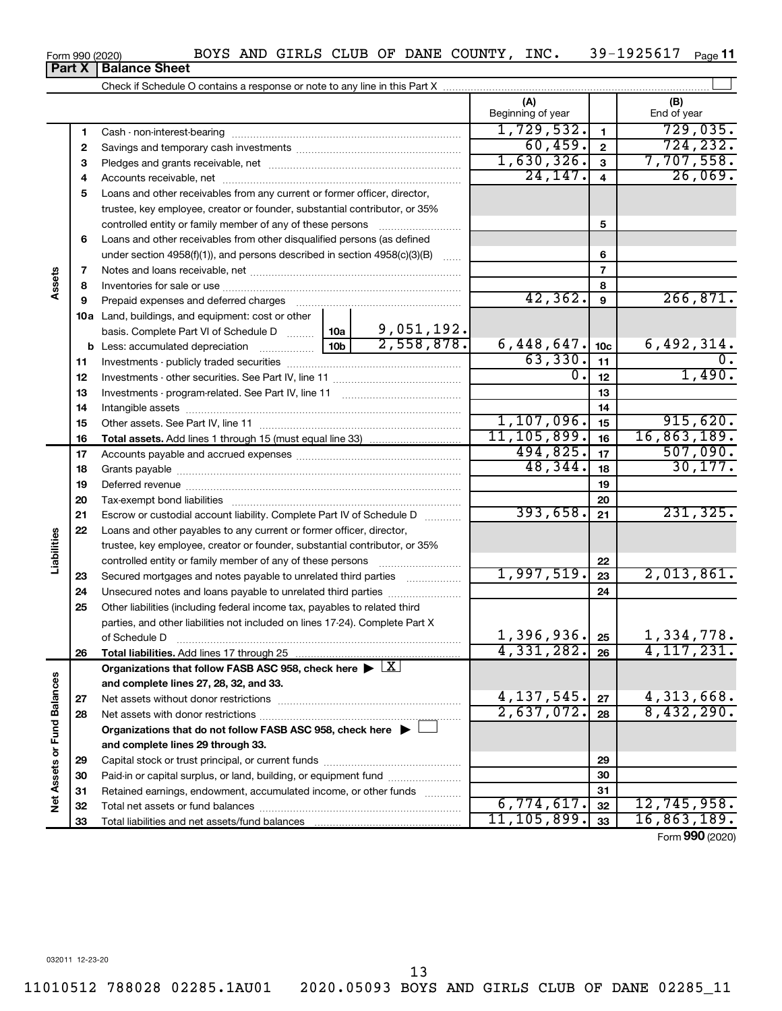| Form 990 (2020) |
|-----------------|
|-----------------|

# **Part X Balance Sheet**

|                             |          |                                                                                                        |                                                                                                                                       |    | (A)<br>Beginning of year |                       | (B)<br>End of year            |
|-----------------------------|----------|--------------------------------------------------------------------------------------------------------|---------------------------------------------------------------------------------------------------------------------------------------|----|--------------------------|-----------------------|-------------------------------|
|                             | 1        |                                                                                                        |                                                                                                                                       |    | 1,729,532.               | 1                     | 729,035.                      |
|                             | 2        |                                                                                                        |                                                                                                                                       |    | 60,459.                  | $\mathbf{2}$          | 724, 232.                     |
|                             | З        |                                                                                                        |                                                                                                                                       |    | 1,630,326.               | 3                     | 7,707,558.                    |
|                             | 4        |                                                                                                        |                                                                                                                                       |    | 24, 147.                 | $\overline{4}$        | 26,069.                       |
|                             | 5        | Loans and other receivables from any current or former officer, director,                              |                                                                                                                                       |    |                          |                       |                               |
|                             |          | trustee, key employee, creator or founder, substantial contributor, or 35%                             |                                                                                                                                       |    |                          |                       |                               |
|                             |          |                                                                                                        | controlled entity or family member of any of these persons<br>Loans and other receivables from other disqualified persons (as defined |    |                          |                       |                               |
|                             | 6        |                                                                                                        |                                                                                                                                       |    |                          |                       |                               |
|                             |          | under section $4958(f)(1)$ , and persons described in section $4958(c)(3)(B)$                          |                                                                                                                                       |    |                          | 6                     |                               |
|                             | 7        |                                                                                                        |                                                                                                                                       |    |                          | $\overline{7}$        |                               |
| Assets                      | 8        |                                                                                                        |                                                                                                                                       |    |                          | 8                     |                               |
|                             | 9        | Prepaid expenses and deferred charges                                                                  |                                                                                                                                       |    | 42,362.                  | 9                     | 266,871.                      |
|                             |          | 10a Land, buildings, and equipment: cost or other                                                      |                                                                                                                                       |    |                          |                       |                               |
|                             |          | $\frac{9,051,192.}{2,558,878.}$<br>basis. Complete Part VI of Schedule D  10a                          |                                                                                                                                       |    | 6,448,647.               |                       |                               |
|                             |          |                                                                                                        | 10 <sub>b</sub>                                                                                                                       |    |                          | 10 <sub>c</sub><br>11 | <u>6,492,314.</u>             |
|                             | 11       |                                                                                                        |                                                                                                                                       |    |                          |                       |                               |
|                             | 12       |                                                                                                        | $\overline{0}$ .                                                                                                                      | 12 | 1,490.                   |                       |                               |
|                             | 13       |                                                                                                        |                                                                                                                                       | 13 |                          |                       |                               |
|                             | 14       |                                                                                                        |                                                                                                                                       | 14 |                          |                       |                               |
|                             | 15       |                                                                                                        | 1,107,096.                                                                                                                            | 15 | 915,620.                 |                       |                               |
|                             | 16       |                                                                                                        | 11, 105, 899.                                                                                                                         | 16 | 16,863,189.              |                       |                               |
|                             | 17       |                                                                                                        |                                                                                                                                       |    | 494,825.                 | 17                    | 507,090.<br>30, 177.          |
|                             | 18       |                                                                                                        |                                                                                                                                       |    | 48,344.                  | 18                    |                               |
|                             | 19       |                                                                                                        |                                                                                                                                       |    |                          | 19                    |                               |
|                             | 20       |                                                                                                        |                                                                                                                                       |    | 393,658.                 | 20                    | 231,325.                      |
|                             | 21       | Escrow or custodial account liability. Complete Part IV of Schedule D                                  |                                                                                                                                       |    |                          | 21                    |                               |
| Liabilities                 | 22       | Loans and other payables to any current or former officer, director,                                   |                                                                                                                                       |    |                          |                       |                               |
|                             |          | trustee, key employee, creator or founder, substantial contributor, or 35%                             |                                                                                                                                       |    |                          |                       |                               |
|                             |          |                                                                                                        |                                                                                                                                       |    | 1,997,519.               | 22                    | 2,013,861.                    |
|                             | 23       | Secured mortgages and notes payable to unrelated third parties                                         |                                                                                                                                       |    |                          | 23<br>24              |                               |
|                             | 24<br>25 | Other liabilities (including federal income tax, payables to related third                             |                                                                                                                                       |    |                          |                       |                               |
|                             |          | parties, and other liabilities not included on lines 17-24). Complete Part X                           |                                                                                                                                       |    |                          |                       |                               |
|                             |          | of Schedule D                                                                                          |                                                                                                                                       |    | 1,396,936.               | 25                    | 1,334,778.                    |
|                             | 26       | Total liabilities. Add lines 17 through 25                                                             |                                                                                                                                       |    | 4,331,282.               | 26                    | $\overline{4,117,231.}$       |
|                             |          | Organizations that follow FASB ASC 958, check here $\blacktriangleright \lfloor \underline{X} \rfloor$ |                                                                                                                                       |    |                          |                       |                               |
|                             |          | and complete lines 27, 28, 32, and 33.                                                                 |                                                                                                                                       |    |                          |                       |                               |
|                             | 27       |                                                                                                        |                                                                                                                                       |    | $4,137,545$ .            | 27                    |                               |
|                             | 28       |                                                                                                        |                                                                                                                                       |    | 2,637,072.               | 28                    | $\frac{4,313,668}{8,432,290}$ |
|                             |          | Organizations that do not follow FASB ASC 958, check here $\blacktriangleright$ [                      |                                                                                                                                       |    |                          |                       |                               |
|                             |          | and complete lines 29 through 33.                                                                      |                                                                                                                                       |    |                          |                       |                               |
|                             | 29       |                                                                                                        |                                                                                                                                       |    |                          | 29                    |                               |
| Net Assets or Fund Balances | 30       | Paid-in or capital surplus, or land, building, or equipment fund                                       |                                                                                                                                       |    |                          | 30                    |                               |
|                             | 31       | Retained earnings, endowment, accumulated income, or other funds                                       |                                                                                                                                       |    |                          | 31                    |                               |
|                             | 32       |                                                                                                        |                                                                                                                                       |    | 6,774,617.               | 32                    | 12,745,958.                   |
|                             | 33       |                                                                                                        |                                                                                                                                       |    | 11, 105, 899.            | 33                    | 16,863,189.                   |
|                             |          |                                                                                                        |                                                                                                                                       |    |                          |                       |                               |

Form (2020) **990**

032011 12-23-20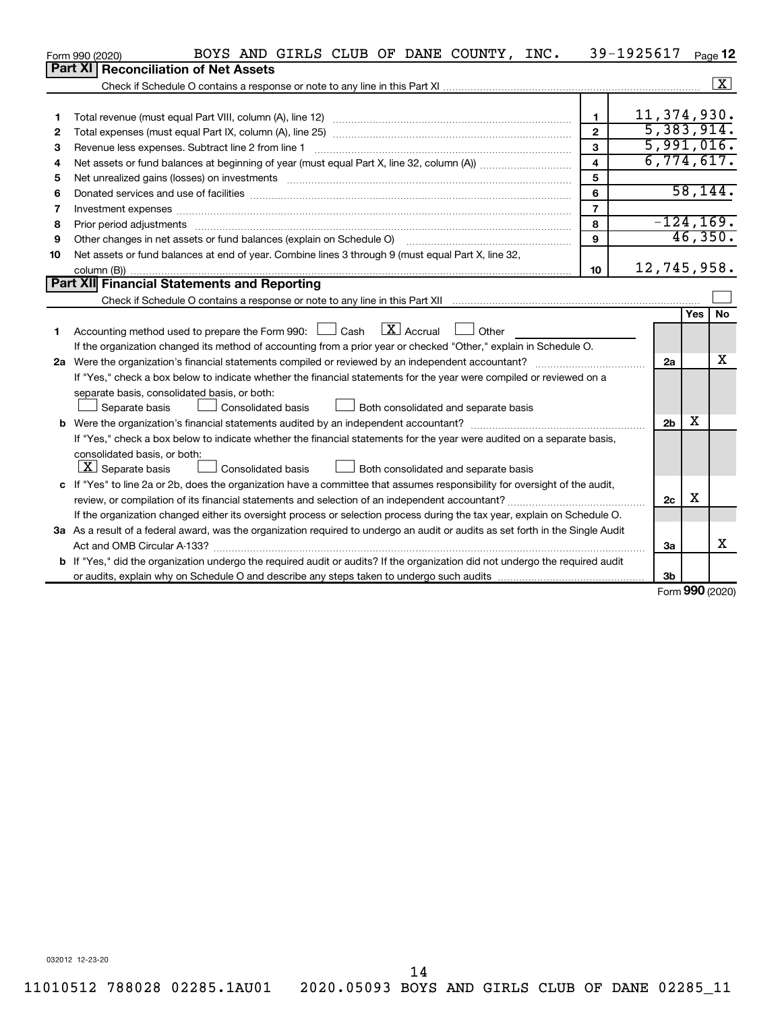|    | BOYS AND GIRLS CLUB OF DANE COUNTY, INC.<br>Form 990 (2020)                                                                     |                | 39-1925617     |            | Page 12      |
|----|---------------------------------------------------------------------------------------------------------------------------------|----------------|----------------|------------|--------------|
|    | <b>Part XI</b><br><b>Reconciliation of Net Assets</b>                                                                           |                |                |            |              |
|    |                                                                                                                                 |                |                |            | $\mathbf{X}$ |
|    |                                                                                                                                 |                |                |            |              |
| 1  |                                                                                                                                 | $\blacksquare$ | 11, 374, 930.  |            |              |
| 2  |                                                                                                                                 | $\mathbf{2}$   | 5,383,914.     |            |              |
| 3  | Revenue less expenses. Subtract line 2 from line 1                                                                              | 3              | 5,991,016.     |            |              |
| 4  |                                                                                                                                 | $\overline{4}$ | 6,774,617.     |            |              |
| 5  |                                                                                                                                 | 5              |                |            |              |
| 6  |                                                                                                                                 | 6              |                |            | 58, 144.     |
| 7  |                                                                                                                                 | $\overline{7}$ |                |            |              |
| 8  | Prior period adjustments www.communication.communication.communication.com/                                                     | 8              | $-124, 169.$   |            |              |
| 9  | Other changes in net assets or fund balances (explain on Schedule O)                                                            | 9              |                |            | 46,350.      |
| 10 | Net assets or fund balances at end of year. Combine lines 3 through 9 (must equal Part X, line 32,                              |                |                |            |              |
|    |                                                                                                                                 | 10             | 12,745,958.    |            |              |
|    | Part XII Financial Statements and Reporting                                                                                     |                |                |            |              |
|    |                                                                                                                                 |                |                |            |              |
|    |                                                                                                                                 |                |                | <b>Yes</b> | <b>No</b>    |
| 1  | Accounting method used to prepare the Form 990: $\Box$ Cash $\Box$ Accrual $\Box$ Other                                         |                |                |            |              |
|    | If the organization changed its method of accounting from a prior year or checked "Other," explain in Schedule O.               |                |                |            |              |
|    |                                                                                                                                 |                | 2a             |            | x            |
|    | If "Yes," check a box below to indicate whether the financial statements for the year were compiled or reviewed on a            |                |                |            |              |
|    | separate basis, consolidated basis, or both:                                                                                    |                |                |            |              |
|    | Both consolidated and separate basis<br>Separate basis<br><b>Consolidated basis</b>                                             |                |                |            |              |
|    |                                                                                                                                 |                | 2 <sub>b</sub> | х          |              |
|    | If "Yes," check a box below to indicate whether the financial statements for the year were audited on a separate basis,         |                |                |            |              |
|    | consolidated basis, or both:                                                                                                    |                |                |            |              |
|    | $\lfloor x \rfloor$ Separate basis<br><b>Consolidated basis</b><br>Both consolidated and separate basis                         |                |                |            |              |
|    | c If "Yes" to line 2a or 2b, does the organization have a committee that assumes responsibility for oversight of the audit,     |                |                |            |              |
|    |                                                                                                                                 |                | 2c             | х          |              |
|    | If the organization changed either its oversight process or selection process during the tax year, explain on Schedule O.       |                |                |            |              |
|    | 3a As a result of a federal award, was the organization required to undergo an audit or audits as set forth in the Single Audit |                |                |            |              |
|    |                                                                                                                                 |                | 3a             |            | x            |
|    | b If "Yes," did the organization undergo the required audit or audits? If the organization did not undergo the required audit   |                |                |            |              |
|    |                                                                                                                                 |                | 3b             | <b>000</b> |              |

Form (2020) **990**

032012 12-23-20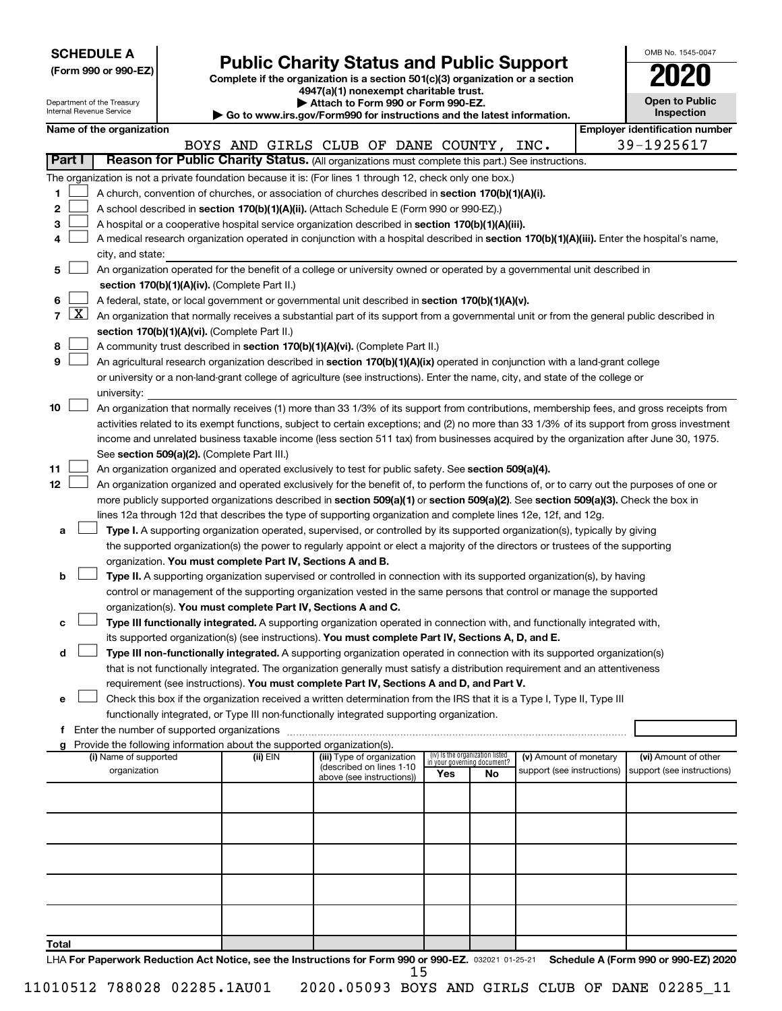|  | <b>SCHEDULE A</b> |
|--|-------------------|
|--|-------------------|

Department of the Treasury Internal Revenue Service

| (Form 990 or 990-EZ) |  |  |
|----------------------|--|--|
|                      |  |  |

Form 990 or 990-EZ) **Public Charity Status and Public Support**<br>
Complete if the organization is a section 501(c)(3) organization or a section<br> **2020 4947(a)(1) nonexempt charitable trust.**

**| Attach to Form 990 or Form 990-EZ.** 

**| Go to www.irs.gov/Form990 for instructions and the latest information.**

| OMB No. 1545-0047                   |
|-------------------------------------|
| U20                                 |
| <b>Open to Public</b><br>Inspection |
| ificati                             |

|               | Name of the organization                                                                                                                                                                        |          |                                                        |     |                                                                |                            |  | <b>Employer identification number</b> |  |  |
|---------------|-------------------------------------------------------------------------------------------------------------------------------------------------------------------------------------------------|----------|--------------------------------------------------------|-----|----------------------------------------------------------------|----------------------------|--|---------------------------------------|--|--|
| <b>Part I</b> | Reason for Public Charity Status. (All organizations must complete this part.) See instructions.                                                                                                |          | BOYS AND GIRLS CLUB OF DANE COUNTY, INC.               |     |                                                                |                            |  | 39-1925617                            |  |  |
|               | The organization is not a private foundation because it is: (For lines 1 through 12, check only one box.)                                                                                       |          |                                                        |     |                                                                |                            |  |                                       |  |  |
| 1             |                                                                                                                                                                                                 |          |                                                        |     |                                                                |                            |  |                                       |  |  |
| 2             | A church, convention of churches, or association of churches described in section 170(b)(1)(A)(i).<br>A school described in section 170(b)(1)(A)(ii). (Attach Schedule E (Form 990 or 990-EZ).) |          |                                                        |     |                                                                |                            |  |                                       |  |  |
| з             | A hospital or a cooperative hospital service organization described in section 170(b)(1)(A)(iii).                                                                                               |          |                                                        |     |                                                                |                            |  |                                       |  |  |
| 4             | A medical research organization operated in conjunction with a hospital described in section 170(b)(1)(A)(iii). Enter the hospital's name,                                                      |          |                                                        |     |                                                                |                            |  |                                       |  |  |
|               | city, and state:                                                                                                                                                                                |          |                                                        |     |                                                                |                            |  |                                       |  |  |
| 5             | An organization operated for the benefit of a college or university owned or operated by a governmental unit described in                                                                       |          |                                                        |     |                                                                |                            |  |                                       |  |  |
|               | section 170(b)(1)(A)(iv). (Complete Part II.)                                                                                                                                                   |          |                                                        |     |                                                                |                            |  |                                       |  |  |
| 6             | A federal, state, or local government or governmental unit described in section 170(b)(1)(A)(v).                                                                                                |          |                                                        |     |                                                                |                            |  |                                       |  |  |
|               | 7 $ X $ An organization that normally receives a substantial part of its support from a governmental unit or from the general public described in                                               |          |                                                        |     |                                                                |                            |  |                                       |  |  |
|               | section 170(b)(1)(A)(vi). (Complete Part II.)                                                                                                                                                   |          |                                                        |     |                                                                |                            |  |                                       |  |  |
| 8             | A community trust described in section 170(b)(1)(A)(vi). (Complete Part II.)                                                                                                                    |          |                                                        |     |                                                                |                            |  |                                       |  |  |
| 9             | An agricultural research organization described in section 170(b)(1)(A)(ix) operated in conjunction with a land-grant college                                                                   |          |                                                        |     |                                                                |                            |  |                                       |  |  |
|               | or university or a non-land-grant college of agriculture (see instructions). Enter the name, city, and state of the college or                                                                  |          |                                                        |     |                                                                |                            |  |                                       |  |  |
|               | university:                                                                                                                                                                                     |          |                                                        |     |                                                                |                            |  |                                       |  |  |
| 10            | An organization that normally receives (1) more than 33 1/3% of its support from contributions, membership fees, and gross receipts from                                                        |          |                                                        |     |                                                                |                            |  |                                       |  |  |
|               | activities related to its exempt functions, subject to certain exceptions; and (2) no more than 33 1/3% of its support from gross investment                                                    |          |                                                        |     |                                                                |                            |  |                                       |  |  |
|               | income and unrelated business taxable income (less section 511 tax) from businesses acquired by the organization after June 30, 1975.                                                           |          |                                                        |     |                                                                |                            |  |                                       |  |  |
|               | See section 509(a)(2). (Complete Part III.)                                                                                                                                                     |          |                                                        |     |                                                                |                            |  |                                       |  |  |
| 11            | An organization organized and operated exclusively to test for public safety. See section 509(a)(4).                                                                                            |          |                                                        |     |                                                                |                            |  |                                       |  |  |
| 12            | An organization organized and operated exclusively for the benefit of, to perform the functions of, or to carry out the purposes of one or                                                      |          |                                                        |     |                                                                |                            |  |                                       |  |  |
|               | more publicly supported organizations described in section 509(a)(1) or section 509(a)(2). See section 509(a)(3). Check the box in                                                              |          |                                                        |     |                                                                |                            |  |                                       |  |  |
|               | lines 12a through 12d that describes the type of supporting organization and complete lines 12e, 12f, and 12g.                                                                                  |          |                                                        |     |                                                                |                            |  |                                       |  |  |
| a             | Type I. A supporting organization operated, supervised, or controlled by its supported organization(s), typically by giving                                                                     |          |                                                        |     |                                                                |                            |  |                                       |  |  |
|               | the supported organization(s) the power to regularly appoint or elect a majority of the directors or trustees of the supporting                                                                 |          |                                                        |     |                                                                |                            |  |                                       |  |  |
|               | organization. You must complete Part IV, Sections A and B.                                                                                                                                      |          |                                                        |     |                                                                |                            |  |                                       |  |  |
| b             | Type II. A supporting organization supervised or controlled in connection with its supported organization(s), by having                                                                         |          |                                                        |     |                                                                |                            |  |                                       |  |  |
|               | control or management of the supporting organization vested in the same persons that control or manage the supported<br>organization(s). You must complete Part IV, Sections A and C.           |          |                                                        |     |                                                                |                            |  |                                       |  |  |
| с             | Type III functionally integrated. A supporting organization operated in connection with, and functionally integrated with,                                                                      |          |                                                        |     |                                                                |                            |  |                                       |  |  |
|               | its supported organization(s) (see instructions). You must complete Part IV, Sections A, D, and E.                                                                                              |          |                                                        |     |                                                                |                            |  |                                       |  |  |
| d             | Type III non-functionally integrated. A supporting organization operated in connection with its supported organization(s)                                                                       |          |                                                        |     |                                                                |                            |  |                                       |  |  |
|               | that is not functionally integrated. The organization generally must satisfy a distribution requirement and an attentiveness                                                                    |          |                                                        |     |                                                                |                            |  |                                       |  |  |
|               | requirement (see instructions). You must complete Part IV, Sections A and D, and Part V.                                                                                                        |          |                                                        |     |                                                                |                            |  |                                       |  |  |
|               | Check this box if the organization received a written determination from the IRS that it is a Type I, Type II, Type III                                                                         |          |                                                        |     |                                                                |                            |  |                                       |  |  |
|               | functionally integrated, or Type III non-functionally integrated supporting organization.                                                                                                       |          |                                                        |     |                                                                |                            |  |                                       |  |  |
|               | f Enter the number of supported organizations                                                                                                                                                   |          |                                                        |     |                                                                |                            |  |                                       |  |  |
|               | g Provide the following information about the supported organization(s).                                                                                                                        |          |                                                        |     |                                                                |                            |  |                                       |  |  |
|               | (i) Name of supported                                                                                                                                                                           | (ii) EIN | (iii) Type of organization<br>(described on lines 1-10 |     | (iv) Is the organization listed<br>in your governing document? | (v) Amount of monetary     |  | (vi) Amount of other                  |  |  |
|               | organization                                                                                                                                                                                    |          | above (see instructions))                              | Yes | No                                                             | support (see instructions) |  | support (see instructions)            |  |  |
|               |                                                                                                                                                                                                 |          |                                                        |     |                                                                |                            |  |                                       |  |  |
|               |                                                                                                                                                                                                 |          |                                                        |     |                                                                |                            |  |                                       |  |  |
|               |                                                                                                                                                                                                 |          |                                                        |     |                                                                |                            |  |                                       |  |  |
|               |                                                                                                                                                                                                 |          |                                                        |     |                                                                |                            |  |                                       |  |  |
|               |                                                                                                                                                                                                 |          |                                                        |     |                                                                |                            |  |                                       |  |  |
|               |                                                                                                                                                                                                 |          |                                                        |     |                                                                |                            |  |                                       |  |  |
|               |                                                                                                                                                                                                 |          |                                                        |     |                                                                |                            |  |                                       |  |  |
|               |                                                                                                                                                                                                 |          |                                                        |     |                                                                |                            |  |                                       |  |  |
|               |                                                                                                                                                                                                 |          |                                                        |     |                                                                |                            |  |                                       |  |  |
|               |                                                                                                                                                                                                 |          |                                                        |     |                                                                |                            |  |                                       |  |  |
| Total         |                                                                                                                                                                                                 |          |                                                        |     |                                                                |                            |  |                                       |  |  |

LHA For Paperwork Reduction Act Notice, see the Instructions for Form 990 or 990-EZ. 032021 01-25-21 Schedule A (Form 990 or 990-EZ) 2020 15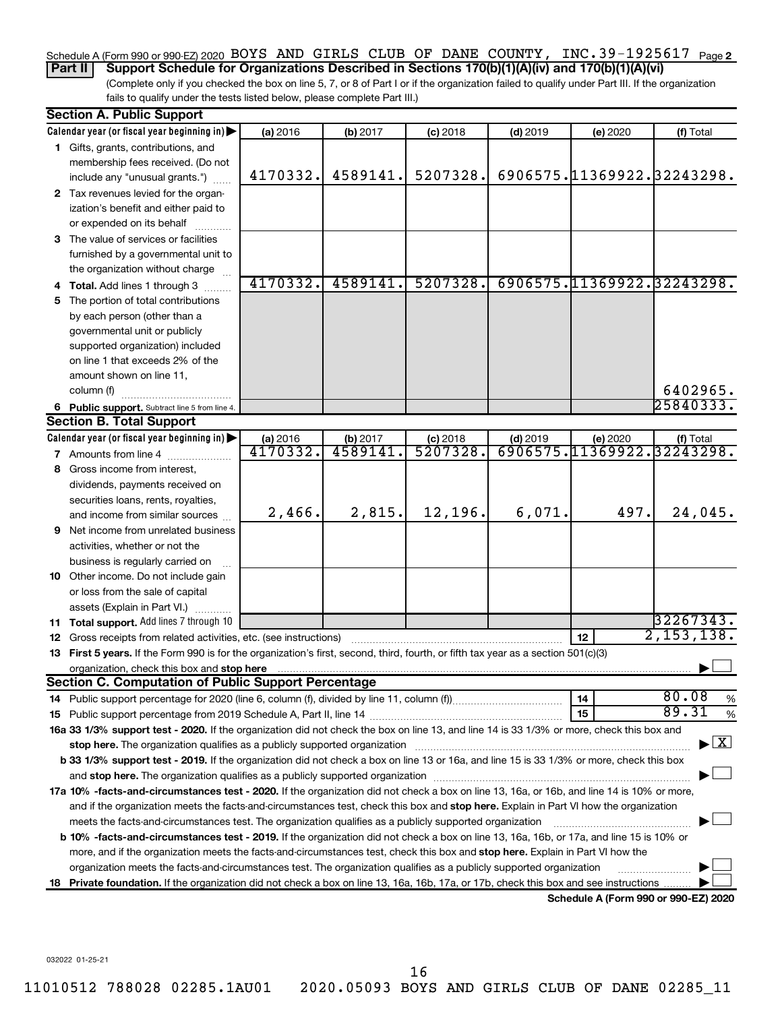# Schedule A (Form 990 or 990-EZ) 2020 BOYS AND GIRLS CLUB OF DANE COUNTY, INC.39-1925617 <sub>Page 2</sub>

(Complete only if you checked the box on line 5, 7, or 8 of Part I or if the organization failed to qualify under Part III. If the organization **Part II Support Schedule for Organizations Described in Sections 170(b)(1)(A)(iv) and 170(b)(1)(A)(vi)**

fails to qualify under the tests listed below, please complete Part III.)

|    | <b>Section A. Public Support</b>                                                                                                                                                                                                                                                    |          |          |            |            |                            |                                         |
|----|-------------------------------------------------------------------------------------------------------------------------------------------------------------------------------------------------------------------------------------------------------------------------------------|----------|----------|------------|------------|----------------------------|-----------------------------------------|
|    | Calendar year (or fiscal year beginning in)                                                                                                                                                                                                                                         | (a) 2016 | (b) 2017 | $(c)$ 2018 | $(d)$ 2019 | (e) 2020                   | (f) Total                               |
|    | 1 Gifts, grants, contributions, and                                                                                                                                                                                                                                                 |          |          |            |            |                            |                                         |
|    | membership fees received. (Do not                                                                                                                                                                                                                                                   |          |          |            |            |                            |                                         |
|    | include any "unusual grants.")                                                                                                                                                                                                                                                      | 4170332. | 4589141. | 5207328.   |            | 6906575.11369922.32243298. |                                         |
|    | 2 Tax revenues levied for the organ-                                                                                                                                                                                                                                                |          |          |            |            |                            |                                         |
|    | ization's benefit and either paid to                                                                                                                                                                                                                                                |          |          |            |            |                            |                                         |
|    | or expended on its behalf                                                                                                                                                                                                                                                           |          |          |            |            |                            |                                         |
|    | 3 The value of services or facilities                                                                                                                                                                                                                                               |          |          |            |            |                            |                                         |
|    | furnished by a governmental unit to                                                                                                                                                                                                                                                 |          |          |            |            |                            |                                         |
|    | the organization without charge                                                                                                                                                                                                                                                     |          |          |            |            |                            |                                         |
|    | Total. Add lines 1 through 3                                                                                                                                                                                                                                                        | 4170332. | 4589141. | 5207328.   |            | 6906575.11369922.32243298. |                                         |
| 5  | The portion of total contributions                                                                                                                                                                                                                                                  |          |          |            |            |                            |                                         |
|    | by each person (other than a                                                                                                                                                                                                                                                        |          |          |            |            |                            |                                         |
|    | governmental unit or publicly                                                                                                                                                                                                                                                       |          |          |            |            |                            |                                         |
|    | supported organization) included                                                                                                                                                                                                                                                    |          |          |            |            |                            |                                         |
|    | on line 1 that exceeds 2% of the                                                                                                                                                                                                                                                    |          |          |            |            |                            |                                         |
|    | amount shown on line 11,                                                                                                                                                                                                                                                            |          |          |            |            |                            |                                         |
|    | column (f)                                                                                                                                                                                                                                                                          |          |          |            |            |                            | 6402965.                                |
|    | 6 Public support. Subtract line 5 from line 4.                                                                                                                                                                                                                                      |          |          |            |            |                            | 25840333.                               |
|    | <b>Section B. Total Support</b>                                                                                                                                                                                                                                                     |          |          |            |            |                            |                                         |
|    | Calendar year (or fiscal year beginning in)                                                                                                                                                                                                                                         | (a) 2016 | (b) 2017 | $(c)$ 2018 | $(d)$ 2019 | (e) 2020                   | (f) Total                               |
|    | 7 Amounts from line 4                                                                                                                                                                                                                                                               | 4170332. | 4589141  | 5207328.   |            | 6906575.11369922.32243298. |                                         |
| 8  | Gross income from interest,                                                                                                                                                                                                                                                         |          |          |            |            |                            |                                         |
|    | dividends, payments received on                                                                                                                                                                                                                                                     |          |          |            |            |                            |                                         |
|    | securities loans, rents, royalties,                                                                                                                                                                                                                                                 |          |          |            |            |                            |                                         |
|    | and income from similar sources                                                                                                                                                                                                                                                     | 2,466.   | 2,815.   | 12,196.    | 6,071.     | 497.                       | 24,045.                                 |
| 9  | Net income from unrelated business                                                                                                                                                                                                                                                  |          |          |            |            |                            |                                         |
|    | activities, whether or not the                                                                                                                                                                                                                                                      |          |          |            |            |                            |                                         |
|    | business is regularly carried on                                                                                                                                                                                                                                                    |          |          |            |            |                            |                                         |
|    | 10 Other income. Do not include gain                                                                                                                                                                                                                                                |          |          |            |            |                            |                                         |
|    | or loss from the sale of capital                                                                                                                                                                                                                                                    |          |          |            |            |                            |                                         |
|    | assets (Explain in Part VI.)                                                                                                                                                                                                                                                        |          |          |            |            |                            |                                         |
|    | <b>11 Total support.</b> Add lines 7 through 10                                                                                                                                                                                                                                     |          |          |            |            |                            | 32267343.                               |
| 12 | Gross receipts from related activities, etc. (see instructions)                                                                                                                                                                                                                     |          |          |            |            | 12                         | 2,153,138.                              |
|    | 13 First 5 years. If the Form 990 is for the organization's first, second, third, fourth, or fifth tax year as a section 501(c)(3)                                                                                                                                                  |          |          |            |            |                            |                                         |
|    | organization, check this box and stop here                                                                                                                                                                                                                                          |          |          |            |            |                            |                                         |
|    | <b>Section C. Computation of Public Support Percentage</b>                                                                                                                                                                                                                          |          |          |            |            |                            | 80.08                                   |
|    |                                                                                                                                                                                                                                                                                     |          |          |            |            | 14                         | %<br>89.31                              |
|    |                                                                                                                                                                                                                                                                                     |          |          |            |            | 15                         | $\%$                                    |
|    | 16a 33 1/3% support test - 2020. If the organization did not check the box on line 13, and line 14 is 33 1/3% or more, check this box and                                                                                                                                           |          |          |            |            |                            | $\blacktriangleright$ $\vert$ X $\vert$ |
|    | stop here. The organization qualifies as a publicly supported organization manufaction manufacture or the organization                                                                                                                                                              |          |          |            |            |                            |                                         |
|    | b 33 1/3% support test - 2019. If the organization did not check a box on line 13 or 16a, and line 15 is 33 1/3% or more, check this box                                                                                                                                            |          |          |            |            |                            |                                         |
|    |                                                                                                                                                                                                                                                                                     |          |          |            |            |                            |                                         |
|    | 17a 10% -facts-and-circumstances test - 2020. If the organization did not check a box on line 13, 16a, or 16b, and line 14 is 10% or more,<br>and if the organization meets the facts-and-circumstances test, check this box and stop here. Explain in Part VI how the organization |          |          |            |            |                            |                                         |
|    |                                                                                                                                                                                                                                                                                     |          |          |            |            |                            |                                         |
|    | meets the facts-and-circumstances test. The organization qualifies as a publicly supported organization<br>b 10% -facts-and-circumstances test - 2019. If the organization did not check a box on line 13, 16a, 16b, or 17a, and line 15 is 10% or                                  |          |          |            |            |                            |                                         |
|    | more, and if the organization meets the facts-and-circumstances test, check this box and stop here. Explain in Part VI how the                                                                                                                                                      |          |          |            |            |                            |                                         |
|    | organization meets the facts-and-circumstances test. The organization qualifies as a publicly supported organization                                                                                                                                                                |          |          |            |            |                            |                                         |
|    |                                                                                                                                                                                                                                                                                     |          |          |            |            |                            |                                         |
|    | 18 Private foundation. If the organization did not check a box on line 13, 16a, 16b, 17a, or 17b, check this box and see instructions<br>Schedule A (Form 990 or 990-EZ) 2020                                                                                                       |          |          |            |            |                            |                                         |

032022 01-25-21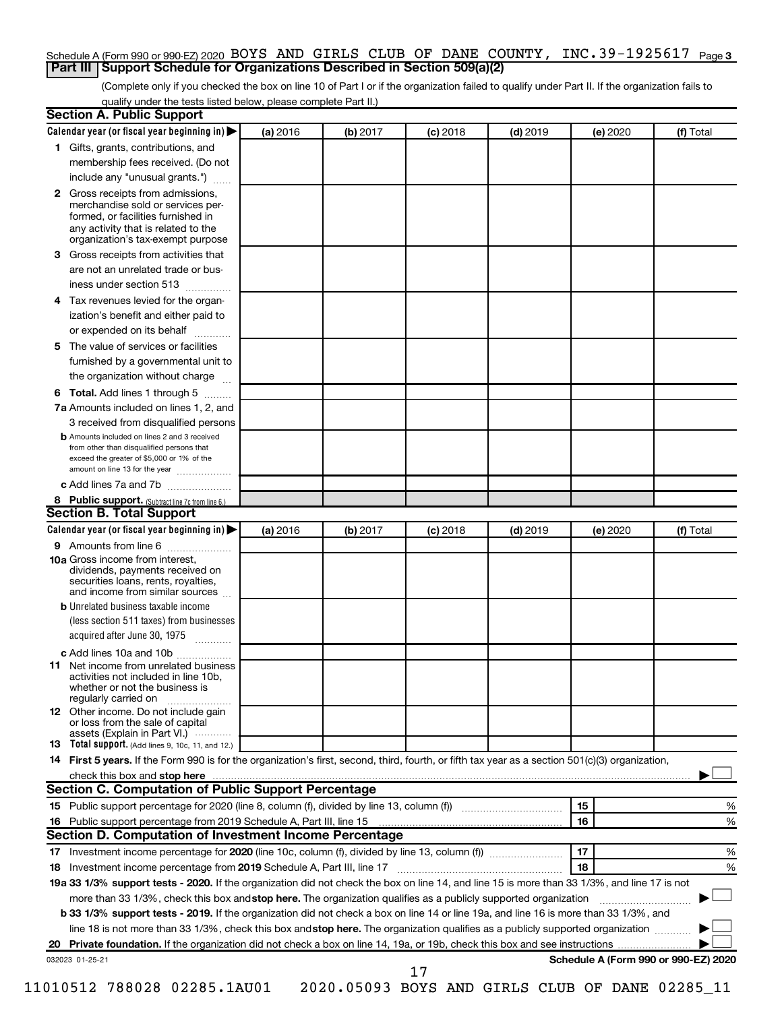#### Schedule A (Form 990 or 990-EZ) 2020 BOYS AND GIRLS CLUB OF DANE COUNTY, INC.39-1925617 <sub>Page 3</sub> **Part III Support Schedule for Organizations Described in Section 509(a)(2)**

(Complete only if you checked the box on line 10 of Part I or if the organization failed to qualify under Part II. If the organization fails to qualify under the tests listed below, please complete Part II.)

| <b>Section A. Public Support</b>                                                                                                                                                 |          |          |            |            |          |                                      |
|----------------------------------------------------------------------------------------------------------------------------------------------------------------------------------|----------|----------|------------|------------|----------|--------------------------------------|
| Calendar year (or fiscal year beginning in)                                                                                                                                      | (a) 2016 | (b) 2017 | $(c)$ 2018 | $(d)$ 2019 | (e) 2020 | (f) Total                            |
| 1 Gifts, grants, contributions, and                                                                                                                                              |          |          |            |            |          |                                      |
| membership fees received. (Do not                                                                                                                                                |          |          |            |            |          |                                      |
| include any "unusual grants.")                                                                                                                                                   |          |          |            |            |          |                                      |
| 2 Gross receipts from admissions,<br>merchandise sold or services per-<br>formed, or facilities furnished in<br>any activity that is related to the                              |          |          |            |            |          |                                      |
| organization's tax-exempt purpose                                                                                                                                                |          |          |            |            |          |                                      |
| <b>3</b> Gross receipts from activities that                                                                                                                                     |          |          |            |            |          |                                      |
| are not an unrelated trade or bus-                                                                                                                                               |          |          |            |            |          |                                      |
| iness under section 513                                                                                                                                                          |          |          |            |            |          |                                      |
| 4 Tax revenues levied for the organ-<br>ization's benefit and either paid to                                                                                                     |          |          |            |            |          |                                      |
| or expended on its behalf                                                                                                                                                        |          |          |            |            |          |                                      |
| 5 The value of services or facilities                                                                                                                                            |          |          |            |            |          |                                      |
| furnished by a governmental unit to                                                                                                                                              |          |          |            |            |          |                                      |
| the organization without charge                                                                                                                                                  |          |          |            |            |          |                                      |
| <b>6 Total.</b> Add lines 1 through 5                                                                                                                                            |          |          |            |            |          |                                      |
| 7a Amounts included on lines 1, 2, and                                                                                                                                           |          |          |            |            |          |                                      |
| 3 received from disqualified persons                                                                                                                                             |          |          |            |            |          |                                      |
| <b>b</b> Amounts included on lines 2 and 3 received<br>from other than disqualified persons that<br>exceed the greater of \$5,000 or 1% of the<br>amount on line 13 for the year |          |          |            |            |          |                                      |
| c Add lines 7a and 7b                                                                                                                                                            |          |          |            |            |          |                                      |
| 8 Public support. (Subtract line 7c from line 6.)                                                                                                                                |          |          |            |            |          |                                      |
| <b>Section B. Total Support</b>                                                                                                                                                  |          |          |            |            |          |                                      |
| Calendar year (or fiscal year beginning in)                                                                                                                                      | (a) 2016 | (b) 2017 | $(c)$ 2018 | $(d)$ 2019 | (e) 2020 | (f) Total                            |
| <b>9</b> Amounts from line 6                                                                                                                                                     |          |          |            |            |          |                                      |
| <b>10a</b> Gross income from interest,<br>dividends, payments received on<br>securities loans, rents, royalties,<br>and income from similar sources                              |          |          |            |            |          |                                      |
| <b>b</b> Unrelated business taxable income                                                                                                                                       |          |          |            |            |          |                                      |
| (less section 511 taxes) from businesses<br>acquired after June 30, 1975                                                                                                         |          |          |            |            |          |                                      |
| c Add lines 10a and 10b                                                                                                                                                          |          |          |            |            |          |                                      |
| <b>11</b> Net income from unrelated business<br>activities not included in line 10b.<br>whether or not the business is<br>regularly carried on                                   |          |          |            |            |          |                                      |
| <b>12</b> Other income. Do not include gain<br>or loss from the sale of capital<br>assets (Explain in Part VI.)                                                                  |          |          |            |            |          |                                      |
| <b>13</b> Total support. (Add lines 9, 10c, 11, and 12.)                                                                                                                         |          |          |            |            |          |                                      |
| 14 First 5 years. If the Form 990 is for the organization's first, second, third, fourth, or fifth tax year as a section 501(c)(3) organization,                                 |          |          |            |            |          |                                      |
| check this box and stop here                                                                                                                                                     |          |          |            |            |          |                                      |
| <b>Section C. Computation of Public Support Percentage</b>                                                                                                                       |          |          |            |            |          |                                      |
| 15 Public support percentage for 2020 (line 8, column (f), divided by line 13, column (f) <i></i>                                                                                |          |          |            |            | 15       | ℅                                    |
| 16 Public support percentage from 2019 Schedule A, Part III, line 15                                                                                                             |          |          |            |            | 16       | %                                    |
| Section D. Computation of Investment Income Percentage                                                                                                                           |          |          |            |            |          |                                      |
|                                                                                                                                                                                  |          |          |            |            | 17       | %                                    |
| 18 Investment income percentage from 2019 Schedule A, Part III, line 17                                                                                                          |          |          |            |            | 18       | %                                    |
| 19a 33 1/3% support tests - 2020. If the organization did not check the box on line 14, and line 15 is more than 33 1/3%, and line 17 is not                                     |          |          |            |            |          |                                      |
| more than 33 1/3%, check this box and stop here. The organization qualifies as a publicly supported organization                                                                 |          |          |            |            |          |                                      |
| b 33 1/3% support tests - 2019. If the organization did not check a box on line 14 or line 19a, and line 16 is more than 33 1/3%, and                                            |          |          |            |            |          |                                      |
| line 18 is not more than 33 1/3%, check this box and stop here. The organization qualifies as a publicly supported organization                                                  |          |          |            |            |          |                                      |
|                                                                                                                                                                                  |          |          |            |            |          |                                      |
| 032023 01-25-21                                                                                                                                                                  |          |          |            |            |          | Schedule A (Form 990 or 990-EZ) 2020 |
|                                                                                                                                                                                  |          |          | 17         |            |          |                                      |

| 11010512 788028 02285 <b>.</b> 1AU0 |  |  |  |
|-------------------------------------|--|--|--|
|-------------------------------------|--|--|--|

1 2020.05093 BOYS AND GIRLS CLUB OF DANE 02285\_11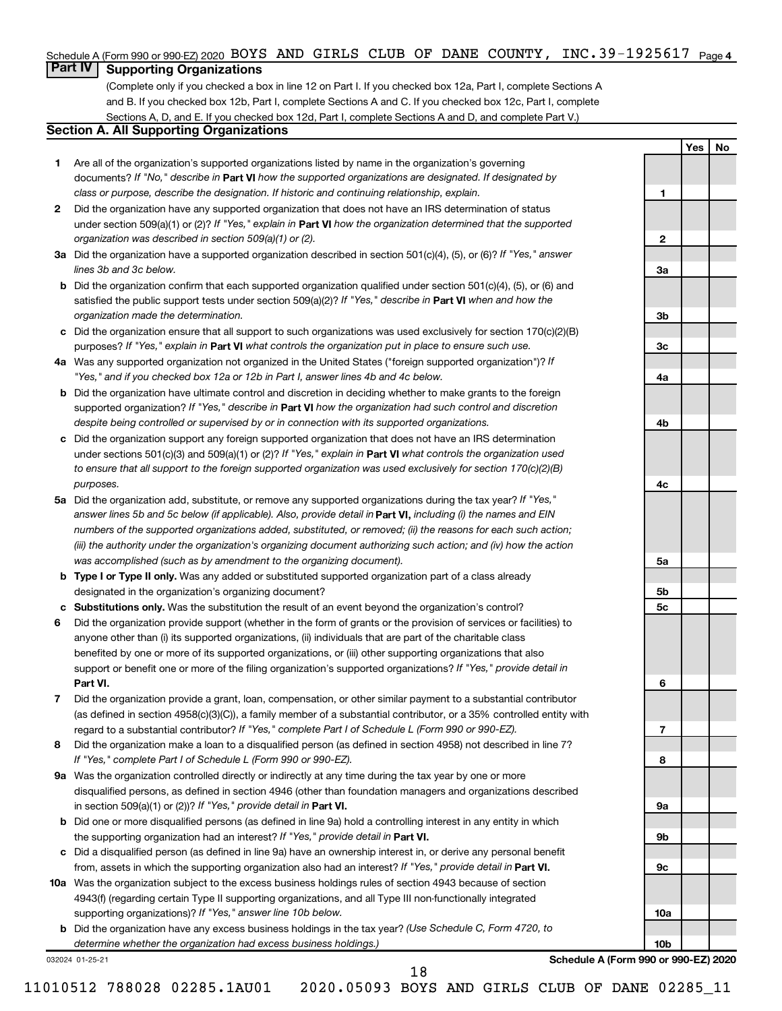#### Schedule A (Form 990 or 990-EZ) 2020 BOYS AND GIRLS CLUB OF DANE COUNTY, INC<sub>.</sub>39-1925617 <sub>Page 4</sub>

# **Part IV Supporting Organizations**

(Complete only if you checked a box in line 12 on Part I. If you checked box 12a, Part I, complete Sections A and B. If you checked box 12b, Part I, complete Sections A and C. If you checked box 12c, Part I, complete Sections A, D, and E. If you checked box 12d, Part I, complete Sections A and D, and complete Part V.)

## **Section A. All Supporting Organizations**

- **1** Are all of the organization's supported organizations listed by name in the organization's governing documents? If "No," describe in Part VI how the supported organizations are designated. If designated by *class or purpose, describe the designation. If historic and continuing relationship, explain.*
- **2** Did the organization have any supported organization that does not have an IRS determination of status under section 509(a)(1) or (2)? If "Yes," explain in Part **VI** how the organization determined that the supported *organization was described in section 509(a)(1) or (2).*
- **3a** Did the organization have a supported organization described in section 501(c)(4), (5), or (6)? If "Yes," answer *lines 3b and 3c below.*
- **b** Did the organization confirm that each supported organization qualified under section 501(c)(4), (5), or (6) and satisfied the public support tests under section 509(a)(2)? If "Yes," describe in Part VI when and how the *organization made the determination.*
- **c** Did the organization ensure that all support to such organizations was used exclusively for section 170(c)(2)(B) purposes? If "Yes," explain in Part VI what controls the organization put in place to ensure such use.
- **4 a** *If* Was any supported organization not organized in the United States ("foreign supported organization")? *"Yes," and if you checked box 12a or 12b in Part I, answer lines 4b and 4c below.*
- **b** Did the organization have ultimate control and discretion in deciding whether to make grants to the foreign supported organization? If "Yes," describe in Part VI how the organization had such control and discretion *despite being controlled or supervised by or in connection with its supported organizations.*
- **c** Did the organization support any foreign supported organization that does not have an IRS determination under sections 501(c)(3) and 509(a)(1) or (2)? If "Yes," explain in Part VI what controls the organization used *to ensure that all support to the foreign supported organization was used exclusively for section 170(c)(2)(B) purposes.*
- **5a** Did the organization add, substitute, or remove any supported organizations during the tax year? If "Yes," answer lines 5b and 5c below (if applicable). Also, provide detail in **Part VI,** including (i) the names and EIN *numbers of the supported organizations added, substituted, or removed; (ii) the reasons for each such action; (iii) the authority under the organization's organizing document authorizing such action; and (iv) how the action was accomplished (such as by amendment to the organizing document).*
- **b** Type I or Type II only. Was any added or substituted supported organization part of a class already designated in the organization's organizing document?
- **c Substitutions only.**  Was the substitution the result of an event beyond the organization's control?
- **6** Did the organization provide support (whether in the form of grants or the provision of services or facilities) to **Part VI.** support or benefit one or more of the filing organization's supported organizations? If "Yes," provide detail in anyone other than (i) its supported organizations, (ii) individuals that are part of the charitable class benefited by one or more of its supported organizations, or (iii) other supporting organizations that also
- **7** Did the organization provide a grant, loan, compensation, or other similar payment to a substantial contributor regard to a substantial contributor? If "Yes," complete Part I of Schedule L (Form 990 or 990-EZ). (as defined in section 4958(c)(3)(C)), a family member of a substantial contributor, or a 35% controlled entity with
- **8** Did the organization make a loan to a disqualified person (as defined in section 4958) not described in line 7? *If "Yes," complete Part I of Schedule L (Form 990 or 990-EZ).*
- **9 a** Was the organization controlled directly or indirectly at any time during the tax year by one or more in section 509(a)(1) or (2))? If "Yes," provide detail in **Part VI.** disqualified persons, as defined in section 4946 (other than foundation managers and organizations described
- **b** Did one or more disqualified persons (as defined in line 9a) hold a controlling interest in any entity in which the supporting organization had an interest? If "Yes," provide detail in Part VI.
- **c** Did a disqualified person (as defined in line 9a) have an ownership interest in, or derive any personal benefit from, assets in which the supporting organization also had an interest? If "Yes," provide detail in Part VI.
- **10 a** Was the organization subject to the excess business holdings rules of section 4943 because of section supporting organizations)? If "Yes," answer line 10b below. 4943(f) (regarding certain Type II supporting organizations, and all Type III non-functionally integrated
	- **b** Did the organization have any excess business holdings in the tax year? (Use Schedule C, Form 4720, to *determine whether the organization had excess business holdings.)*

032024 01-25-21

**Schedule A (Form 990 or 990-EZ) 2020**

**Yes No**

**1**

**2**

**3a**

**3b**

**3c**

**4a**

**4b**

**4c**

**5a**

**5b 5c**

**6**

**7**

**8**

**9a**

**9b**

**9c**

**10a**

**10b**

11010512 788028 02285.1AU01 2020.05093 BOYS AND GIRLS CLUB OF DANE 02285\_11

18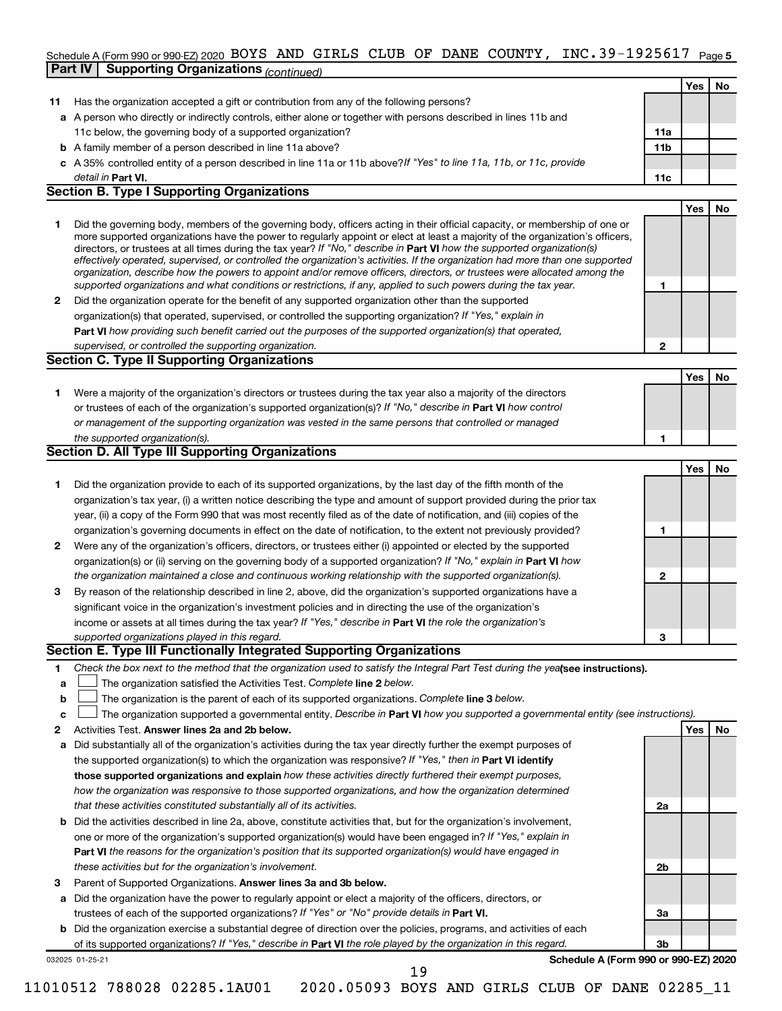#### INC.39-1925617 <sub>Page 5</sub> Schedule A (Form 990 or 990-EZ) 2020 BOYS AND GIRLS CLUB OF DANE COUNTY, INC.39-1925617  $_{\sf Page}$ **Part IV Supporting Organizations** *(continued)*

|              | GILIVI<br><i>Continued</i> Continued by Manuel Continued                                                                                                                                                                                                    |                 |     |    |
|--------------|-------------------------------------------------------------------------------------------------------------------------------------------------------------------------------------------------------------------------------------------------------------|-----------------|-----|----|
|              |                                                                                                                                                                                                                                                             |                 | Yes | No |
| 11           | Has the organization accepted a gift or contribution from any of the following persons?                                                                                                                                                                     |                 |     |    |
|              | a A person who directly or indirectly controls, either alone or together with persons described in lines 11b and                                                                                                                                            |                 |     |    |
|              | 11c below, the governing body of a supported organization?                                                                                                                                                                                                  | 11a             |     |    |
|              | <b>b</b> A family member of a person described in line 11a above?                                                                                                                                                                                           | 11 <sub>b</sub> |     |    |
|              | c A 35% controlled entity of a person described in line 11a or 11b above? If "Yes" to line 11a, 11b, or 11c, provide                                                                                                                                        |                 |     |    |
|              | detail in <b>Part VI.</b>                                                                                                                                                                                                                                   | 11c             |     |    |
|              | <b>Section B. Type I Supporting Organizations</b>                                                                                                                                                                                                           |                 |     |    |
|              |                                                                                                                                                                                                                                                             |                 | Yes | No |
| 1.           | Did the governing body, members of the governing body, officers acting in their official capacity, or membership of one or<br>more supported organizations have the power to regularly appoint or elect at least a majority of the organization's officers, |                 |     |    |
|              | directors, or trustees at all times during the tax year? If "No," describe in Part VI how the supported organization(s)                                                                                                                                     |                 |     |    |
|              | effectively operated, supervised, or controlled the organization's activities. If the organization had more than one supported                                                                                                                              |                 |     |    |
|              | organization, describe how the powers to appoint and/or remove officers, directors, or trustees were allocated among the                                                                                                                                    |                 |     |    |
|              | supported organizations and what conditions or restrictions, if any, applied to such powers during the tax year.                                                                                                                                            | 1               |     |    |
| $\mathbf{2}$ | Did the organization operate for the benefit of any supported organization other than the supported                                                                                                                                                         |                 |     |    |
|              | organization(s) that operated, supervised, or controlled the supporting organization? If "Yes," explain in                                                                                                                                                  |                 |     |    |
|              | Part VI how providing such benefit carried out the purposes of the supported organization(s) that operated,                                                                                                                                                 |                 |     |    |
|              | supervised, or controlled the supporting organization.<br><b>Section C. Type II Supporting Organizations</b>                                                                                                                                                | 2               |     |    |
|              |                                                                                                                                                                                                                                                             |                 |     |    |
|              |                                                                                                                                                                                                                                                             |                 | Yes | No |
| 1.           | Were a majority of the organization's directors or trustees during the tax year also a majority of the directors                                                                                                                                            |                 |     |    |
|              | or trustees of each of the organization's supported organization(s)? If "No," describe in Part VI how control                                                                                                                                               |                 |     |    |
|              | or management of the supporting organization was vested in the same persons that controlled or managed                                                                                                                                                      |                 |     |    |
|              | the supported organization(s).<br><b>Section D. All Type III Supporting Organizations</b>                                                                                                                                                                   | 1               |     |    |
|              |                                                                                                                                                                                                                                                             |                 |     |    |
|              |                                                                                                                                                                                                                                                             |                 | Yes | No |
| 1.           | Did the organization provide to each of its supported organizations, by the last day of the fifth month of the                                                                                                                                              |                 |     |    |
|              | organization's tax year, (i) a written notice describing the type and amount of support provided during the prior tax<br>year, (ii) a copy of the Form 990 that was most recently filed as of the date of notification, and (iii) copies of the             |                 |     |    |
|              | organization's governing documents in effect on the date of notification, to the extent not previously provided?                                                                                                                                            | 1               |     |    |
| $\mathbf{2}$ | Were any of the organization's officers, directors, or trustees either (i) appointed or elected by the supported                                                                                                                                            |                 |     |    |
|              | organization(s) or (ii) serving on the governing body of a supported organization? If "No," explain in Part VI how                                                                                                                                          |                 |     |    |
|              | the organization maintained a close and continuous working relationship with the supported organization(s).                                                                                                                                                 | 2               |     |    |
| 3            | By reason of the relationship described in line 2, above, did the organization's supported organizations have a                                                                                                                                             |                 |     |    |
|              | significant voice in the organization's investment policies and in directing the use of the organization's                                                                                                                                                  |                 |     |    |
|              | income or assets at all times during the tax year? If "Yes," describe in Part VI the role the organization's                                                                                                                                                |                 |     |    |
|              | supported organizations played in this regard.                                                                                                                                                                                                              | з               |     |    |
|              | Section E. Type III Functionally Integrated Supporting Organizations                                                                                                                                                                                        |                 |     |    |
| 1            | Check the box next to the method that the organization used to satisfy the Integral Part Test during the yealsee instructions).                                                                                                                             |                 |     |    |
| a            | The organization satisfied the Activities Test. Complete line 2 below.                                                                                                                                                                                      |                 |     |    |
| b            | The organization is the parent of each of its supported organizations. Complete line 3 below.                                                                                                                                                               |                 |     |    |
| с            | The organization supported a governmental entity. Describe in Part VI how you supported a governmental entity (see instructions).                                                                                                                           |                 |     |    |
| 2            | Activities Test. Answer lines 2a and 2b below.                                                                                                                                                                                                              |                 | Yes | No |
| а            | Did substantially all of the organization's activities during the tax year directly further the exempt purposes of                                                                                                                                          |                 |     |    |
|              | the supported organization(s) to which the organization was responsive? If "Yes," then in Part VI identify                                                                                                                                                  |                 |     |    |
|              | those supported organizations and explain how these activities directly furthered their exempt purposes,                                                                                                                                                    |                 |     |    |
|              | how the organization was responsive to those supported organizations, and how the organization determined                                                                                                                                                   |                 |     |    |
|              | that these activities constituted substantially all of its activities.                                                                                                                                                                                      | 2a              |     |    |
| b            | Did the activities described in line 2a, above, constitute activities that, but for the organization's involvement,                                                                                                                                         |                 |     |    |
|              | one or more of the organization's supported organization(s) would have been engaged in? If "Yes," explain in                                                                                                                                                |                 |     |    |
|              | Part VI the reasons for the organization's position that its supported organization(s) would have engaged in                                                                                                                                                |                 |     |    |
|              | these activities but for the organization's involvement.                                                                                                                                                                                                    | 2b              |     |    |
| 3            | Parent of Supported Organizations. Answer lines 3a and 3b below.                                                                                                                                                                                            |                 |     |    |
| а            | Did the organization have the power to regularly appoint or elect a majority of the officers, directors, or                                                                                                                                                 |                 |     |    |
|              | trustees of each of the supported organizations? If "Yes" or "No" provide details in Part VI.                                                                                                                                                               | За              |     |    |
|              |                                                                                                                                                                                                                                                             |                 |     |    |

**b** Did the organization exercise a substantial degree of direction over the policies, programs, and activities of each of its supported organizations? If "Yes," describe in Part VI the role played by the organization in this regard.

032025 01-25-21

**Schedule A (Form 990 or 990-EZ) 2020**

**3b**

19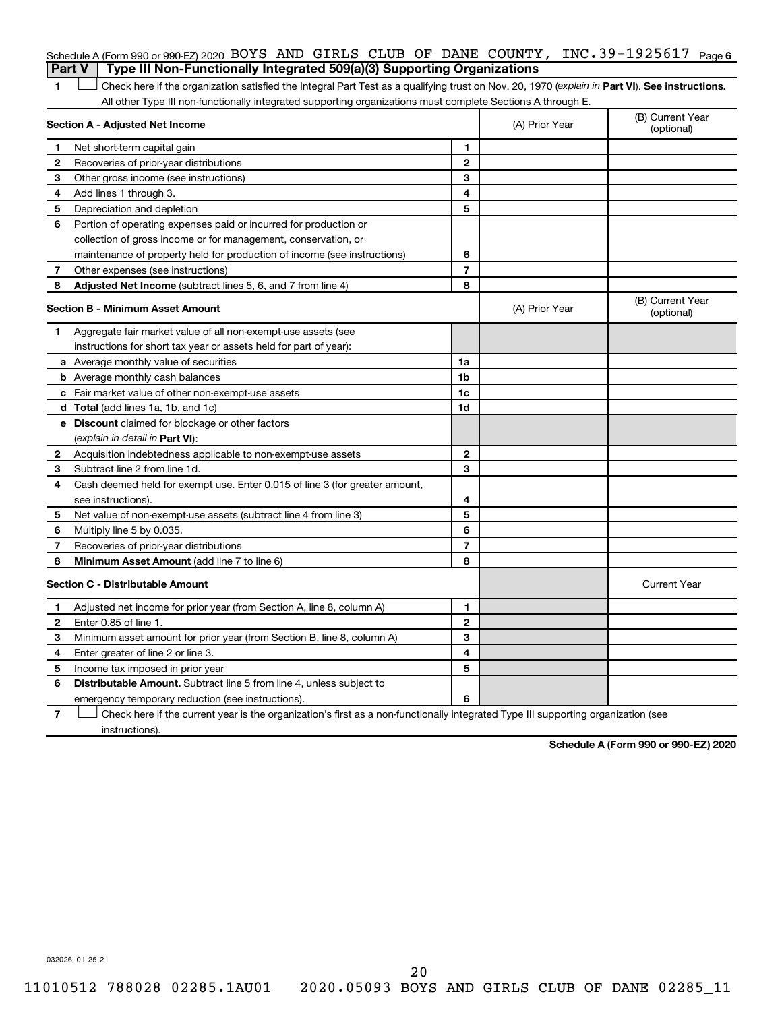#### Schedule A (Form 990 or 990-EZ) 2020 BOYS AND GIRLS CLUB OF DANE COUNTY, INC.39-1925617 <sub>Page 6</sub> **Part V Type III Non-Functionally Integrated 509(a)(3) Supporting Organizations**

1 **Letter See instructions.** Check here if the organization satisfied the Integral Part Test as a qualifying trust on Nov. 20, 1970 (*explain in* Part **VI**). See instructions. All other Type III non-functionally integrated supporting organizations must complete Sections A through E.

|              | Section A - Adjusted Net Income                                             | (A) Prior Year | (B) Current Year<br>(optional) |                                |
|--------------|-----------------------------------------------------------------------------|----------------|--------------------------------|--------------------------------|
| 1            | Net short-term capital gain                                                 | 1              |                                |                                |
| 2            | Recoveries of prior-year distributions                                      | $\mathbf{2}$   |                                |                                |
| З            | Other gross income (see instructions)                                       | 3              |                                |                                |
| 4            | Add lines 1 through 3.                                                      | 4              |                                |                                |
| 5            | Depreciation and depletion                                                  | 5              |                                |                                |
| 6            | Portion of operating expenses paid or incurred for production or            |                |                                |                                |
|              | collection of gross income or for management, conservation, or              |                |                                |                                |
|              | maintenance of property held for production of income (see instructions)    | 6              |                                |                                |
| 7            | Other expenses (see instructions)                                           | $\overline{7}$ |                                |                                |
| 8            | Adjusted Net Income (subtract lines 5, 6, and 7 from line 4)                | 8              |                                |                                |
|              | <b>Section B - Minimum Asset Amount</b>                                     |                | (A) Prior Year                 | (B) Current Year<br>(optional) |
| 1.           | Aggregate fair market value of all non-exempt-use assets (see               |                |                                |                                |
|              | instructions for short tax year or assets held for part of year):           |                |                                |                                |
|              | a Average monthly value of securities                                       | 1a             |                                |                                |
|              | <b>b</b> Average monthly cash balances                                      | 1b             |                                |                                |
|              | c Fair market value of other non-exempt-use assets                          | 1c             |                                |                                |
|              | d Total (add lines 1a, 1b, and 1c)                                          | 1d             |                                |                                |
|              | e Discount claimed for blockage or other factors                            |                |                                |                                |
|              | (explain in detail in Part VI):                                             |                |                                |                                |
| $\mathbf{2}$ | Acquisition indebtedness applicable to non-exempt-use assets                | $\mathbf{2}$   |                                |                                |
| З.           | Subtract line 2 from line 1d.                                               | 3              |                                |                                |
| 4            | Cash deemed held for exempt use. Enter 0.015 of line 3 (for greater amount, |                |                                |                                |
|              | see instructions).                                                          | 4              |                                |                                |
| 5            | Net value of non-exempt-use assets (subtract line 4 from line 3)            | 5              |                                |                                |
| 6            | Multiply line 5 by 0.035.                                                   | 6              |                                |                                |
| 7            | Recoveries of prior-year distributions                                      | $\overline{7}$ |                                |                                |
| 8            | Minimum Asset Amount (add line 7 to line 6)                                 | 8              |                                |                                |
|              | <b>Section C - Distributable Amount</b>                                     |                |                                | <b>Current Year</b>            |
| 1            | Adjusted net income for prior year (from Section A, line 8, column A)       | 1              |                                |                                |
| 2            | Enter 0.85 of line 1.                                                       | $\mathbf{2}$   |                                |                                |
| 3            | Minimum asset amount for prior year (from Section B, line 8, column A)      | 3              |                                |                                |
| 4            | Enter greater of line 2 or line 3.                                          | 4              |                                |                                |
| 5            | Income tax imposed in prior year                                            | 5              |                                |                                |
| 6            | <b>Distributable Amount.</b> Subtract line 5 from line 4, unless subject to |                |                                |                                |
|              | emergency temporary reduction (see instructions).                           | 6              |                                |                                |
|              |                                                                             |                |                                |                                |

**7** Check here if the current year is the organization's first as a non-functionally integrated Type III supporting organization (see † instructions).

**Schedule A (Form 990 or 990-EZ) 2020**

032026 01-25-21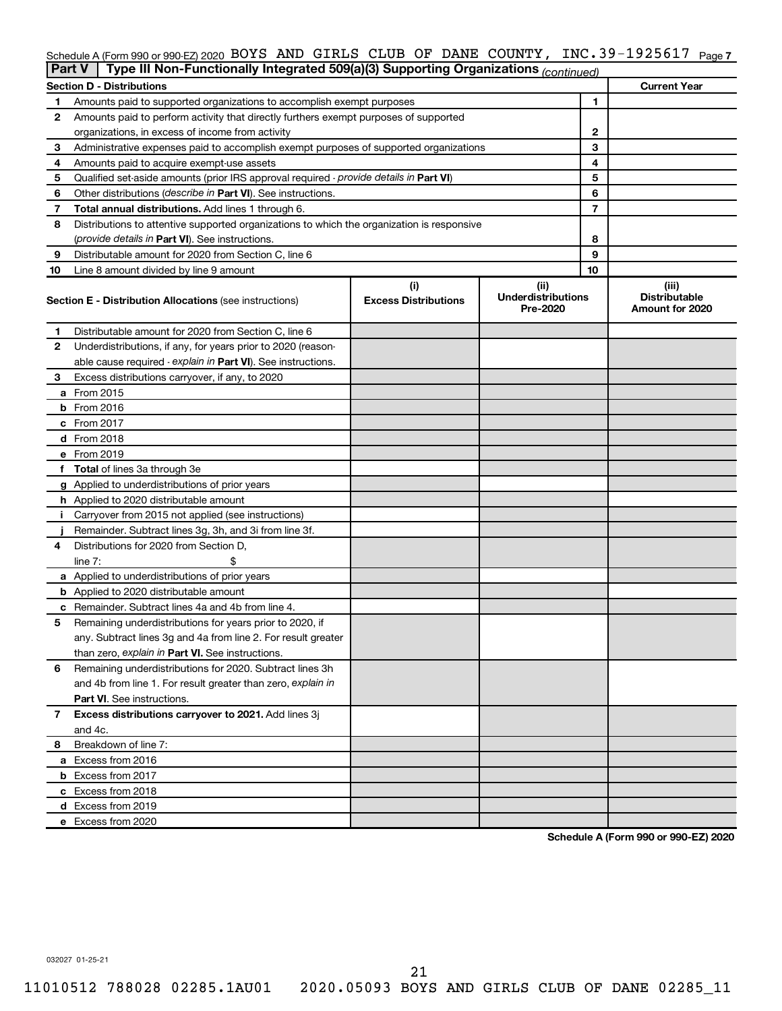#### Schedule A (Form 990 or 990-EZ) 2020 BOYS AND GIRLS CLUB OF DANE COUNTY, INC.39-1925617 <sub>Page 7</sub>

|    | Type III Non-Functionally Integrated 509(a)(3) Supporting Organizations (continued)<br>Part V |                                    |                                               |    |                                                  |  |
|----|-----------------------------------------------------------------------------------------------|------------------------------------|-----------------------------------------------|----|--------------------------------------------------|--|
|    | <b>Section D - Distributions</b>                                                              |                                    |                                               |    | <b>Current Year</b>                              |  |
| 1  | Amounts paid to supported organizations to accomplish exempt purposes                         |                                    |                                               | 1  |                                                  |  |
| 2  | Amounts paid to perform activity that directly furthers exempt purposes of supported          |                                    |                                               |    |                                                  |  |
|    | organizations, in excess of income from activity                                              |                                    | 2                                             |    |                                                  |  |
| 3  | Administrative expenses paid to accomplish exempt purposes of supported organizations         |                                    |                                               | 3  |                                                  |  |
| 4  | Amounts paid to acquire exempt-use assets                                                     |                                    |                                               | 4  |                                                  |  |
| 5  | Qualified set-aside amounts (prior IRS approval required - provide details in Part VI)        |                                    |                                               | 5  |                                                  |  |
| 6  | Other distributions (describe in Part VI). See instructions.                                  |                                    |                                               | 6  |                                                  |  |
| 7  | Total annual distributions. Add lines 1 through 6.                                            |                                    |                                               | 7  |                                                  |  |
| 8  | Distributions to attentive supported organizations to which the organization is responsive    |                                    |                                               |    |                                                  |  |
|    | ( <i>provide details in Part VI</i> ). See instructions.                                      |                                    |                                               | 8  |                                                  |  |
| 9  | Distributable amount for 2020 from Section C, line 6                                          |                                    |                                               | 9  |                                                  |  |
| 10 | Line 8 amount divided by line 9 amount                                                        |                                    |                                               | 10 |                                                  |  |
|    | <b>Section E - Distribution Allocations (see instructions)</b>                                | (i)<br><b>Excess Distributions</b> | (ii)<br><b>Underdistributions</b><br>Pre-2020 |    | (iii)<br><b>Distributable</b><br>Amount for 2020 |  |
| 1  | Distributable amount for 2020 from Section C, line 6                                          |                                    |                                               |    |                                                  |  |
| 2  | Underdistributions, if any, for years prior to 2020 (reason-                                  |                                    |                                               |    |                                                  |  |
|    | able cause required - explain in Part VI). See instructions.                                  |                                    |                                               |    |                                                  |  |
| З  | Excess distributions carryover, if any, to 2020                                               |                                    |                                               |    |                                                  |  |
|    | a From 2015                                                                                   |                                    |                                               |    |                                                  |  |
|    | $b$ From 2016                                                                                 |                                    |                                               |    |                                                  |  |
|    | c From 2017                                                                                   |                                    |                                               |    |                                                  |  |
|    | <b>d</b> From 2018                                                                            |                                    |                                               |    |                                                  |  |
|    | e From 2019                                                                                   |                                    |                                               |    |                                                  |  |
|    | f Total of lines 3a through 3e                                                                |                                    |                                               |    |                                                  |  |
|    | g Applied to underdistributions of prior years                                                |                                    |                                               |    |                                                  |  |
|    | <b>h</b> Applied to 2020 distributable amount                                                 |                                    |                                               |    |                                                  |  |
| Ť. | Carryover from 2015 not applied (see instructions)                                            |                                    |                                               |    |                                                  |  |
|    | Remainder. Subtract lines 3g, 3h, and 3i from line 3f.                                        |                                    |                                               |    |                                                  |  |
| 4  | Distributions for 2020 from Section D,                                                        |                                    |                                               |    |                                                  |  |
|    | line 7:                                                                                       |                                    |                                               |    |                                                  |  |
|    | a Applied to underdistributions of prior years                                                |                                    |                                               |    |                                                  |  |
|    | <b>b</b> Applied to 2020 distributable amount                                                 |                                    |                                               |    |                                                  |  |
|    | c Remainder. Subtract lines 4a and 4b from line 4.                                            |                                    |                                               |    |                                                  |  |
| 5  | Remaining underdistributions for years prior to 2020, if                                      |                                    |                                               |    |                                                  |  |
|    | any. Subtract lines 3g and 4a from line 2. For result greater                                 |                                    |                                               |    |                                                  |  |
|    | than zero, explain in Part VI. See instructions.                                              |                                    |                                               |    |                                                  |  |
| 6  | Remaining underdistributions for 2020. Subtract lines 3h                                      |                                    |                                               |    |                                                  |  |
|    | and 4b from line 1. For result greater than zero, explain in                                  |                                    |                                               |    |                                                  |  |
|    | <b>Part VI.</b> See instructions.                                                             |                                    |                                               |    |                                                  |  |
| 7  | Excess distributions carryover to 2021. Add lines 3j                                          |                                    |                                               |    |                                                  |  |
|    | and 4c.                                                                                       |                                    |                                               |    |                                                  |  |
| 8  | Breakdown of line 7:                                                                          |                                    |                                               |    |                                                  |  |
|    | a Excess from 2016                                                                            |                                    |                                               |    |                                                  |  |
|    | <b>b</b> Excess from 2017                                                                     |                                    |                                               |    |                                                  |  |
|    | c Excess from 2018                                                                            |                                    |                                               |    |                                                  |  |
|    | d Excess from 2019                                                                            |                                    |                                               |    |                                                  |  |
|    | e Excess from 2020                                                                            |                                    |                                               |    |                                                  |  |

**Schedule A (Form 990 or 990-EZ) 2020**

032027 01-25-21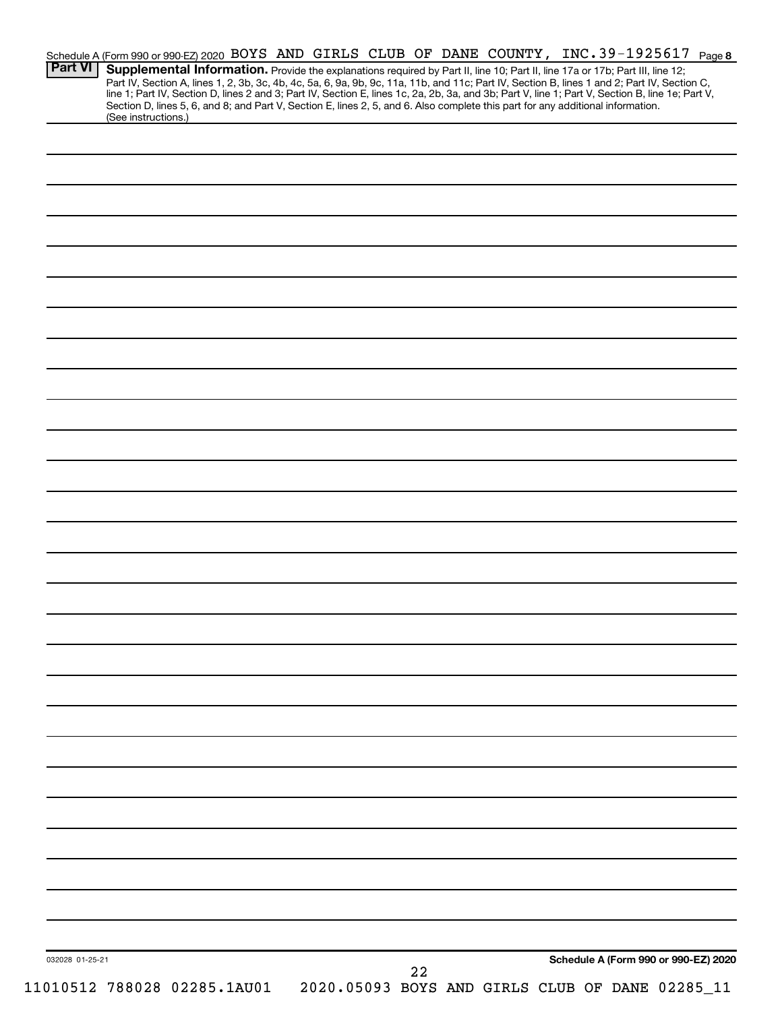|                 | Schedule A (Form 990 or 990-EZ) 2020 BOYS AND GIRLS CLUB OF DANE COUNTY, INC. 39-1925617 Page 8                                                                                                                                                                                                                                                                     |  |  |    |                                                 |  |                                      |  |
|-----------------|---------------------------------------------------------------------------------------------------------------------------------------------------------------------------------------------------------------------------------------------------------------------------------------------------------------------------------------------------------------------|--|--|----|-------------------------------------------------|--|--------------------------------------|--|
| <b>Part VI</b>  | Supplemental Information. Provide the explanations required by Part II, line 10; Part II, line 17a or 17b; Part III, line 12;                                                                                                                                                                                                                                       |  |  |    |                                                 |  |                                      |  |
|                 | Part IV, Section A, lines 1, 2, 3b, 3c, 4b, 4c, 5a, 6, 9a, 9b, 9c, 11a, 11b, and 11c; Part IV, Section B, lines 1 and 2; Part IV, Section C,<br>line 1; Part IV, Section D, lines 2 and 3; Part IV, Section E, lines 1c, 2a, 2b,<br>Section D, lines 5, 6, and 8; and Part V, Section E, lines 2, 5, and 6. Also complete this part for any additional information. |  |  |    |                                                 |  |                                      |  |
|                 | (See instructions.)                                                                                                                                                                                                                                                                                                                                                 |  |  |    |                                                 |  |                                      |  |
|                 |                                                                                                                                                                                                                                                                                                                                                                     |  |  |    |                                                 |  |                                      |  |
|                 |                                                                                                                                                                                                                                                                                                                                                                     |  |  |    |                                                 |  |                                      |  |
|                 |                                                                                                                                                                                                                                                                                                                                                                     |  |  |    |                                                 |  |                                      |  |
|                 |                                                                                                                                                                                                                                                                                                                                                                     |  |  |    |                                                 |  |                                      |  |
|                 |                                                                                                                                                                                                                                                                                                                                                                     |  |  |    |                                                 |  |                                      |  |
|                 |                                                                                                                                                                                                                                                                                                                                                                     |  |  |    |                                                 |  |                                      |  |
|                 |                                                                                                                                                                                                                                                                                                                                                                     |  |  |    |                                                 |  |                                      |  |
|                 |                                                                                                                                                                                                                                                                                                                                                                     |  |  |    |                                                 |  |                                      |  |
|                 |                                                                                                                                                                                                                                                                                                                                                                     |  |  |    |                                                 |  |                                      |  |
|                 |                                                                                                                                                                                                                                                                                                                                                                     |  |  |    |                                                 |  |                                      |  |
|                 |                                                                                                                                                                                                                                                                                                                                                                     |  |  |    |                                                 |  |                                      |  |
|                 |                                                                                                                                                                                                                                                                                                                                                                     |  |  |    |                                                 |  |                                      |  |
|                 |                                                                                                                                                                                                                                                                                                                                                                     |  |  |    |                                                 |  |                                      |  |
|                 |                                                                                                                                                                                                                                                                                                                                                                     |  |  |    |                                                 |  |                                      |  |
|                 |                                                                                                                                                                                                                                                                                                                                                                     |  |  |    |                                                 |  |                                      |  |
|                 |                                                                                                                                                                                                                                                                                                                                                                     |  |  |    |                                                 |  |                                      |  |
|                 |                                                                                                                                                                                                                                                                                                                                                                     |  |  |    |                                                 |  |                                      |  |
|                 |                                                                                                                                                                                                                                                                                                                                                                     |  |  |    |                                                 |  |                                      |  |
|                 |                                                                                                                                                                                                                                                                                                                                                                     |  |  |    |                                                 |  |                                      |  |
|                 |                                                                                                                                                                                                                                                                                                                                                                     |  |  |    |                                                 |  |                                      |  |
|                 |                                                                                                                                                                                                                                                                                                                                                                     |  |  |    |                                                 |  |                                      |  |
|                 |                                                                                                                                                                                                                                                                                                                                                                     |  |  |    |                                                 |  |                                      |  |
|                 |                                                                                                                                                                                                                                                                                                                                                                     |  |  |    |                                                 |  |                                      |  |
|                 |                                                                                                                                                                                                                                                                                                                                                                     |  |  |    |                                                 |  |                                      |  |
|                 |                                                                                                                                                                                                                                                                                                                                                                     |  |  |    |                                                 |  |                                      |  |
|                 |                                                                                                                                                                                                                                                                                                                                                                     |  |  |    |                                                 |  |                                      |  |
|                 |                                                                                                                                                                                                                                                                                                                                                                     |  |  |    |                                                 |  |                                      |  |
|                 |                                                                                                                                                                                                                                                                                                                                                                     |  |  |    |                                                 |  |                                      |  |
|                 |                                                                                                                                                                                                                                                                                                                                                                     |  |  |    |                                                 |  |                                      |  |
|                 |                                                                                                                                                                                                                                                                                                                                                                     |  |  |    |                                                 |  |                                      |  |
|                 |                                                                                                                                                                                                                                                                                                                                                                     |  |  |    |                                                 |  |                                      |  |
|                 |                                                                                                                                                                                                                                                                                                                                                                     |  |  |    |                                                 |  |                                      |  |
|                 |                                                                                                                                                                                                                                                                                                                                                                     |  |  |    |                                                 |  |                                      |  |
|                 |                                                                                                                                                                                                                                                                                                                                                                     |  |  |    |                                                 |  |                                      |  |
|                 |                                                                                                                                                                                                                                                                                                                                                                     |  |  |    |                                                 |  |                                      |  |
|                 |                                                                                                                                                                                                                                                                                                                                                                     |  |  |    |                                                 |  |                                      |  |
|                 |                                                                                                                                                                                                                                                                                                                                                                     |  |  |    |                                                 |  |                                      |  |
|                 |                                                                                                                                                                                                                                                                                                                                                                     |  |  |    |                                                 |  |                                      |  |
|                 |                                                                                                                                                                                                                                                                                                                                                                     |  |  |    |                                                 |  |                                      |  |
|                 |                                                                                                                                                                                                                                                                                                                                                                     |  |  |    |                                                 |  |                                      |  |
|                 |                                                                                                                                                                                                                                                                                                                                                                     |  |  |    |                                                 |  |                                      |  |
|                 |                                                                                                                                                                                                                                                                                                                                                                     |  |  |    |                                                 |  |                                      |  |
|                 |                                                                                                                                                                                                                                                                                                                                                                     |  |  |    |                                                 |  |                                      |  |
|                 |                                                                                                                                                                                                                                                                                                                                                                     |  |  |    |                                                 |  |                                      |  |
| 032028 01-25-21 |                                                                                                                                                                                                                                                                                                                                                                     |  |  |    |                                                 |  | Schedule A (Form 990 or 990-EZ) 2020 |  |
|                 |                                                                                                                                                                                                                                                                                                                                                                     |  |  | 22 |                                                 |  |                                      |  |
|                 | 11010512 788028 02285.1AU01                                                                                                                                                                                                                                                                                                                                         |  |  |    | 2020.05093 BOYS AND GIRLS CLUB OF DANE 02285_11 |  |                                      |  |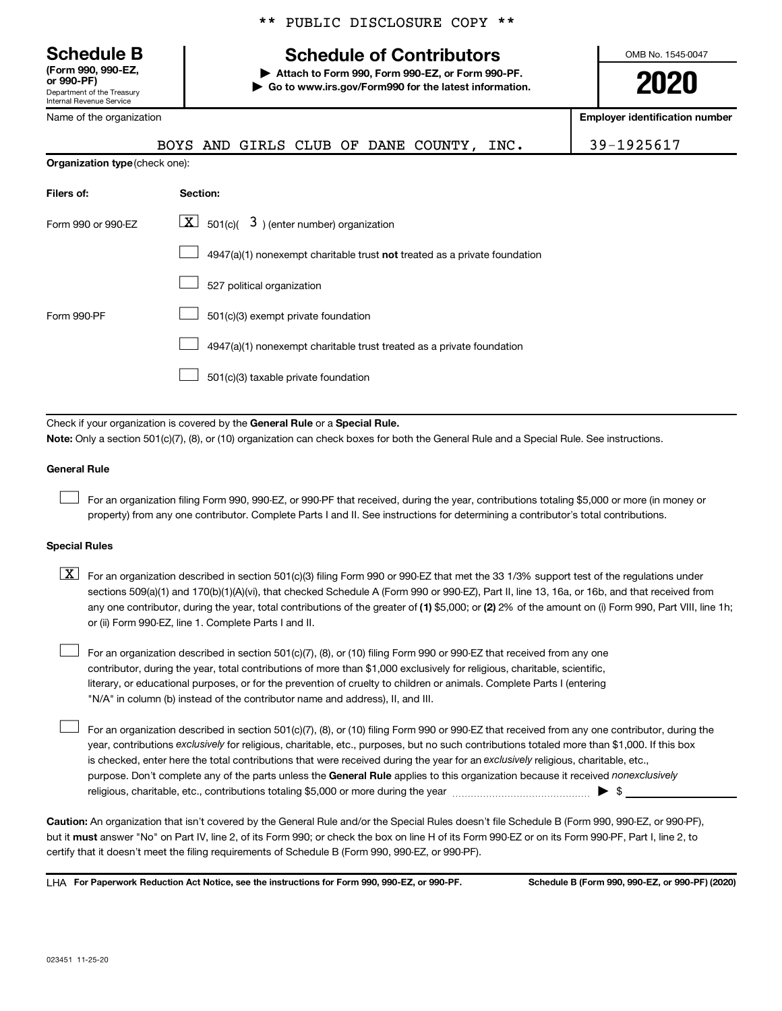**(Form 990, 990-EZ,**

Department of the Treasury Internal Revenue Service

|  |  | ** PUBLIC DISCLOSURE COPY ** |  |  |
|--|--|------------------------------|--|--|
|--|--|------------------------------|--|--|

# **Schedule B Schedule of Contributors**

**or 990-PF) | Attach to Form 990, Form 990-EZ, or Form 990-PF. | Go to www.irs.gov/Form990 for the latest information.** OMB No. 1545-0047

**2020**

| Name of the organization       |                                                                                                                                                                                                                                                                                                                                                                                                                                                                                                           | <b>Employer identification number</b> |
|--------------------------------|-----------------------------------------------------------------------------------------------------------------------------------------------------------------------------------------------------------------------------------------------------------------------------------------------------------------------------------------------------------------------------------------------------------------------------------------------------------------------------------------------------------|---------------------------------------|
|                                | AND GIRLS CLUB OF DANE COUNTY,<br>INC.<br><b>BOYS</b>                                                                                                                                                                                                                                                                                                                                                                                                                                                     | 39-1925617                            |
| Organization type (check one): |                                                                                                                                                                                                                                                                                                                                                                                                                                                                                                           |                                       |
| Filers of:                     | Section:                                                                                                                                                                                                                                                                                                                                                                                                                                                                                                  |                                       |
| Form 990 or 990-EZ             | $\lfloor \underline{X} \rfloor$ 501(c)( 3) (enter number) organization                                                                                                                                                                                                                                                                                                                                                                                                                                    |                                       |
|                                | 4947(a)(1) nonexempt charitable trust not treated as a private foundation                                                                                                                                                                                                                                                                                                                                                                                                                                 |                                       |
|                                | 527 political organization                                                                                                                                                                                                                                                                                                                                                                                                                                                                                |                                       |
| Form 990-PF                    | 501(c)(3) exempt private foundation                                                                                                                                                                                                                                                                                                                                                                                                                                                                       |                                       |
|                                | 4947(a)(1) nonexempt charitable trust treated as a private foundation                                                                                                                                                                                                                                                                                                                                                                                                                                     |                                       |
|                                | 501(c)(3) taxable private foundation                                                                                                                                                                                                                                                                                                                                                                                                                                                                      |                                       |
|                                |                                                                                                                                                                                                                                                                                                                                                                                                                                                                                                           |                                       |
|                                | Check if your organization is covered by the General Rule or a Special Rule.<br>Note: Only a section 501(c)(7), (8), or (10) organization can check boxes for both the General Rule and a Special Rule. See instructions.                                                                                                                                                                                                                                                                                 |                                       |
| <b>General Rule</b>            |                                                                                                                                                                                                                                                                                                                                                                                                                                                                                                           |                                       |
|                                | For an organization filing Form 990, 990-EZ, or 990-PF that received, during the year, contributions totaling \$5,000 or more (in money or<br>property) from any one contributor. Complete Parts I and II. See instructions for determining a contributor's total contributions.                                                                                                                                                                                                                          |                                       |
| <b>Special Rules</b>           |                                                                                                                                                                                                                                                                                                                                                                                                                                                                                                           |                                       |
| $\lfloor x \rfloor$            | For an organization described in section 501(c)(3) filing Form 990 or 990-EZ that met the 33 1/3% support test of the regulations under<br>sections 509(a)(1) and 170(b)(1)(A)(vi), that checked Schedule A (Form 990 or 990-EZ), Part II, line 13, 16a, or 16b, and that received from<br>any one contributor, during the year, total contributions of the greater of (1) \$5,000; or (2) 2% of the amount on (i) Form 990, Part VIII, line 1h;<br>or (ii) Form 990-EZ, line 1. Complete Parts I and II. |                                       |
|                                | For an organization described in section 501(c)(7), (8), or (10) filing Form 990 or 990-EZ that received from any one<br>contributor, during the year, total contributions of more than \$1,000 exclusively for religious, charitable, scientific,                                                                                                                                                                                                                                                        |                                       |

literary, or educational purposes, or for the prevention of cruelty to children or animals. Complete Parts I (entering "N/A" in column (b) instead of the contributor name and address), II, and III.

purpose. Don't complete any of the parts unless the General Rule applies to this organization because it received nonexclusively year, contributions exclusively for religious, charitable, etc., purposes, but no such contributions totaled more than \$1,000. If this box is checked, enter here the total contributions that were received during the year for an exclusively religious, charitable, etc., For an organization described in section 501(c)(7), (8), or (10) filing Form 990 or 990-EZ that received from any one contributor, during the religious, charitable, etc., contributions totaling \$5,000 or more during the year  $\ldots$  $\ldots$  $\ldots$  $\ldots$  $\ldots$  $\ldots$ 

**Caution:**  An organization that isn't covered by the General Rule and/or the Special Rules doesn't file Schedule B (Form 990, 990-EZ, or 990-PF),  **must** but it answer "No" on Part IV, line 2, of its Form 990; or check the box on line H of its Form 990-EZ or on its Form 990-PF, Part I, line 2, to certify that it doesn't meet the filing requirements of Schedule B (Form 990, 990-EZ, or 990-PF).

**For Paperwork Reduction Act Notice, see the instructions for Form 990, 990-EZ, or 990-PF. Schedule B (Form 990, 990-EZ, or 990-PF) (2020)** LHA

 $\Box$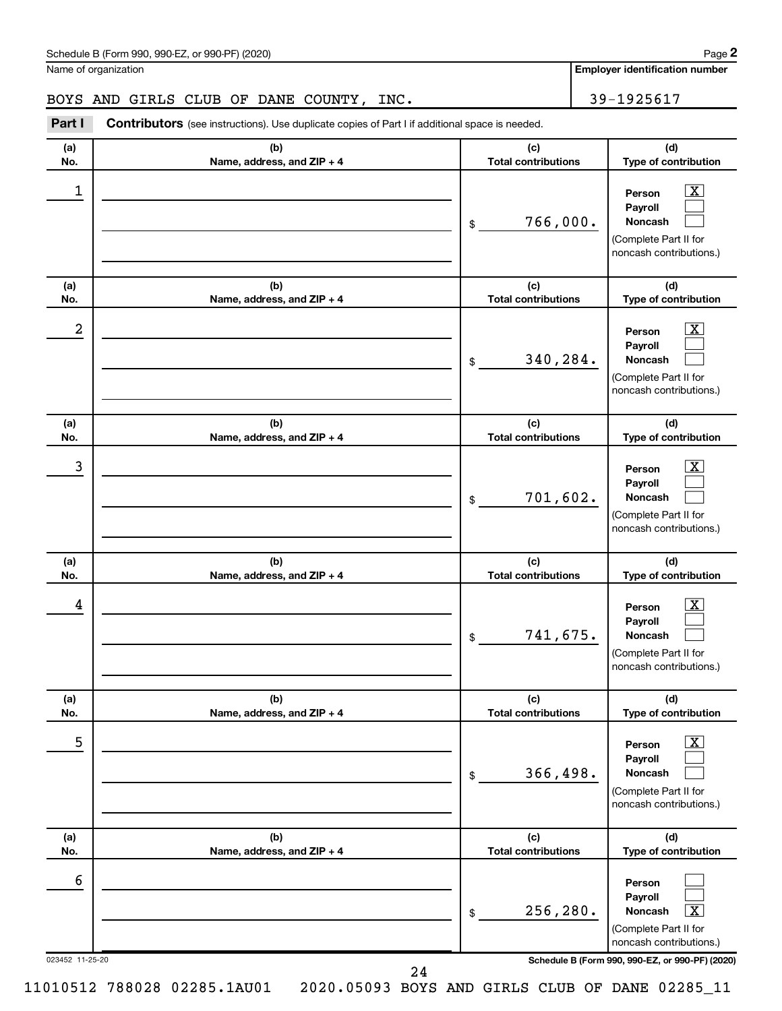Name of organization

**2**

**Employer identification number**

# BOYS AND GIRLS CLUB OF DANE COUNTY, INC. 39-1925617

**Part I** Contributors (see instructions). Use duplicate copies of Part I if additional space is needed.

| (b)<br>(a)<br>No.<br>Name, address, and ZIP + 4 | (c)<br><b>Total contributions</b> | (d)<br>Type of contribution                                                                                                                                    |
|-------------------------------------------------|-----------------------------------|----------------------------------------------------------------------------------------------------------------------------------------------------------------|
|                                                 |                                   |                                                                                                                                                                |
| 1<br>\$                                         | 766,000.                          | $\overline{\text{X}}$<br>Person<br>Payroll<br>Noncash<br>(Complete Part II for<br>noncash contributions.)                                                      |
| (b)<br>(a)<br>No.<br>Name, address, and ZIP + 4 | (c)<br><b>Total contributions</b> | (d)<br>Type of contribution                                                                                                                                    |
| 2<br>\$                                         | 340,284.                          | $\overline{\text{X}}$<br>Person<br>Payroll<br>Noncash<br>(Complete Part II for<br>noncash contributions.)                                                      |
| (b)<br>(a)<br>No.<br>Name, address, and ZIP + 4 | (c)<br><b>Total contributions</b> | (d)<br>Type of contribution                                                                                                                                    |
| 3<br>\$                                         | 701,602.                          | $\overline{\text{X}}$<br>Person<br>Payroll<br>Noncash<br>(Complete Part II for<br>noncash contributions.)                                                      |
| (b)<br>(a)<br>No.<br>Name, address, and ZIP + 4 | (c)<br><b>Total contributions</b> | (d)<br>Type of contribution                                                                                                                                    |
| 4<br>\$                                         | 741,675.                          | $\overline{\text{X}}$<br>Person<br>Payroll<br><b>Noncash</b><br>(Complete Part II for<br>noncash contributions.)                                               |
| (b)<br>(a)<br>No.<br>Name, address, and ZIP + 4 | (c)<br><b>Total contributions</b> | (d)<br>Type of contribution                                                                                                                                    |
| 5<br>\$                                         | 366,498.                          | $\overline{\text{X}}$<br>Person<br>Payroll<br>Noncash<br>(Complete Part II for<br>noncash contributions.)                                                      |
| (b)<br>(a)<br>No.<br>Name, address, and ZIP + 4 | (c)<br><b>Total contributions</b> | (d)<br>Type of contribution                                                                                                                                    |
| 6<br>\$<br>023452 11-25-20<br>24                | 256,280.                          | Person<br>Payroll<br>$\overline{\textbf{x}}$<br>Noncash<br>(Complete Part II for<br>noncash contributions.)<br>Schedule B (Form 990, 990-EZ, or 990-PF) (2020) |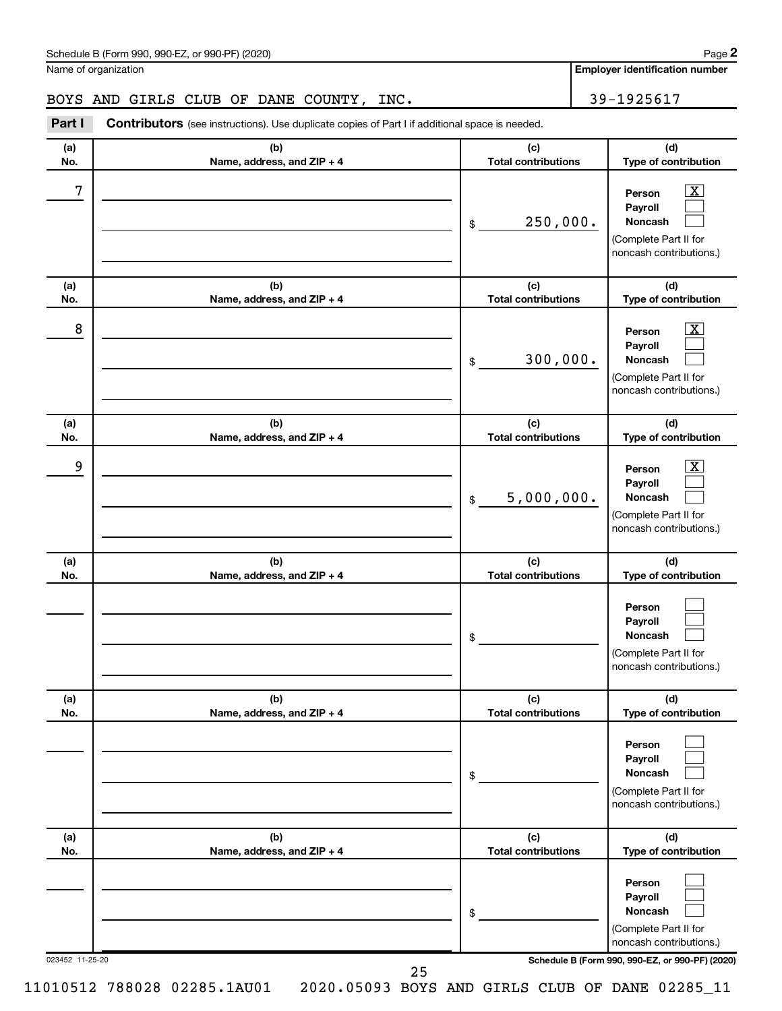Name of organization

**2**

**Employer identification number**

BOYS AND GIRLS CLUB OF DANE COUNTY, INC. 39-1925617

| Part I          | Contributors (see instructions). Use duplicate copies of Part I if additional space is needed. |                                   |                                                                                                                                           |
|-----------------|------------------------------------------------------------------------------------------------|-----------------------------------|-------------------------------------------------------------------------------------------------------------------------------------------|
| (a)<br>No.      | (b)<br>Name, address, and ZIP + 4                                                              | (c)<br><b>Total contributions</b> | (d)<br>Type of contribution                                                                                                               |
| 7               |                                                                                                | 250,000.<br>\$                    | $\overline{\textbf{X}}$<br>Person<br>Payroll<br><b>Noncash</b><br>(Complete Part II for<br>noncash contributions.)                        |
| (a)<br>No.      | (b)<br>Name, address, and ZIP + 4                                                              | (c)<br><b>Total contributions</b> | (d)<br>Type of contribution                                                                                                               |
| 8               |                                                                                                | 300,000.<br>\$                    | $\overline{\text{X}}$<br>Person<br>Payroll<br><b>Noncash</b><br>(Complete Part II for<br>noncash contributions.)                          |
| (a)<br>No.      | (b)<br>Name, address, and ZIP + 4                                                              | (c)<br><b>Total contributions</b> | (d)<br>Type of contribution                                                                                                               |
| 9               |                                                                                                | 5,000,000.<br>\$                  | $\overline{\text{X}}$<br>Person<br>Payroll<br><b>Noncash</b><br>(Complete Part II for<br>noncash contributions.)                          |
| (a)<br>No.      | (b)<br>Name, address, and ZIP + 4                                                              | (c)<br><b>Total contributions</b> | (d)<br>Type of contribution                                                                                                               |
|                 |                                                                                                | \$                                | Person<br>Payroll<br>Noncash<br>(Complete Part II for<br>noncash contributions.)                                                          |
| (a)<br>No.      | (b)<br>Name, address, and ZIP + 4                                                              | (c)<br><b>Total contributions</b> | (d)<br>Type of contribution                                                                                                               |
|                 |                                                                                                | \$                                | Person<br>Payroll<br><b>Noncash</b><br>(Complete Part II for<br>noncash contributions.)                                                   |
| (a)<br>No.      | (b)<br>Name, address, and ZIP + 4                                                              | (c)<br><b>Total contributions</b> | (d)<br>Type of contribution                                                                                                               |
| 023452 11-25-20 |                                                                                                | \$                                | Person<br>Payroll<br><b>Noncash</b><br>(Complete Part II for<br>noncash contributions.)<br>Schodule B (Form 990, 990-F7, or 990-DE) (2020 |

023452 11-25-20 **Schedule B (Form 990, 990-EZ, or 990-PF) (2020)**

25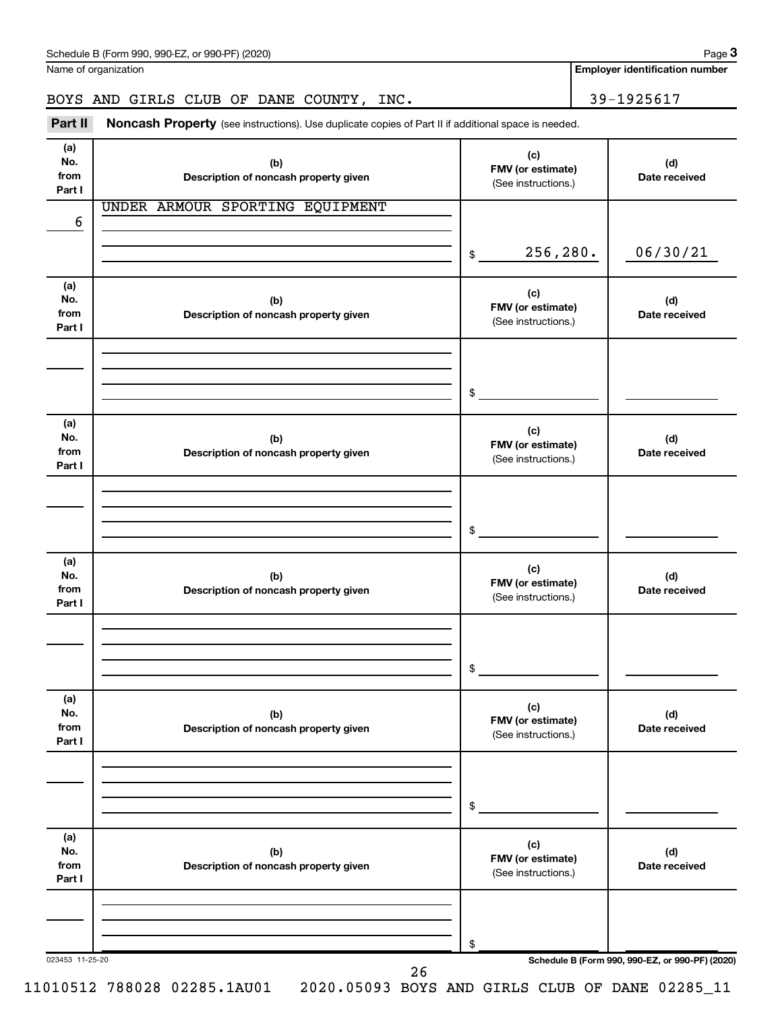Name of organization

**Employer identification number**

### BOYS AND GIRLS CLUB OF DANE COUNTY, INC. 39-1925617

Part II Noncash Property (see instructions). Use duplicate copies of Part II if additional space is needed.

| (a)<br>No.<br>from<br>Part I | (b)<br>Description of noncash property given | (c)<br>FMV (or estimate)<br>(See instructions.) | (d)<br>Date received                            |
|------------------------------|----------------------------------------------|-------------------------------------------------|-------------------------------------------------|
| 6                            | UNDER ARMOUR SPORTING EQUIPMENT              |                                                 |                                                 |
|                              |                                              | 256,280.<br>$\frac{1}{2}$                       | 06/30/21                                        |
| (a)<br>No.<br>from<br>Part I | (b)<br>Description of noncash property given | (c)<br>FMV (or estimate)<br>(See instructions.) | (d)<br>Date received                            |
|                              |                                              | \$                                              |                                                 |
| (a)<br>No.<br>from<br>Part I | (b)<br>Description of noncash property given | (c)<br>FMV (or estimate)<br>(See instructions.) | (d)<br>Date received                            |
|                              |                                              | \$                                              |                                                 |
| (a)<br>No.<br>from<br>Part I | (b)<br>Description of noncash property given | (c)<br>FMV (or estimate)<br>(See instructions.) | (d)<br>Date received                            |
|                              |                                              | \$                                              |                                                 |
| (a)<br>No.<br>from<br>Part I | (b)<br>Description of noncash property given | (c)<br>FMV (or estimate)<br>(See instructions.) | (d)<br>Date received                            |
|                              |                                              | \$                                              |                                                 |
| (a)<br>No.<br>from<br>Part I | (b)<br>Description of noncash property given | (c)<br>FMV (or estimate)<br>(See instructions.) | (d)<br>Date received                            |
| 023453 11-25-20              |                                              | \$                                              | Schedule B (Form 990, 990-EZ, or 990-PF) (2020) |
|                              | 26                                           |                                                 |                                                 |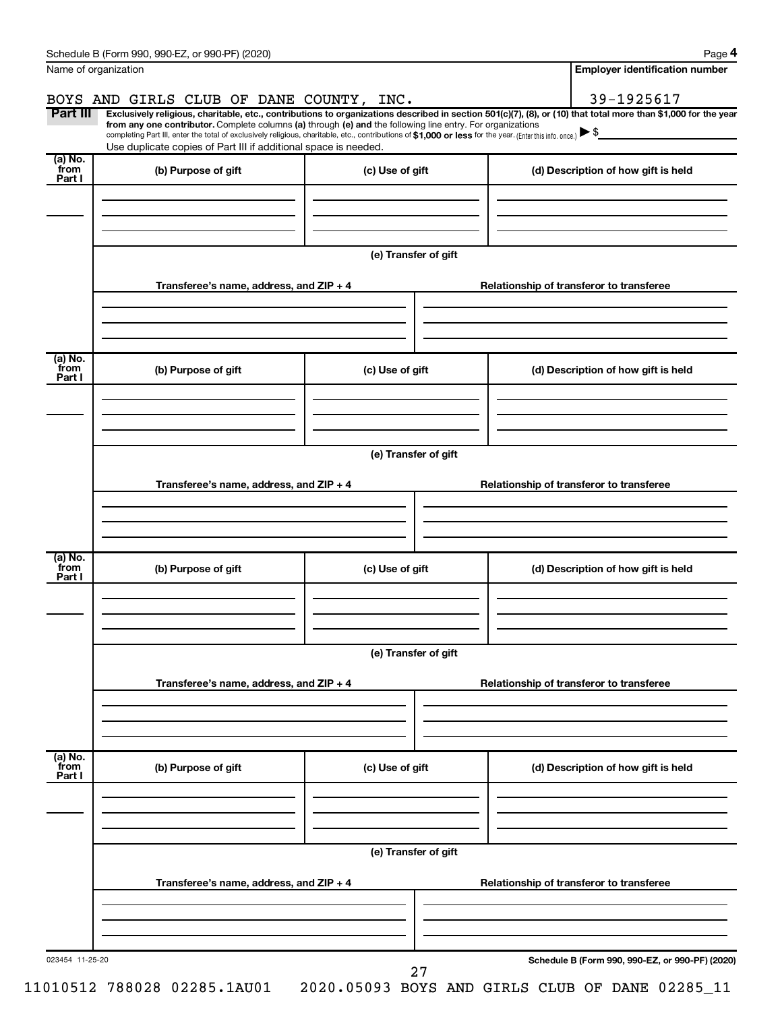| Name of organization      |                                                                                                                                                                                                                                                                                                                                           |                      | <b>Employer identification number</b>                                                                                                                          |  |
|---------------------------|-------------------------------------------------------------------------------------------------------------------------------------------------------------------------------------------------------------------------------------------------------------------------------------------------------------------------------------------|----------------------|----------------------------------------------------------------------------------------------------------------------------------------------------------------|--|
|                           | BOYS AND GIRLS CLUB OF DANE COUNTY, INC.                                                                                                                                                                                                                                                                                                  |                      | 39-1925617                                                                                                                                                     |  |
| Part III                  | from any one contributor. Complete columns (a) through (e) and the following line entry. For organizations<br>completing Part III, enter the total of exclusively religious, charitable, etc., contributions of \$1,000 or less for the year. [Enter this info. once.]<br>Use duplicate copies of Part III if additional space is needed. |                      | Exclusively religious, charitable, etc., contributions to organizations described in section 501(c)(7), (8), or (10) that total more than \$1,000 for the year |  |
| (a) No.<br>`from          | (b) Purpose of gift                                                                                                                                                                                                                                                                                                                       | (c) Use of gift      | (d) Description of how gift is held                                                                                                                            |  |
| Part I                    |                                                                                                                                                                                                                                                                                                                                           |                      |                                                                                                                                                                |  |
|                           |                                                                                                                                                                                                                                                                                                                                           | (e) Transfer of gift |                                                                                                                                                                |  |
|                           | Transferee's name, address, and ZIP + 4                                                                                                                                                                                                                                                                                                   |                      | Relationship of transferor to transferee                                                                                                                       |  |
| (a) No.<br>from           | (b) Purpose of gift                                                                                                                                                                                                                                                                                                                       | (c) Use of gift      | (d) Description of how gift is held                                                                                                                            |  |
| Part I                    |                                                                                                                                                                                                                                                                                                                                           |                      |                                                                                                                                                                |  |
|                           |                                                                                                                                                                                                                                                                                                                                           | (e) Transfer of gift |                                                                                                                                                                |  |
|                           | Transferee's name, address, and ZIP + 4                                                                                                                                                                                                                                                                                                   |                      | Relationship of transferor to transferee                                                                                                                       |  |
|                           |                                                                                                                                                                                                                                                                                                                                           |                      |                                                                                                                                                                |  |
| (a) No.<br>from<br>Part I | (b) Purpose of gift                                                                                                                                                                                                                                                                                                                       | (c) Use of gift      | (d) Description of how gift is held                                                                                                                            |  |
|                           |                                                                                                                                                                                                                                                                                                                                           |                      |                                                                                                                                                                |  |
|                           |                                                                                                                                                                                                                                                                                                                                           | (e) Transfer of gift |                                                                                                                                                                |  |
|                           | Transferee's name, address, and ZIP + 4                                                                                                                                                                                                                                                                                                   |                      | Relationship of transferor to transferee                                                                                                                       |  |
|                           |                                                                                                                                                                                                                                                                                                                                           |                      |                                                                                                                                                                |  |
| (a) No.<br>from<br>Part I | (b) Purpose of gift                                                                                                                                                                                                                                                                                                                       | (c) Use of gift      | (d) Description of how gift is held                                                                                                                            |  |
|                           |                                                                                                                                                                                                                                                                                                                                           |                      |                                                                                                                                                                |  |
|                           | Transferee's name, address, and ZIP + 4                                                                                                                                                                                                                                                                                                   | (e) Transfer of gift | Relationship of transferor to transferee                                                                                                                       |  |
|                           |                                                                                                                                                                                                                                                                                                                                           |                      |                                                                                                                                                                |  |
| 023454 11-25-20           |                                                                                                                                                                                                                                                                                                                                           |                      | Schedule B (Form 990, 990-EZ, or 990-PF) (2020)                                                                                                                |  |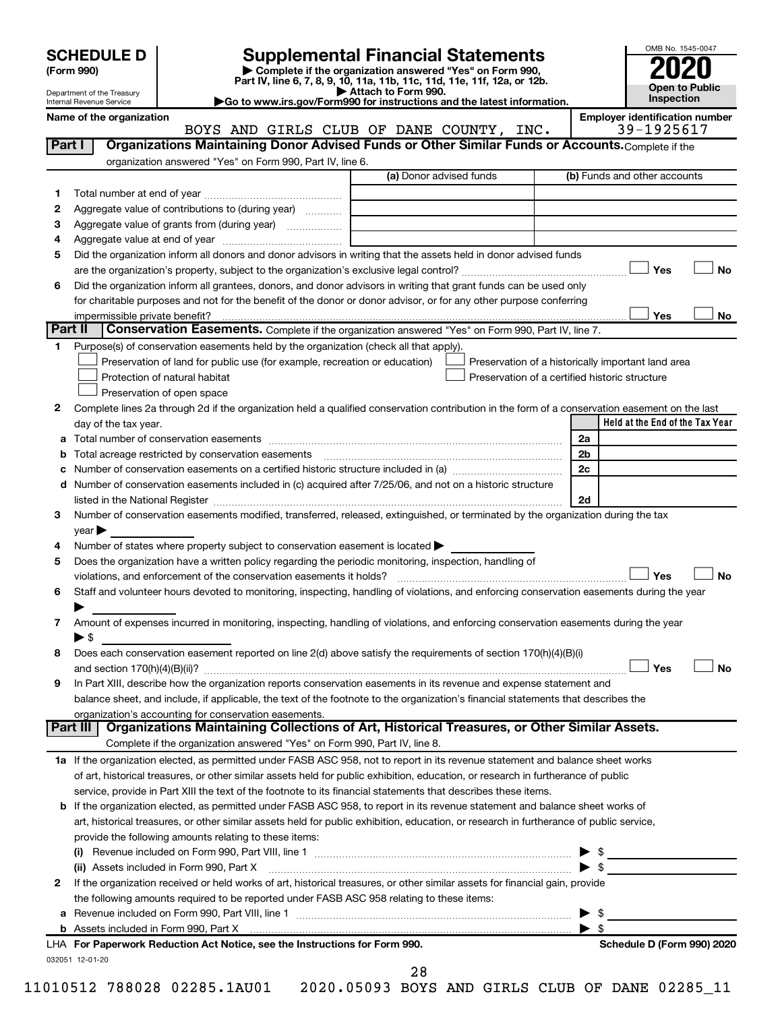| (Form 990) |  |
|------------|--|
|------------|--|

# **SCHEDULE D Supplemental Financial Statements**<br> **Form 990 2020**<br> **Part IV** line 6.7.8.9.10, 11a, 11b, 11d, 11d, 11d, 11d, 11d, 12a, 0r, 12b

**(Form 990) | Complete if the organization answered "Yes" on Form 990, Part IV, line 6, 7, 8, 9, 10, 11a, 11b, 11c, 11d, 11e, 11f, 12a, or 12b.**

**Name of the organization Employer identification number**



Department of the Treasury Internal Revenue Service

**| Attach to Form 990. |Go to www.irs.gov/Form990 for instructions and the latest information.**

|         | BOYS AND GIRLS CLUB OF DANE COUNTY, INC.                                                                                                       | 39-1925617                                         |
|---------|------------------------------------------------------------------------------------------------------------------------------------------------|----------------------------------------------------|
| Part I  | Organizations Maintaining Donor Advised Funds or Other Similar Funds or Accounts. Complete if the                                              |                                                    |
|         | organization answered "Yes" on Form 990, Part IV, line 6.                                                                                      |                                                    |
|         | (a) Donor advised funds                                                                                                                        | (b) Funds and other accounts                       |
| 1       |                                                                                                                                                |                                                    |
| 2       | Aggregate value of contributions to (during year)                                                                                              |                                                    |
| 3       | Aggregate value of grants from (during year)                                                                                                   |                                                    |
| 4       |                                                                                                                                                |                                                    |
| 5       | Did the organization inform all donors and donor advisors in writing that the assets held in donor advised funds                               |                                                    |
|         |                                                                                                                                                | Yes<br>No                                          |
| 6       | Did the organization inform all grantees, donors, and donor advisors in writing that grant funds can be used only                              |                                                    |
|         | for charitable purposes and not for the benefit of the donor or donor advisor, or for any other purpose conferring                             |                                                    |
|         |                                                                                                                                                | Yes<br>No                                          |
| Part II | <b>Conservation Easements.</b> Complete if the organization answered "Yes" on Form 990, Part IV, line 7.                                       |                                                    |
| 1       | Purpose(s) of conservation easements held by the organization (check all that apply).                                                          |                                                    |
|         | Preservation of land for public use (for example, recreation or education)                                                                     | Preservation of a historically important land area |
|         | Protection of natural habitat                                                                                                                  | Preservation of a certified historic structure     |
|         | Preservation of open space                                                                                                                     |                                                    |
| 2       | Complete lines 2a through 2d if the organization held a qualified conservation contribution in the form of a conservation easement on the last |                                                    |
|         | day of the tax year.                                                                                                                           | Held at the End of the Tax Year                    |
| а       |                                                                                                                                                | 2a                                                 |
| b       |                                                                                                                                                | 2 <sub>b</sub>                                     |
|         |                                                                                                                                                | 2c                                                 |
| d       | Number of conservation easements included in (c) acquired after 7/25/06, and not on a historic structure                                       |                                                    |
|         |                                                                                                                                                | 2d                                                 |
| 3       | Number of conservation easements modified, transferred, released, extinguished, or terminated by the organization during the tax               |                                                    |
|         | $year \triangleright$                                                                                                                          |                                                    |
| 4       | Number of states where property subject to conservation easement is located >                                                                  |                                                    |
| 5       | Does the organization have a written policy regarding the periodic monitoring, inspection, handling of                                         |                                                    |
|         | violations, and enforcement of the conservation easements it holds?                                                                            | Yes<br>No                                          |
| 6       | Staff and volunteer hours devoted to monitoring, inspecting, handling of violations, and enforcing conservation easements during the year      |                                                    |
|         |                                                                                                                                                |                                                    |
| 7       | Amount of expenses incurred in monitoring, inspecting, handling of violations, and enforcing conservation easements during the year            |                                                    |
|         | ► \$                                                                                                                                           |                                                    |
| 8       | Does each conservation easement reported on line 2(d) above satisfy the requirements of section 170(h)(4)(B)(i)                                |                                                    |
|         |                                                                                                                                                | Yes<br>No                                          |
| 9       | In Part XIII, describe how the organization reports conservation easements in its revenue and expense statement and                            |                                                    |
|         | balance sheet, and include, if applicable, the text of the footnote to the organization's financial statements that describes the              |                                                    |
|         | organization's accounting for conservation easements.                                                                                          |                                                    |
|         | Organizations Maintaining Collections of Art, Historical Treasures, or Other Similar Assets.<br>Part III                                       |                                                    |
|         | Complete if the organization answered "Yes" on Form 990, Part IV, line 8.                                                                      |                                                    |
|         | 1a If the organization elected, as permitted under FASB ASC 958, not to report in its revenue statement and balance sheet works                |                                                    |
|         | of art, historical treasures, or other similar assets held for public exhibition, education, or research in furtherance of public              |                                                    |
|         | service, provide in Part XIII the text of the footnote to its financial statements that describes these items.                                 |                                                    |
|         | <b>b</b> If the organization elected, as permitted under FASB ASC 958, to report in its revenue statement and balance sheet works of           |                                                    |
|         | art, historical treasures, or other similar assets held for public exhibition, education, or research in furtherance of public service,        |                                                    |
|         | provide the following amounts relating to these items:                                                                                         |                                                    |
|         |                                                                                                                                                | $\blacktriangleright$ \$                           |
|         | (ii) Assets included in Form 990, Part X                                                                                                       | $\blacktriangleright$ \$                           |
| 2       | If the organization received or held works of art, historical treasures, or other similar assets for financial gain, provide                   |                                                    |
|         | the following amounts required to be reported under FASB ASC 958 relating to these items:                                                      |                                                    |
| a       |                                                                                                                                                | - \$<br>▶                                          |
|         |                                                                                                                                                | $\blacktriangleright$ s                            |
|         | LHA For Paperwork Reduction Act Notice, see the Instructions for Form 990.                                                                     | Schedule D (Form 990) 2020                         |
|         | 032051 12-01-20                                                                                                                                |                                                    |
|         | 28                                                                                                                                             |                                                    |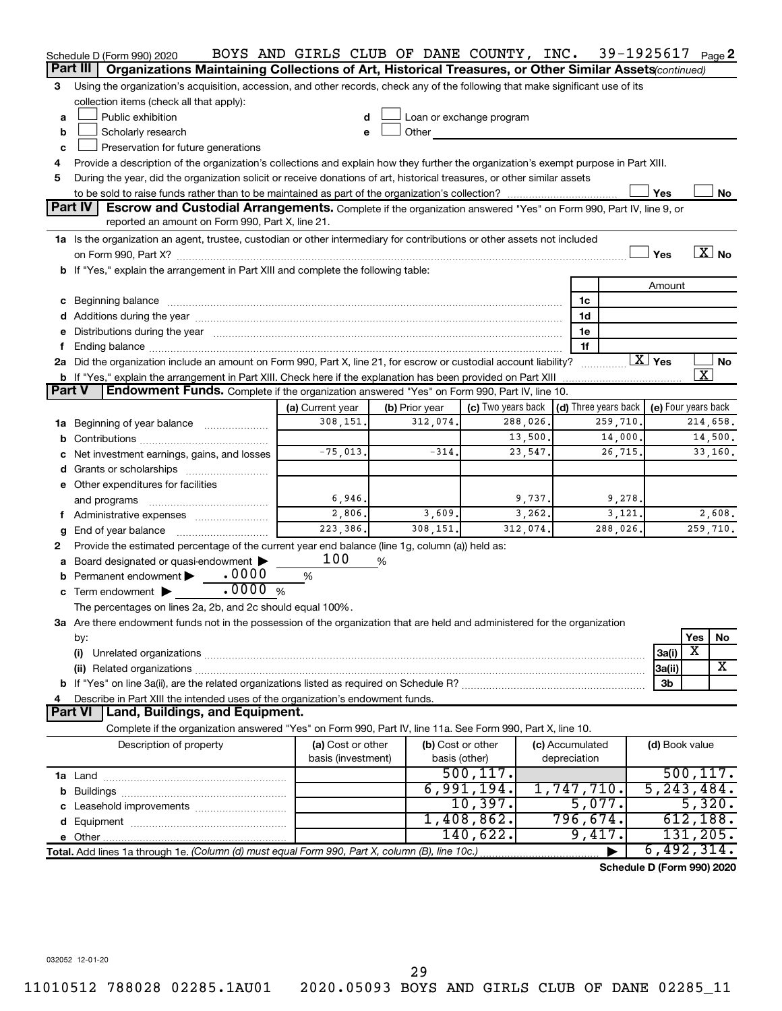|   | Schedule D (Form 990) 2020                                                                                                                                                                                                     | BOYS AND GIRLS CLUB OF DANE COUNTY, INC. |                   |                          |                 | 39-1925617 $_{Page}$ 2               |                     |                         |                       |  |  |
|---|--------------------------------------------------------------------------------------------------------------------------------------------------------------------------------------------------------------------------------|------------------------------------------|-------------------|--------------------------|-----------------|--------------------------------------|---------------------|-------------------------|-----------------------|--|--|
|   | Part III<br>Organizations Maintaining Collections of Art, Historical Treasures, or Other Similar Assets (continued)                                                                                                            |                                          |                   |                          |                 |                                      |                     |                         |                       |  |  |
| 3 | Using the organization's acquisition, accession, and other records, check any of the following that make significant use of its                                                                                                |                                          |                   |                          |                 |                                      |                     |                         |                       |  |  |
|   | collection items (check all that apply):                                                                                                                                                                                       |                                          |                   |                          |                 |                                      |                     |                         |                       |  |  |
| a | Public exhibition                                                                                                                                                                                                              | d                                        |                   | Loan or exchange program |                 |                                      |                     |                         |                       |  |  |
| b | Other<br>Scholarly research<br>e                                                                                                                                                                                               |                                          |                   |                          |                 |                                      |                     |                         |                       |  |  |
| c | Preservation for future generations                                                                                                                                                                                            |                                          |                   |                          |                 |                                      |                     |                         |                       |  |  |
| 4 | Provide a description of the organization's collections and explain how they further the organization's exempt purpose in Part XIII.                                                                                           |                                          |                   |                          |                 |                                      |                     |                         |                       |  |  |
| 5 | During the year, did the organization solicit or receive donations of art, historical treasures, or other similar assets                                                                                                       |                                          |                   |                          |                 |                                      |                     |                         |                       |  |  |
|   | Yes<br>No                                                                                                                                                                                                                      |                                          |                   |                          |                 |                                      |                     |                         |                       |  |  |
|   | Part IV<br>Escrow and Custodial Arrangements. Complete if the organization answered "Yes" on Form 990, Part IV, line 9, or                                                                                                     |                                          |                   |                          |                 |                                      |                     |                         |                       |  |  |
|   | reported an amount on Form 990, Part X, line 21.                                                                                                                                                                               |                                          |                   |                          |                 |                                      |                     |                         |                       |  |  |
|   | 1a Is the organization an agent, trustee, custodian or other intermediary for contributions or other assets not included                                                                                                       |                                          |                   |                          |                 |                                      |                     |                         |                       |  |  |
|   |                                                                                                                                                                                                                                |                                          |                   |                          |                 |                                      | Yes                 |                         | $\boxed{\text{X}}$ No |  |  |
|   | b If "Yes," explain the arrangement in Part XIII and complete the following table:                                                                                                                                             |                                          |                   |                          |                 |                                      |                     |                         |                       |  |  |
|   |                                                                                                                                                                                                                                |                                          |                   |                          |                 |                                      | Amount              |                         |                       |  |  |
|   | c Beginning balance measurements and the contract of the contract of the contract of the contract of the contract of the contract of the contract of the contract of the contract of the contract of the contract of the contr |                                          |                   |                          | 1c              |                                      |                     |                         |                       |  |  |
|   |                                                                                                                                                                                                                                |                                          |                   |                          | 1d              |                                      |                     |                         |                       |  |  |
|   | e Distributions during the year manufactured and an account of the year manufactured and account of the year manufactured and account of the state of the state of the state of the state of the state of the state of the sta |                                          |                   |                          | 1e              |                                      |                     |                         |                       |  |  |
| f |                                                                                                                                                                                                                                |                                          |                   |                          | 1f              |                                      |                     |                         |                       |  |  |
|   | 2a Did the organization include an amount on Form 990, Part X, line 21, for escrow or custodial account liability?                                                                                                             |                                          |                   |                          |                 |                                      | $\overline{X}$ Yes  |                         | No                    |  |  |
|   | b If "Yes," explain the arrangement in Part XIII. Check here if the explanation has been provided on Part XIII                                                                                                                 |                                          |                   |                          |                 |                                      |                     | $\overline{\textbf{X}}$ |                       |  |  |
|   | Part V<br><b>Endowment Funds.</b> Complete if the organization answered "Yes" on Form 990, Part IV, line 10.                                                                                                                   |                                          |                   |                          |                 |                                      |                     |                         |                       |  |  |
|   |                                                                                                                                                                                                                                | (a) Current year                         | (b) Prior year    | (c) Two years back       |                 | $\vert$ (d) Three years back $\vert$ | (e) Four years back |                         |                       |  |  |
|   | 1a Beginning of year balance                                                                                                                                                                                                   | 308,151.                                 | 312,074.          | 288,026.                 |                 | 259,710.                             |                     |                         | 214,658.              |  |  |
| b |                                                                                                                                                                                                                                |                                          |                   | 13,500.                  |                 | 14,000.                              |                     |                         | 14,500.               |  |  |
|   | Net investment earnings, gains, and losses                                                                                                                                                                                     | $-75,013.$                               | $-314.$           | 23,547.                  |                 | 26,715.                              |                     |                         | 33,160.               |  |  |
|   |                                                                                                                                                                                                                                |                                          |                   |                          |                 |                                      |                     |                         |                       |  |  |
|   | e Other expenditures for facilities                                                                                                                                                                                            |                                          |                   |                          |                 |                                      |                     |                         |                       |  |  |
|   |                                                                                                                                                                                                                                | 6,946.                                   |                   | 9,737.                   |                 | 9,278.                               |                     |                         |                       |  |  |
|   | and programs                                                                                                                                                                                                                   | 2,806.                                   | 3,609.            | 3,262.                   |                 | 3,121.                               |                     |                         | 2,608.                |  |  |
|   | f Administrative expenses                                                                                                                                                                                                      | 223,386.                                 | 308,151.          | 312,074.                 |                 | 288,026.                             |                     |                         | 259,710.              |  |  |
| g | End of year balance                                                                                                                                                                                                            |                                          |                   |                          |                 |                                      |                     |                         |                       |  |  |
| 2 | Provide the estimated percentage of the current year end balance (line 1g, column (a)) held as:                                                                                                                                | 100                                      |                   |                          |                 |                                      |                     |                         |                       |  |  |
| а | Board designated or quasi-endowment<br>Permanent endowment • 0000                                                                                                                                                              | %                                        | %                 |                          |                 |                                      |                     |                         |                       |  |  |
| b | $\frac{1}{2}$ .0000 %                                                                                                                                                                                                          |                                          |                   |                          |                 |                                      |                     |                         |                       |  |  |
|   | $\mathbf c$ Term endowment $\blacktriangleright$                                                                                                                                                                               |                                          |                   |                          |                 |                                      |                     |                         |                       |  |  |
|   | The percentages on lines 2a, 2b, and 2c should equal 100%.<br>3a Are there endowment funds not in the possession of the organization that are held and administered for the organization                                       |                                          |                   |                          |                 |                                      |                     |                         |                       |  |  |
|   |                                                                                                                                                                                                                                |                                          |                   |                          |                 |                                      |                     | Yes                     |                       |  |  |
|   | by:<br>(i)                                                                                                                                                                                                                     |                                          |                   |                          |                 |                                      | 3a(i)               | $\overline{\textbf{x}}$ | No                    |  |  |
|   |                                                                                                                                                                                                                                |                                          |                   |                          |                 |                                      |                     |                         | X                     |  |  |
|   |                                                                                                                                                                                                                                |                                          |                   |                          |                 |                                      | 3a(ii)              |                         |                       |  |  |
|   |                                                                                                                                                                                                                                |                                          |                   |                          |                 |                                      | 3b                  |                         |                       |  |  |
|   | Describe in Part XIII the intended uses of the organization's endowment funds.<br><b>Part VI</b><br>Land, Buildings, and Equipment.                                                                                            |                                          |                   |                          |                 |                                      |                     |                         |                       |  |  |
|   |                                                                                                                                                                                                                                |                                          |                   |                          |                 |                                      |                     |                         |                       |  |  |
|   | Complete if the organization answered "Yes" on Form 990, Part IV, line 11a. See Form 990, Part X, line 10.                                                                                                                     |                                          |                   |                          |                 |                                      |                     |                         |                       |  |  |
|   | Description of property                                                                                                                                                                                                        | (a) Cost or other                        | (b) Cost or other |                          | (c) Accumulated |                                      | (d) Book value      |                         |                       |  |  |
|   |                                                                                                                                                                                                                                | basis (investment)                       | basis (other)     | 500, 117.                | depreciation    |                                      |                     |                         | 500, 117.             |  |  |
|   |                                                                                                                                                                                                                                |                                          |                   | 6,991,194.               |                 |                                      | 5, 243, 484.        |                         |                       |  |  |
|   |                                                                                                                                                                                                                                |                                          |                   |                          | 1,747,710.      |                                      |                     |                         |                       |  |  |
|   |                                                                                                                                                                                                                                |                                          |                   | 10,397.                  |                 | 5,077.                               |                     |                         | 5,320.                |  |  |
|   |                                                                                                                                                                                                                                |                                          |                   | 1,408,862.               | 796,674.        |                                      |                     |                         | 612, 188.             |  |  |
|   |                                                                                                                                                                                                                                |                                          |                   | 140,622.                 |                 | 9,417.                               |                     |                         | 131, 205.             |  |  |
|   | Total. Add lines 1a through 1e. (Column (d) must equal Form 990, Part X, column (B), line 10c.)                                                                                                                                |                                          |                   |                          |                 |                                      | 6,492,314.          |                         |                       |  |  |
|   |                                                                                                                                                                                                                                |                                          |                   |                          |                 | Schedule D (Form 990) 2020           |                     |                         |                       |  |  |

032052 12-01-20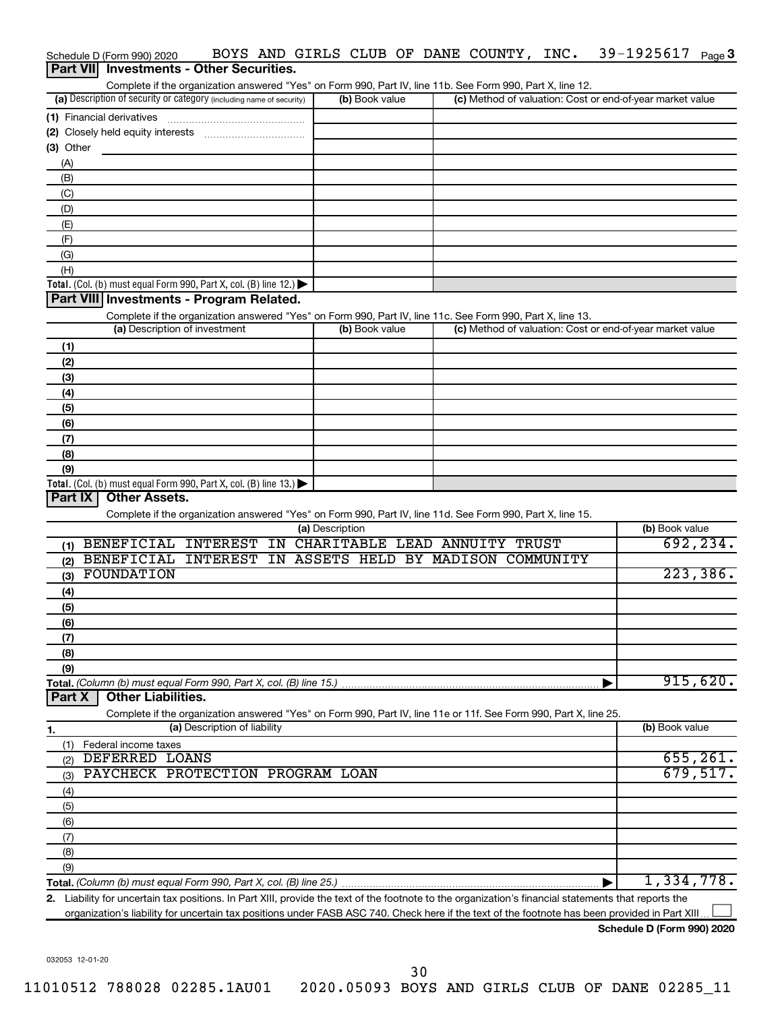| Schedule D (Form 990) 2020                                                                                                                              | BOYS AND GIRLS CLUB OF DANE COUNTY, INC. |  | 39-1925617<br>Page 3                                      |
|---------------------------------------------------------------------------------------------------------------------------------------------------------|------------------------------------------|--|-----------------------------------------------------------|
| Part VII Investments - Other Securities.                                                                                                                |                                          |  |                                                           |
| Complete if the organization answered "Yes" on Form 990, Part IV, line 11b. See Form 990, Part X, line 12.                                              |                                          |  |                                                           |
| (a) Description of security or category (including name of security)                                                                                    | (b) Book value                           |  | (c) Method of valuation: Cost or end-of-year market value |
|                                                                                                                                                         |                                          |  |                                                           |
|                                                                                                                                                         |                                          |  |                                                           |
| (3) Other                                                                                                                                               |                                          |  |                                                           |
| (A)                                                                                                                                                     |                                          |  |                                                           |
| (B)                                                                                                                                                     |                                          |  |                                                           |
| (C)                                                                                                                                                     |                                          |  |                                                           |
| (D)                                                                                                                                                     |                                          |  |                                                           |
| (E)                                                                                                                                                     |                                          |  |                                                           |
| (F)                                                                                                                                                     |                                          |  |                                                           |
| (G)                                                                                                                                                     |                                          |  |                                                           |
| (H)                                                                                                                                                     |                                          |  |                                                           |
| Total. (Col. (b) must equal Form 990, Part X, col. (B) line 12.)                                                                                        |                                          |  |                                                           |
| Part VIII Investments - Program Related.                                                                                                                |                                          |  |                                                           |
| Complete if the organization answered "Yes" on Form 990, Part IV, line 11c. See Form 990, Part X, line 13.                                              |                                          |  |                                                           |
| (a) Description of investment                                                                                                                           | (b) Book value                           |  | (c) Method of valuation: Cost or end-of-year market value |
|                                                                                                                                                         |                                          |  |                                                           |
| (1)                                                                                                                                                     |                                          |  |                                                           |
| (2)                                                                                                                                                     |                                          |  |                                                           |
| (3)                                                                                                                                                     |                                          |  |                                                           |
| (4)                                                                                                                                                     |                                          |  |                                                           |
| (5)                                                                                                                                                     |                                          |  |                                                           |
| (6)                                                                                                                                                     |                                          |  |                                                           |
| (7)                                                                                                                                                     |                                          |  |                                                           |
| (8)                                                                                                                                                     |                                          |  |                                                           |
| (9)                                                                                                                                                     |                                          |  |                                                           |
| Total. (Col. (b) must equal Form 990, Part X, col. (B) line 13.)                                                                                        |                                          |  |                                                           |
| Part IX<br><b>Other Assets.</b>                                                                                                                         |                                          |  |                                                           |
| Complete if the organization answered "Yes" on Form 990, Part IV, line 11d. See Form 990, Part X, line 15.                                              |                                          |  |                                                           |
|                                                                                                                                                         | (a) Description                          |  | (b) Book value                                            |
| (1) BENEFICIAL INTEREST IN                                                                                                                              | CHARITABLE LEAD ANNUITY TRUST            |  | 692, 234.                                                 |
| BENEFICIAL INTEREST<br>(2)                                                                                                                              | IN ASSETS HELD BY MADISON COMMUNITY      |  |                                                           |
| FOUNDATION<br>(3)                                                                                                                                       |                                          |  | 223, 386.                                                 |
| (4)                                                                                                                                                     |                                          |  |                                                           |
| (5)                                                                                                                                                     |                                          |  |                                                           |
| (6)                                                                                                                                                     |                                          |  |                                                           |
| (7)                                                                                                                                                     |                                          |  |                                                           |
| (8)                                                                                                                                                     |                                          |  |                                                           |
| (9)                                                                                                                                                     |                                          |  |                                                           |
|                                                                                                                                                         |                                          |  | 915,620.                                                  |
| <b>Other Liabilities.</b><br>Part X                                                                                                                     |                                          |  |                                                           |
| Complete if the organization answered "Yes" on Form 990, Part IV, line 11e or 11f. See Form 990, Part X, line 25.                                       |                                          |  |                                                           |
| (a) Description of liability<br>1.                                                                                                                      |                                          |  | (b) Book value                                            |
| Federal income taxes<br>(1)                                                                                                                             |                                          |  |                                                           |
| DEFERRED LOANS<br>(2)                                                                                                                                   |                                          |  | 655, 261.                                                 |
| PAYCHECK PROTECTION PROGRAM LOAN<br>(3)                                                                                                                 |                                          |  | 679,517.                                                  |
| (4)                                                                                                                                                     |                                          |  |                                                           |
| (5)                                                                                                                                                     |                                          |  |                                                           |
| (6)                                                                                                                                                     |                                          |  |                                                           |
| (7)                                                                                                                                                     |                                          |  |                                                           |
| (8)                                                                                                                                                     |                                          |  |                                                           |
| (9)                                                                                                                                                     |                                          |  |                                                           |
|                                                                                                                                                         |                                          |  | 1,334,778.                                                |
| Liability for uncertain tax positions. In Part XIII, provide the text of the footnote to the organization's financial statements that reports the<br>2. |                                          |  |                                                           |
| organization's liability for uncertain tax positions under FASB ASC 740. Check here if the text of the footnote has been provided in Part XIII          |                                          |  |                                                           |

**Schedule D (Form 990) 2020**

032053 12-01-20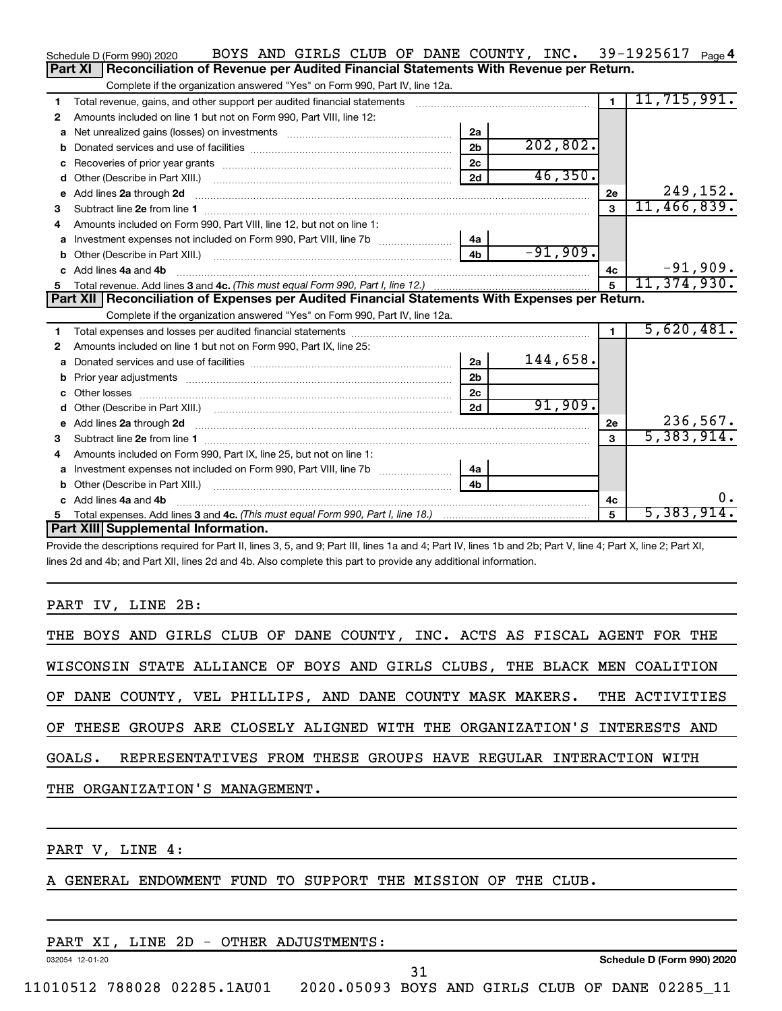|    | BOYS AND GIRLS CLUB OF DANE COUNTY, INC. 39-1925617 Page 4<br>Schedule D (Form 990) 2020                                                                                                                                                                                     |                |               |                |               |
|----|------------------------------------------------------------------------------------------------------------------------------------------------------------------------------------------------------------------------------------------------------------------------------|----------------|---------------|----------------|---------------|
|    | Reconciliation of Revenue per Audited Financial Statements With Revenue per Return.<br>Part XI                                                                                                                                                                               |                |               |                |               |
|    | Complete if the organization answered "Yes" on Form 990, Part IV, line 12a.                                                                                                                                                                                                  |                |               |                |               |
| 1  | Total revenue, gains, and other support per audited financial statements [[[[[[[[[[[[[[[[[[[[[[[[]]]]]]]]]]]]                                                                                                                                                                |                |               | $\overline{1}$ | 11, 715, 991. |
| 2  | Amounts included on line 1 but not on Form 990, Part VIII, line 12:                                                                                                                                                                                                          |                |               |                |               |
| a  |                                                                                                                                                                                                                                                                              | 2a             |               |                |               |
| b  |                                                                                                                                                                                                                                                                              | 2 <sub>b</sub> | 202,802.      |                |               |
| C  |                                                                                                                                                                                                                                                                              | 2 <sub>c</sub> |               |                |               |
| d  |                                                                                                                                                                                                                                                                              | 2d             | 46,350.       |                |               |
| е  | Add lines 2a through 2d <b>continuum continuum contracts</b> and an analysis of the contract of the contract of the contract of the contract of the contract of the contract of the contract of the contract of the contract of the                                          |                |               | 2е             | 249,152.      |
| 3  |                                                                                                                                                                                                                                                                              |                |               | 3              | 11,466,839.   |
| 4  | Amounts included on Form 990, Part VIII, line 12, but not on line 1:                                                                                                                                                                                                         |                |               |                |               |
|    |                                                                                                                                                                                                                                                                              | 4a             |               |                |               |
|    |                                                                                                                                                                                                                                                                              | 4 <sub>b</sub> | $-91,909.$    |                |               |
|    | c Add lines 4a and 4b                                                                                                                                                                                                                                                        |                |               | 4с             | $-91,909.$    |
|    |                                                                                                                                                                                                                                                                              | 5              | 11, 374, 930. |                |               |
|    |                                                                                                                                                                                                                                                                              |                |               |                |               |
|    | Part XII   Reconciliation of Expenses per Audited Financial Statements With Expenses per Return.                                                                                                                                                                             |                |               |                |               |
|    | Complete if the organization answered "Yes" on Form 990, Part IV, line 12a.                                                                                                                                                                                                  |                |               |                |               |
| 1. |                                                                                                                                                                                                                                                                              |                |               | $\mathbf{1}$   | 5,620,481.    |
| 2  | Amounts included on line 1 but not on Form 990, Part IX, line 25:                                                                                                                                                                                                            |                |               |                |               |
| a  |                                                                                                                                                                                                                                                                              | 2a             | 144,658.      |                |               |
| b  |                                                                                                                                                                                                                                                                              | 2 <sub>b</sub> |               |                |               |
| c  |                                                                                                                                                                                                                                                                              | 2c             |               |                |               |
| d  |                                                                                                                                                                                                                                                                              | 2d             | 91,909.       |                |               |
|    | e Add lines 2a through 2d <b>[10]</b> [10] <b>All and Provide 20</b> [10] <b>All and Provide 20</b> [10] <b>All and Provide 20</b> [10] <b>All and Provide 20</b> [10] <b>All and Provide 20</b> [10] <b>All and Provide 20</b> [10] <b>All and Provide 20</b> [10] <b>A</b> |                |               | 2e             | 236,567.      |
| 3  |                                                                                                                                                                                                                                                                              |                |               | 3              | 5,383,914.    |
| 4  | Amounts included on Form 990, Part IX, line 25, but not on line 1:                                                                                                                                                                                                           |                |               |                |               |
| a  | Investment expenses not included on Form 990, Part VIII, line 7b [11, 11, 11, 11, 11]                                                                                                                                                                                        | 4a             |               |                |               |
|    |                                                                                                                                                                                                                                                                              | 4b             |               |                |               |
|    | c Add lines 4a and 4b                                                                                                                                                                                                                                                        |                |               | 4с             | $0$ .         |
|    | Part XIII Supplemental Information.                                                                                                                                                                                                                                          |                |               | $\mathbf{F}$   | 5,383,914.    |

Provide the descriptions required for Part II, lines 3, 5, and 9; Part III, lines 1a and 4; Part IV, lines 1b and 2b; Part V, line 4; Part X, line 2; Part XI, lines 2d and 4b; and Part XII, lines 2d and 4b. Also complete this part to provide any additional information.

### PART IV, LINE 2B:

|  | THE ORGANIZATION'S MANAGEMENT. |  |  |  |  | GOALS. REPRESENTATIVES FROM THESE GROUPS HAVE REGULAR INTERACTION WITH    |  |  |
|--|--------------------------------|--|--|--|--|---------------------------------------------------------------------------|--|--|
|  |                                |  |  |  |  | OF THESE GROUPS ARE CLOSELY ALIGNED WITH THE ORGANIZATION'S INTERESTS AND |  |  |
|  |                                |  |  |  |  | OF DANE COUNTY, VEL PHILLIPS, AND DANE COUNTY MASK MAKERS. THE ACTIVITIES |  |  |
|  |                                |  |  |  |  | WISCONSIN STATE ALLIANCE OF BOYS AND GIRLS CLUBS, THE BLACK MEN COALITION |  |  |
|  |                                |  |  |  |  | THE BOYS AND GIRLS CLUB OF DANE COUNTY, INC. ACTS AS FISCAL AGENT FOR THE |  |  |

PART V, LINE 4:

A GENERAL ENDOWMENT FUND TO SUPPORT THE MISSION OF THE CLUB.

|                 |  |                             | LINE 2D - OTHER ADJUSTMENTS:                    |  |  |  |                            |  |
|-----------------|--|-----------------------------|-------------------------------------------------|--|--|--|----------------------------|--|
| 032054 12-01-20 |  |                             |                                                 |  |  |  | Schedule D (Form 990) 2020 |  |
|                 |  |                             |                                                 |  |  |  |                            |  |
|                 |  | 11010512 788028 02285.1AU01 | 2020.05093 BOYS AND GIRLS CLUB OF DANE 02285 11 |  |  |  |                            |  |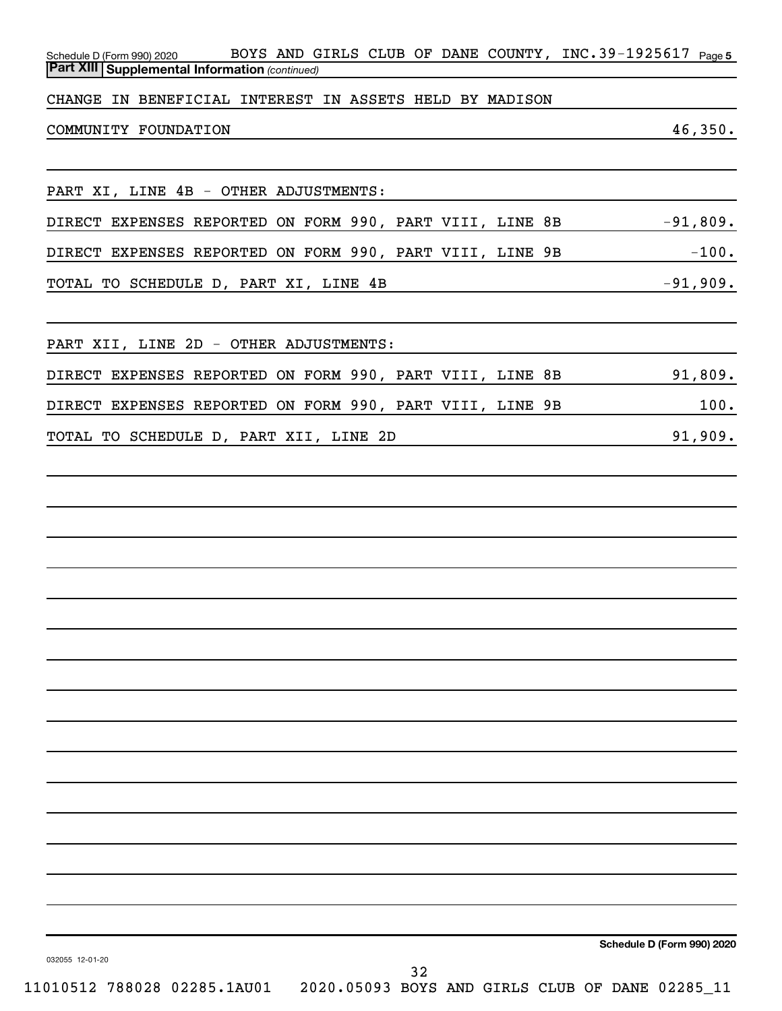| Schedule D (Form 990) 2020 BOYS AND GIRLS CLUB OF DANE COUNTY, INC. 39-1925617 Page 5<br><b>Part XIII Supplemental Information (continued)</b> |                            |
|------------------------------------------------------------------------------------------------------------------------------------------------|----------------------------|
| CHANGE IN BENEFICIAL INTEREST IN ASSETS HELD BY MADISON                                                                                        |                            |
| COMMUNITY FOUNDATION                                                                                                                           | 46,350.                    |
|                                                                                                                                                |                            |
| PART XI, LINE 4B - OTHER ADJUSTMENTS:                                                                                                          |                            |
| DIRECT EXPENSES REPORTED ON FORM 990, PART VIII, LINE 8B -91,809.                                                                              |                            |
|                                                                                                                                                |                            |
| TOTAL TO SCHEDULE D, PART XI, LINE 4B<br>-91,909.                                                                                              |                            |
| PART XII, LINE 2D - OTHER ADJUSTMENTS:                                                                                                         |                            |
| DIRECT EXPENSES REPORTED ON FORM 990, PART VIII, LINE 8B 91,809.                                                                               |                            |
| DIRECT EXPENSES REPORTED ON FORM 990, PART VIII, LINE 9B 100.                                                                                  |                            |
| TOTAL TO SCHEDULE D, PART XII, LINE 2D<br>20 1,909.                                                                                            |                            |
|                                                                                                                                                |                            |
|                                                                                                                                                |                            |
|                                                                                                                                                |                            |
|                                                                                                                                                |                            |
|                                                                                                                                                |                            |
|                                                                                                                                                |                            |
|                                                                                                                                                |                            |
|                                                                                                                                                |                            |
|                                                                                                                                                |                            |
|                                                                                                                                                |                            |
|                                                                                                                                                |                            |
|                                                                                                                                                |                            |
|                                                                                                                                                |                            |
|                                                                                                                                                |                            |
|                                                                                                                                                |                            |
|                                                                                                                                                | Schedule D (Form 990) 2020 |
| 032055 12-01-20<br>32<br>$0.10512$ 788028 02285 131101 2020 05083 DOVC 3ND CIDIC CIIID OF DANE 02285 11                                        |                            |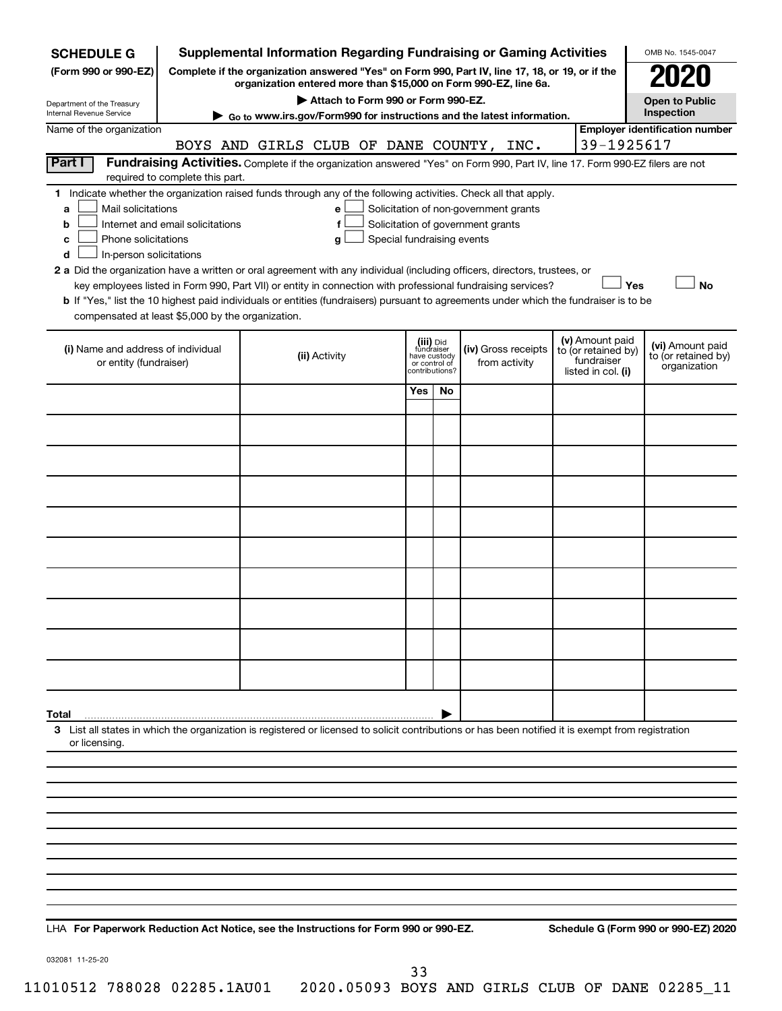| <b>SCHEDULE G</b>                                                                                                                                                                                                                                                                                                                                                                                                                                                                                                                                                                                                                                                                                                                                                                    |            | <b>Supplemental Information Regarding Fundraising or Gaming Activities</b>                                                                                          |                                                                            |     |                                      |  |                                                                            | OMB No. 1545-0047                                       |  |  |
|--------------------------------------------------------------------------------------------------------------------------------------------------------------------------------------------------------------------------------------------------------------------------------------------------------------------------------------------------------------------------------------------------------------------------------------------------------------------------------------------------------------------------------------------------------------------------------------------------------------------------------------------------------------------------------------------------------------------------------------------------------------------------------------|------------|---------------------------------------------------------------------------------------------------------------------------------------------------------------------|----------------------------------------------------------------------------|-----|--------------------------------------|--|----------------------------------------------------------------------------|---------------------------------------------------------|--|--|
| (Form 990 or 990-EZ)                                                                                                                                                                                                                                                                                                                                                                                                                                                                                                                                                                                                                                                                                                                                                                 |            | Complete if the organization answered "Yes" on Form 990, Part IV, line 17, 18, or 19, or if the<br>organization entered more than \$15,000 on Form 990-EZ, line 6a. |                                                                            |     |                                      |  |                                                                            |                                                         |  |  |
| Department of the Treasury                                                                                                                                                                                                                                                                                                                                                                                                                                                                                                                                                                                                                                                                                                                                                           |            | Attach to Form 990 or Form 990-EZ.                                                                                                                                  |                                                                            |     |                                      |  |                                                                            | <b>Open to Public</b>                                   |  |  |
| Internal Revenue Service                                                                                                                                                                                                                                                                                                                                                                                                                                                                                                                                                                                                                                                                                                                                                             |            | ► Go to www.irs.gov/Form990 for instructions and the latest information.                                                                                            |                                                                            |     |                                      |  |                                                                            | Inspection                                              |  |  |
| Name of the organization                                                                                                                                                                                                                                                                                                                                                                                                                                                                                                                                                                                                                                                                                                                                                             | 39-1925617 | <b>Employer identification number</b>                                                                                                                               |                                                                            |     |                                      |  |                                                                            |                                                         |  |  |
| BOYS AND GIRLS CLUB OF DANE COUNTY, INC.<br>Part I<br>Fundraising Activities. Complete if the organization answered "Yes" on Form 990, Part IV, line 17. Form 990-EZ filers are not<br>required to complete this part.                                                                                                                                                                                                                                                                                                                                                                                                                                                                                                                                                               |            |                                                                                                                                                                     |                                                                            |     |                                      |  |                                                                            |                                                         |  |  |
| 1 Indicate whether the organization raised funds through any of the following activities. Check all that apply.<br>Mail solicitations<br>Solicitation of non-government grants<br>a<br>е<br>Internet and email solicitations<br>Solicitation of government grants<br>f<br>b<br>Phone solicitations<br>Special fundraising events<br>c<br>g<br>In-person solicitations<br>d<br>2 a Did the organization have a written or oral agreement with any individual (including officers, directors, trustees, or<br><b>No</b><br>key employees listed in Form 990, Part VII) or entity in connection with professional fundraising services?<br>Yes<br>b If "Yes," list the 10 highest paid individuals or entities (fundraisers) pursuant to agreements under which the fundraiser is to be |            |                                                                                                                                                                     |                                                                            |     |                                      |  |                                                                            |                                                         |  |  |
| compensated at least \$5,000 by the organization.                                                                                                                                                                                                                                                                                                                                                                                                                                                                                                                                                                                                                                                                                                                                    |            |                                                                                                                                                                     |                                                                            |     |                                      |  |                                                                            |                                                         |  |  |
| (i) Name and address of individual<br>or entity (fundraiser)                                                                                                                                                                                                                                                                                                                                                                                                                                                                                                                                                                                                                                                                                                                         |            | (ii) Activity                                                                                                                                                       | (iii) Did<br>fundraiser<br>have custody<br>or control of<br>contributions? |     | (iv) Gross receipts<br>from activity |  | (v) Amount paid<br>to (or retained by)<br>fundraiser<br>listed in col. (i) | (vi) Amount paid<br>to (or retained by)<br>organization |  |  |
|                                                                                                                                                                                                                                                                                                                                                                                                                                                                                                                                                                                                                                                                                                                                                                                      |            |                                                                                                                                                                     | Yes                                                                        | No. |                                      |  |                                                                            |                                                         |  |  |
|                                                                                                                                                                                                                                                                                                                                                                                                                                                                                                                                                                                                                                                                                                                                                                                      |            |                                                                                                                                                                     |                                                                            |     |                                      |  |                                                                            |                                                         |  |  |
|                                                                                                                                                                                                                                                                                                                                                                                                                                                                                                                                                                                                                                                                                                                                                                                      |            |                                                                                                                                                                     |                                                                            |     |                                      |  |                                                                            |                                                         |  |  |
|                                                                                                                                                                                                                                                                                                                                                                                                                                                                                                                                                                                                                                                                                                                                                                                      |            |                                                                                                                                                                     |                                                                            |     |                                      |  |                                                                            |                                                         |  |  |
|                                                                                                                                                                                                                                                                                                                                                                                                                                                                                                                                                                                                                                                                                                                                                                                      |            |                                                                                                                                                                     |                                                                            |     |                                      |  |                                                                            |                                                         |  |  |
|                                                                                                                                                                                                                                                                                                                                                                                                                                                                                                                                                                                                                                                                                                                                                                                      |            |                                                                                                                                                                     |                                                                            |     |                                      |  |                                                                            |                                                         |  |  |
|                                                                                                                                                                                                                                                                                                                                                                                                                                                                                                                                                                                                                                                                                                                                                                                      |            |                                                                                                                                                                     |                                                                            |     |                                      |  |                                                                            |                                                         |  |  |
|                                                                                                                                                                                                                                                                                                                                                                                                                                                                                                                                                                                                                                                                                                                                                                                      |            |                                                                                                                                                                     |                                                                            |     |                                      |  |                                                                            |                                                         |  |  |
|                                                                                                                                                                                                                                                                                                                                                                                                                                                                                                                                                                                                                                                                                                                                                                                      |            |                                                                                                                                                                     |                                                                            |     |                                      |  |                                                                            |                                                         |  |  |
|                                                                                                                                                                                                                                                                                                                                                                                                                                                                                                                                                                                                                                                                                                                                                                                      |            |                                                                                                                                                                     |                                                                            |     |                                      |  |                                                                            |                                                         |  |  |
| Total                                                                                                                                                                                                                                                                                                                                                                                                                                                                                                                                                                                                                                                                                                                                                                                |            |                                                                                                                                                                     |                                                                            |     |                                      |  |                                                                            |                                                         |  |  |
| or licensing.                                                                                                                                                                                                                                                                                                                                                                                                                                                                                                                                                                                                                                                                                                                                                                        |            | 3 List all states in which the organization is registered or licensed to solicit contributions or has been notified it is exempt from registration                  |                                                                            |     |                                      |  |                                                                            |                                                         |  |  |
|                                                                                                                                                                                                                                                                                                                                                                                                                                                                                                                                                                                                                                                                                                                                                                                      |            |                                                                                                                                                                     |                                                                            |     |                                      |  |                                                                            |                                                         |  |  |
|                                                                                                                                                                                                                                                                                                                                                                                                                                                                                                                                                                                                                                                                                                                                                                                      |            |                                                                                                                                                                     |                                                                            |     |                                      |  |                                                                            |                                                         |  |  |
|                                                                                                                                                                                                                                                                                                                                                                                                                                                                                                                                                                                                                                                                                                                                                                                      |            |                                                                                                                                                                     |                                                                            |     |                                      |  |                                                                            |                                                         |  |  |
|                                                                                                                                                                                                                                                                                                                                                                                                                                                                                                                                                                                                                                                                                                                                                                                      |            |                                                                                                                                                                     |                                                                            |     |                                      |  |                                                                            |                                                         |  |  |
|                                                                                                                                                                                                                                                                                                                                                                                                                                                                                                                                                                                                                                                                                                                                                                                      |            |                                                                                                                                                                     |                                                                            |     |                                      |  |                                                                            |                                                         |  |  |
|                                                                                                                                                                                                                                                                                                                                                                                                                                                                                                                                                                                                                                                                                                                                                                                      |            |                                                                                                                                                                     |                                                                            |     |                                      |  |                                                                            |                                                         |  |  |
|                                                                                                                                                                                                                                                                                                                                                                                                                                                                                                                                                                                                                                                                                                                                                                                      |            |                                                                                                                                                                     |                                                                            |     |                                      |  |                                                                            |                                                         |  |  |
|                                                                                                                                                                                                                                                                                                                                                                                                                                                                                                                                                                                                                                                                                                                                                                                      |            |                                                                                                                                                                     |                                                                            |     |                                      |  |                                                                            |                                                         |  |  |
|                                                                                                                                                                                                                                                                                                                                                                                                                                                                                                                                                                                                                                                                                                                                                                                      |            |                                                                                                                                                                     |                                                                            |     |                                      |  |                                                                            |                                                         |  |  |

**For Paperwork Reduction Act Notice, see the Instructions for Form 990 or 990-EZ. Schedule G (Form 990 or 990-EZ) 2020** LHA

032081 11-25-20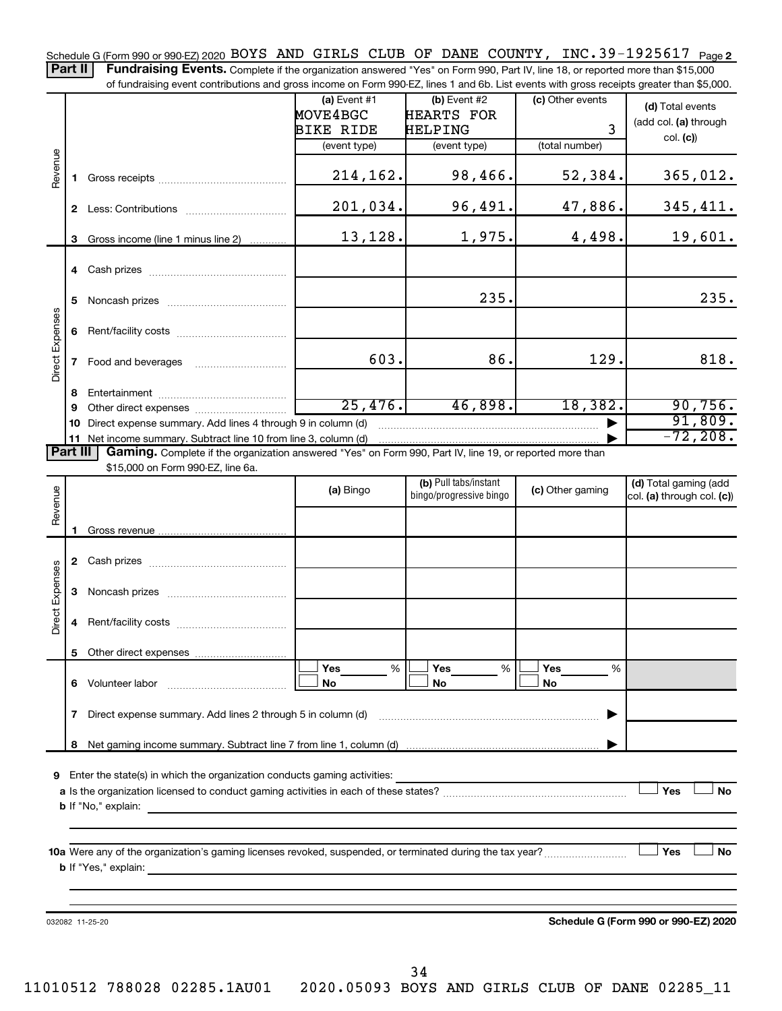Schedule G (Form 990 or 990-EZ) 2020 BOYS AND GIRLS CLUB OF DANE COUNTY, INC.39-1925617 <sub>Page 2</sub>

Part II | Fundraising Events. Complete if the organization answered "Yes" on Form 990, Part IV, line 18, or reported more than \$15,000 of fundraising event contributions and gross income on Form 990-EZ, lines 1 and 6b. List events with gross receipts greater than \$5,000.

|                                                                                                                      |              |                                                                                                                                                                                                                                           | (a) Event $#1$<br>MOVE4BGC | (b) Event #2<br><b>HEARTS FOR</b>                | (c) Other events | (d) Total events                                    |  |  |  |
|----------------------------------------------------------------------------------------------------------------------|--------------|-------------------------------------------------------------------------------------------------------------------------------------------------------------------------------------------------------------------------------------------|----------------------------|--------------------------------------------------|------------------|-----------------------------------------------------|--|--|--|
|                                                                                                                      |              |                                                                                                                                                                                                                                           | BIKE RIDE                  | HELPING                                          | 3                | (add col. (a) through                               |  |  |  |
|                                                                                                                      |              |                                                                                                                                                                                                                                           | (event type)               | (event type)                                     | (total number)   | col. (c)                                            |  |  |  |
| Revenue                                                                                                              | 1.           |                                                                                                                                                                                                                                           | 214,162.                   | 98,466.                                          | 52,384.          | 365,012.                                            |  |  |  |
|                                                                                                                      |              |                                                                                                                                                                                                                                           | 201,034.                   | 96,491.                                          | 47,886.          | 345,411.                                            |  |  |  |
|                                                                                                                      | 3            | Gross income (line 1 minus line 2)                                                                                                                                                                                                        | 13,128.                    | 1,975.                                           | 4,498.           | 19,601.                                             |  |  |  |
|                                                                                                                      |              |                                                                                                                                                                                                                                           |                            |                                                  |                  |                                                     |  |  |  |
|                                                                                                                      | 5            |                                                                                                                                                                                                                                           |                            | 235.                                             |                  | 235.                                                |  |  |  |
|                                                                                                                      | 6            |                                                                                                                                                                                                                                           |                            |                                                  |                  |                                                     |  |  |  |
| Direct Expenses                                                                                                      | $\mathbf{7}$ |                                                                                                                                                                                                                                           | 603.                       | 86.                                              | 129.             | 818.                                                |  |  |  |
|                                                                                                                      | 8            |                                                                                                                                                                                                                                           |                            |                                                  |                  |                                                     |  |  |  |
|                                                                                                                      | 9            |                                                                                                                                                                                                                                           | 25,476.                    | 46,898.                                          | 18,382.          | 90,756.                                             |  |  |  |
|                                                                                                                      | 10           | Direct expense summary. Add lines 4 through 9 in column (d)                                                                                                                                                                               |                            |                                                  |                  | 91,809.                                             |  |  |  |
|                                                                                                                      |              | 11 Net income summary. Subtract line 10 from line 3, column (d)                                                                                                                                                                           |                            |                                                  |                  | $-72, 208.$                                         |  |  |  |
| Part III<br>Gaming. Complete if the organization answered "Yes" on Form 990, Part IV, line 19, or reported more than |              |                                                                                                                                                                                                                                           |                            |                                                  |                  |                                                     |  |  |  |
|                                                                                                                      |              | \$15,000 on Form 990-EZ, line 6a.                                                                                                                                                                                                         |                            |                                                  |                  |                                                     |  |  |  |
| Revenue                                                                                                              |              |                                                                                                                                                                                                                                           | (a) Bingo                  | (b) Pull tabs/instant<br>bingo/progressive bingo | (c) Other gaming | (d) Total gaming (add<br>col. (a) through col. (c)) |  |  |  |
|                                                                                                                      | 1.           |                                                                                                                                                                                                                                           |                            |                                                  |                  |                                                     |  |  |  |
|                                                                                                                      |              |                                                                                                                                                                                                                                           |                            |                                                  |                  |                                                     |  |  |  |
| <b>Direct Expenses</b>                                                                                               | 3            |                                                                                                                                                                                                                                           |                            |                                                  |                  |                                                     |  |  |  |
|                                                                                                                      |              |                                                                                                                                                                                                                                           |                            |                                                  |                  |                                                     |  |  |  |
|                                                                                                                      |              |                                                                                                                                                                                                                                           |                            |                                                  |                  |                                                     |  |  |  |
|                                                                                                                      |              |                                                                                                                                                                                                                                           | Yes<br>%                   | %<br>Yes                                         | Yes<br>%         |                                                     |  |  |  |
|                                                                                                                      |              | 6 Volunteer labor                                                                                                                                                                                                                         | No                         | No                                               | No               |                                                     |  |  |  |
|                                                                                                                      | 7            | Direct expense summary. Add lines 2 through 5 in column (d)                                                                                                                                                                               |                            |                                                  |                  |                                                     |  |  |  |
|                                                                                                                      |              |                                                                                                                                                                                                                                           |                            |                                                  |                  |                                                     |  |  |  |
|                                                                                                                      |              | 9 Enter the state(s) in which the organization conducts gaming activities:                                                                                                                                                                |                            |                                                  |                  |                                                     |  |  |  |
|                                                                                                                      |              |                                                                                                                                                                                                                                           |                            |                                                  |                  | Yes<br><b>No</b>                                    |  |  |  |
|                                                                                                                      |              |                                                                                                                                                                                                                                           |                            |                                                  |                  |                                                     |  |  |  |
|                                                                                                                      |              |                                                                                                                                                                                                                                           |                            |                                                  |                  | Yes<br><b>No</b>                                    |  |  |  |
|                                                                                                                      |              | <b>b</b> If "Yes," explain: <u>All and the set of the set of the set of the set of the set of the set of the set of the set of the set of the set of the set of the set of the set of the set of the set of the set of the set of the</u> |                            |                                                  |                  |                                                     |  |  |  |
|                                                                                                                      |              |                                                                                                                                                                                                                                           |                            |                                                  |                  |                                                     |  |  |  |
|                                                                                                                      |              | 032082 11-25-20                                                                                                                                                                                                                           |                            |                                                  |                  | Schedule G (Form 990 or 990-EZ) 2020                |  |  |  |
|                                                                                                                      |              |                                                                                                                                                                                                                                           |                            |                                                  |                  |                                                     |  |  |  |
|                                                                                                                      |              |                                                                                                                                                                                                                                           |                            |                                                  |                  |                                                     |  |  |  |

34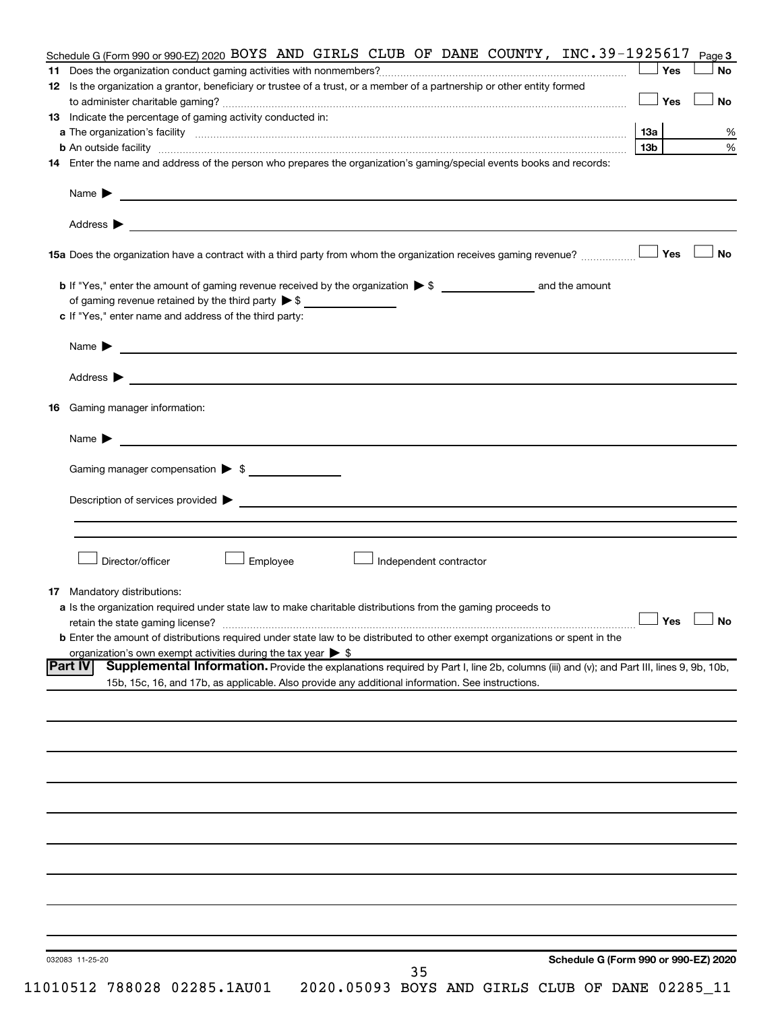| Schedule G (Form 990 or 990-EZ) 2020 BOYS AND GIRLS CLUB OF DANE COUNTY, INC.39-1925617                                                                                                                                                    |                      | Page 3    |
|--------------------------------------------------------------------------------------------------------------------------------------------------------------------------------------------------------------------------------------------|----------------------|-----------|
|                                                                                                                                                                                                                                            | Yes                  | <b>No</b> |
| 12 Is the organization a grantor, beneficiary or trustee of a trust, or a member of a partnership or other entity formed                                                                                                                   |                      |           |
|                                                                                                                                                                                                                                            | $\Box$ Yes           | <b>No</b> |
| 13 Indicate the percentage of gaming activity conducted in:                                                                                                                                                                                |                      |           |
|                                                                                                                                                                                                                                            |                      | %         |
|                                                                                                                                                                                                                                            | 13b l                | %         |
| 14 Enter the name and address of the person who prepares the organization's gaming/special events books and records:                                                                                                                       |                      |           |
|                                                                                                                                                                                                                                            |                      |           |
|                                                                                                                                                                                                                                            |                      |           |
|                                                                                                                                                                                                                                            |                      | No        |
|                                                                                                                                                                                                                                            |                      |           |
|                                                                                                                                                                                                                                            |                      |           |
| of gaming revenue retained by the third party $\triangleright$ \$                                                                                                                                                                          |                      |           |
| c If "Yes," enter name and address of the third party:                                                                                                                                                                                     |                      |           |
| Name $\blacktriangleright$ $\_\_$                                                                                                                                                                                                          |                      |           |
|                                                                                                                                                                                                                                            |                      |           |
|                                                                                                                                                                                                                                            |                      |           |
| <b>16</b> Gaming manager information:                                                                                                                                                                                                      |                      |           |
| Name $\triangleright$                                                                                                                                                                                                                      |                      |           |
|                                                                                                                                                                                                                                            |                      |           |
| Gaming manager compensation > \$                                                                                                                                                                                                           |                      |           |
|                                                                                                                                                                                                                                            |                      |           |
|                                                                                                                                                                                                                                            |                      |           |
|                                                                                                                                                                                                                                            |                      |           |
| Director/officer<br>Employee<br>Independent contractor                                                                                                                                                                                     |                      |           |
|                                                                                                                                                                                                                                            |                      |           |
| 17 Mandatory distributions:                                                                                                                                                                                                                |                      |           |
| a Is the organization required under state law to make charitable distributions from the gaming proceeds to                                                                                                                                |                      |           |
| retain the state gaming license?                                                                                                                                                                                                           | $\Box$ Yes $\Box$ No |           |
| <b>b</b> Enter the amount of distributions required under state law to be distributed to other exempt organizations or spent in the                                                                                                        |                      |           |
| organization's own exempt activities during the tax year $\triangleright$ \$<br><b>Part IV</b>                                                                                                                                             |                      |           |
| Supplemental Information. Provide the explanations required by Part I, line 2b, columns (iii) and (v); and Part III, lines 9, 9b, 10b,<br>15b, 15c, 16, and 17b, as applicable. Also provide any additional information. See instructions. |                      |           |
|                                                                                                                                                                                                                                            |                      |           |
|                                                                                                                                                                                                                                            |                      |           |
|                                                                                                                                                                                                                                            |                      |           |
|                                                                                                                                                                                                                                            |                      |           |
|                                                                                                                                                                                                                                            |                      |           |
|                                                                                                                                                                                                                                            |                      |           |
|                                                                                                                                                                                                                                            |                      |           |
|                                                                                                                                                                                                                                            |                      |           |
|                                                                                                                                                                                                                                            |                      |           |
|                                                                                                                                                                                                                                            |                      |           |
|                                                                                                                                                                                                                                            |                      |           |
|                                                                                                                                                                                                                                            |                      |           |
|                                                                                                                                                                                                                                            |                      |           |
| Schedule G (Form 990 or 990-EZ) 2020<br>032083 11-25-20                                                                                                                                                                                    |                      |           |
| 35                                                                                                                                                                                                                                         |                      |           |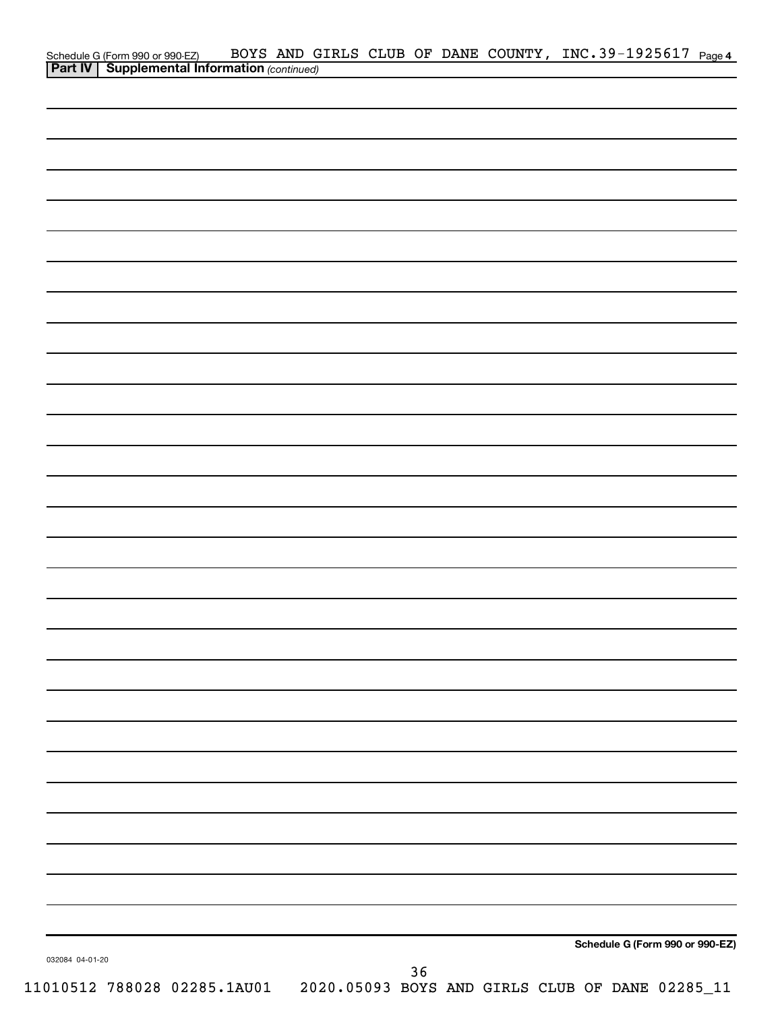| Schedule G (Form 990 or 990-EZ) BOYS AND G<br><b>Part IV</b> Supplemental Information (continued) |  |  |    |  | BOYS AND GIRLS CLUB OF DANE COUNTY, INC.39-1925617 Page 4 |  |
|---------------------------------------------------------------------------------------------------|--|--|----|--|-----------------------------------------------------------|--|
|                                                                                                   |  |  |    |  |                                                           |  |
|                                                                                                   |  |  |    |  |                                                           |  |
|                                                                                                   |  |  |    |  |                                                           |  |
|                                                                                                   |  |  |    |  |                                                           |  |
|                                                                                                   |  |  |    |  |                                                           |  |
|                                                                                                   |  |  |    |  |                                                           |  |
|                                                                                                   |  |  |    |  |                                                           |  |
|                                                                                                   |  |  |    |  |                                                           |  |
|                                                                                                   |  |  |    |  |                                                           |  |
|                                                                                                   |  |  |    |  |                                                           |  |
|                                                                                                   |  |  |    |  |                                                           |  |
|                                                                                                   |  |  |    |  |                                                           |  |
|                                                                                                   |  |  |    |  |                                                           |  |
|                                                                                                   |  |  |    |  |                                                           |  |
|                                                                                                   |  |  |    |  |                                                           |  |
|                                                                                                   |  |  |    |  |                                                           |  |
|                                                                                                   |  |  |    |  |                                                           |  |
|                                                                                                   |  |  |    |  |                                                           |  |
|                                                                                                   |  |  |    |  |                                                           |  |
|                                                                                                   |  |  |    |  |                                                           |  |
|                                                                                                   |  |  |    |  |                                                           |  |
|                                                                                                   |  |  |    |  |                                                           |  |
|                                                                                                   |  |  |    |  |                                                           |  |
|                                                                                                   |  |  |    |  |                                                           |  |
|                                                                                                   |  |  |    |  |                                                           |  |
|                                                                                                   |  |  |    |  |                                                           |  |
|                                                                                                   |  |  |    |  |                                                           |  |
|                                                                                                   |  |  |    |  |                                                           |  |
|                                                                                                   |  |  |    |  |                                                           |  |
|                                                                                                   |  |  |    |  |                                                           |  |
|                                                                                                   |  |  |    |  |                                                           |  |
|                                                                                                   |  |  |    |  |                                                           |  |
|                                                                                                   |  |  |    |  |                                                           |  |
|                                                                                                   |  |  |    |  |                                                           |  |
|                                                                                                   |  |  |    |  |                                                           |  |
|                                                                                                   |  |  |    |  |                                                           |  |
|                                                                                                   |  |  |    |  |                                                           |  |
|                                                                                                   |  |  |    |  |                                                           |  |
| 032084 04-01-20                                                                                   |  |  |    |  | Schedule G (Form 990 or 990-EZ)                           |  |
|                                                                                                   |  |  | 36 |  |                                                           |  |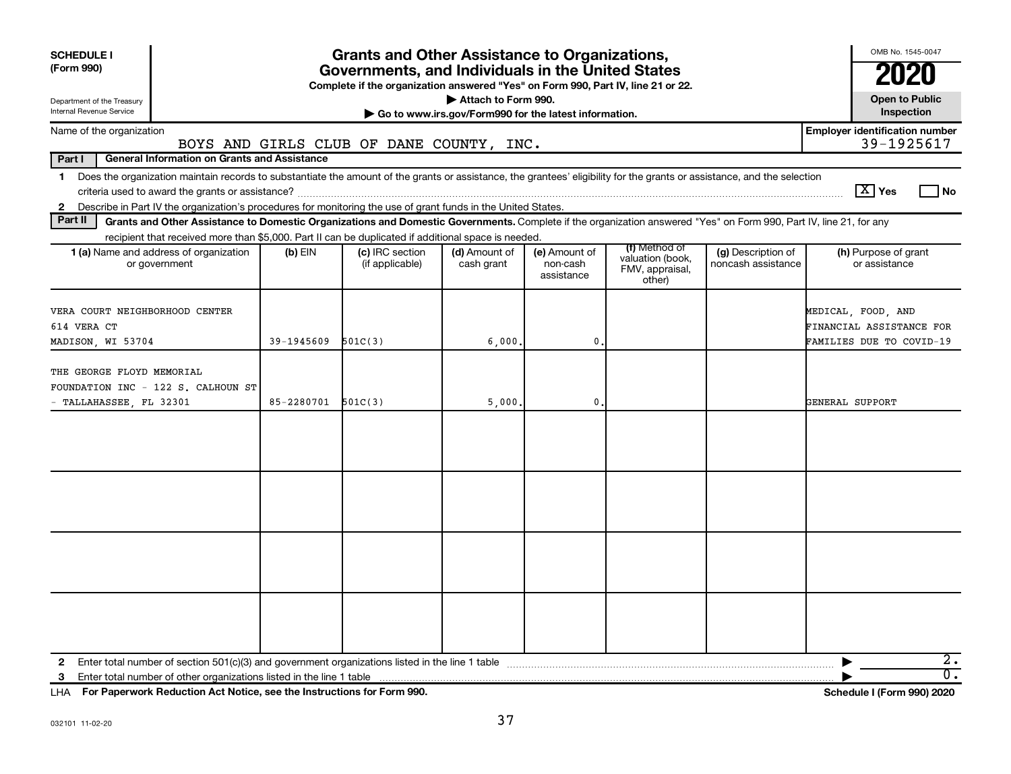| OMB No. 1545-0047<br><b>Grants and Other Assistance to Organizations,</b><br><b>SCHEDULE I</b><br>(Form 990)<br>Governments, and Individuals in the United States<br>Complete if the organization answered "Yes" on Form 990, Part IV, line 21 or 22.<br>Attach to Form 990.<br><b>Open to Public</b><br>Department of the Treasury<br>Internal Revenue Service<br>Inspection<br>Go to www.irs.gov/Form990 for the latest information.<br><b>Employer identification number</b><br>Name of the organization<br>BOYS AND GIRLS CLUB OF DANE COUNTY, INC. |            |                                    |                             |                                         |                                                                |                                          |                                                                            |  |  |  |
|---------------------------------------------------------------------------------------------------------------------------------------------------------------------------------------------------------------------------------------------------------------------------------------------------------------------------------------------------------------------------------------------------------------------------------------------------------------------------------------------------------------------------------------------------------|------------|------------------------------------|-----------------------------|-----------------------------------------|----------------------------------------------------------------|------------------------------------------|----------------------------------------------------------------------------|--|--|--|
| Part I<br><b>General Information on Grants and Assistance</b>                                                                                                                                                                                                                                                                                                                                                                                                                                                                                           |            |                                    |                             |                                         |                                                                |                                          | 39-1925617                                                                 |  |  |  |
| Does the organization maintain records to substantiate the amount of the grants or assistance, the grantees' eligibility for the grants or assistance, and the selection<br>$\mathbf 1$<br>2 Describe in Part IV the organization's procedures for monitoring the use of grant funds in the United States.                                                                                                                                                                                                                                              |            |                                    |                             |                                         |                                                                |                                          | $\boxed{\text{X}}$ Yes<br>l No                                             |  |  |  |
| Part II<br>Grants and Other Assistance to Domestic Organizations and Domestic Governments. Complete if the organization answered "Yes" on Form 990, Part IV, line 21, for any                                                                                                                                                                                                                                                                                                                                                                           |            |                                    |                             |                                         |                                                                |                                          |                                                                            |  |  |  |
| recipient that received more than \$5,000. Part II can be duplicated if additional space is needed.<br>1 (a) Name and address of organization<br>or government                                                                                                                                                                                                                                                                                                                                                                                          | $(b)$ EIN  | (c) IRC section<br>(if applicable) | (d) Amount of<br>cash grant | (e) Amount of<br>non-cash<br>assistance | (f) Method of<br>valuation (book,<br>FMV, appraisal,<br>other) | (g) Description of<br>noncash assistance | (h) Purpose of grant<br>or assistance                                      |  |  |  |
| VERA COURT NEIGHBORHOOD CENTER<br>614 VERA CT<br>MADISON, WI 53704                                                                                                                                                                                                                                                                                                                                                                                                                                                                                      | 39-1945609 | 501C(3)                            | 6,000                       | 0                                       |                                                                |                                          | MEDICAL, FOOD, AND<br>FINANCIAL ASSISTANCE FOR<br>FAMILIES DUE TO COVID-19 |  |  |  |
| THE GEORGE FLOYD MEMORIAL<br>FOUNDATION INC - 122 S. CALHOUN ST<br>TALLAHASSEE, FL 32301                                                                                                                                                                                                                                                                                                                                                                                                                                                                | 85-2280701 | 501C(3)                            | 5,000,                      | 0                                       |                                                                |                                          | GENERAL SUPPORT                                                            |  |  |  |
|                                                                                                                                                                                                                                                                                                                                                                                                                                                                                                                                                         |            |                                    |                             |                                         |                                                                |                                          |                                                                            |  |  |  |
|                                                                                                                                                                                                                                                                                                                                                                                                                                                                                                                                                         |            |                                    |                             |                                         |                                                                |                                          |                                                                            |  |  |  |
|                                                                                                                                                                                                                                                                                                                                                                                                                                                                                                                                                         |            |                                    |                             |                                         |                                                                |                                          |                                                                            |  |  |  |
|                                                                                                                                                                                                                                                                                                                                                                                                                                                                                                                                                         |            |                                    |                             |                                         |                                                                |                                          |                                                                            |  |  |  |
| 2<br>Enter total number of other organizations listed in the line 1 table<br>3                                                                                                                                                                                                                                                                                                                                                                                                                                                                          |            |                                    |                             |                                         |                                                                |                                          | $2$ .<br>$\overline{0}$ .                                                  |  |  |  |

**For Paperwork Reduction Act Notice, see the Instructions for Form 990. Schedule I (Form 990) 2020** LHA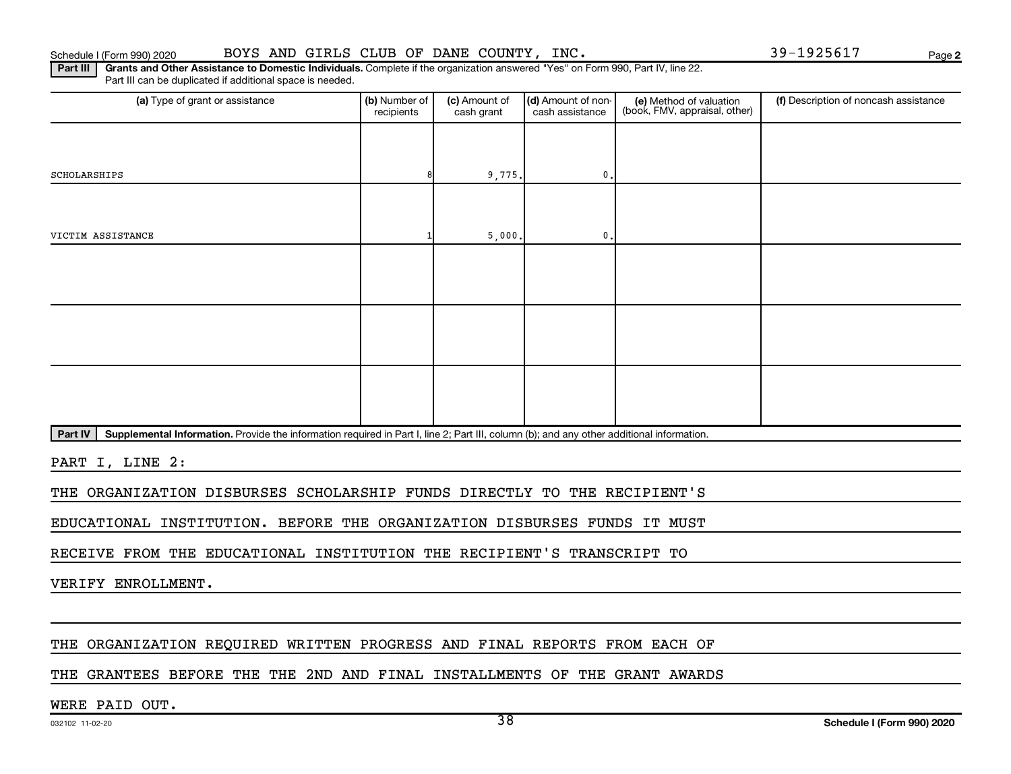**2**

Part III | Grants and Other Assistance to Domestic Individuals. Complete if the organization answered "Yes" on Form 990, Part IV, line 22. Part III can be duplicated if additional space is needed.

| (a) Type of grant or assistance | (b) Number of<br>recipients | (c) Amount of<br>cash grant        | (d) Amount of non-<br>cash assistance                                | (e) Method of valuation<br>(book, FMV, appraisal, other) | (f) Description of noncash assistance |
|---------------------------------|-----------------------------|------------------------------------|----------------------------------------------------------------------|----------------------------------------------------------|---------------------------------------|
|                                 |                             |                                    |                                                                      |                                                          |                                       |
| SCHOLARSHIPS                    |                             | 9,775.                             | $\mathbf{0}$ .                                                       |                                                          |                                       |
|                                 |                             |                                    |                                                                      |                                                          |                                       |
| VICTIM ASSISTANCE               |                             | 5,000.                             | 0.                                                                   |                                                          |                                       |
|                                 |                             |                                    |                                                                      |                                                          |                                       |
|                                 |                             |                                    |                                                                      |                                                          |                                       |
|                                 |                             |                                    |                                                                      |                                                          |                                       |
|                                 |                             |                                    |                                                                      |                                                          |                                       |
|                                 |                             |                                    |                                                                      |                                                          |                                       |
|                                 |                             |                                    |                                                                      |                                                          |                                       |
|                                 |                             | $\sim$ $\sim$ $\sim$ $\sim$ $\sim$ | $\mathbf{a}$<br>$\sim$<br><b>Contract Contract Contract Contract</b> | $\cdots$                                                 |                                       |

Part IV | Supplemental Information. Provide the information required in Part I, line 2; Part III, column (b); and any other additional information.

PART I, LINE 2:

THE ORGANIZATION DISBURSES SCHOLARSHIP FUNDS DIRECTLY TO THE RECIPIENT'S

EDUCATIONAL INSTITUTION. BEFORE THE ORGANIZATION DISBURSES FUNDS IT MUST

RECEIVE FROM THE EDUCATIONAL INSTITUTION THE RECIPIENT'S TRANSCRIPT TO

VERIFY ENROLLMENT.

#### THE ORGANIZATION REQUIRED WRITTEN PROGRESS AND FINAL REPORTS FROM EACH OF

#### THE GRANTEES BEFORE THE THE 2ND AND FINAL INSTALLMENTS OF THE GRANT AWARDS

#### WERE PAID OUT.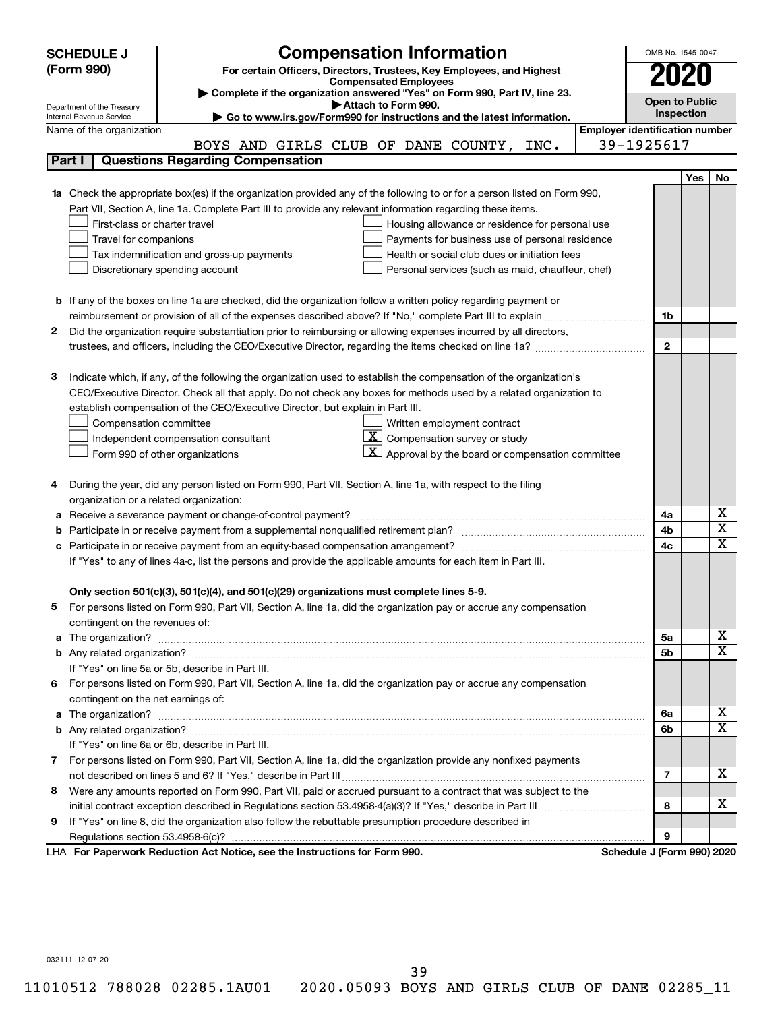|                                                                                                               | <b>Compensation Information</b><br><b>SCHEDULE J</b>                                                                             |                              |  |                                                              |  |                                       | OMB No. 1545-0047          |            |                         |  |  |
|---------------------------------------------------------------------------------------------------------------|----------------------------------------------------------------------------------------------------------------------------------|------------------------------|--|--------------------------------------------------------------|--|---------------------------------------|----------------------------|------------|-------------------------|--|--|
|                                                                                                               | (Form 990)<br>For certain Officers, Directors, Trustees, Key Employees, and Highest                                              |                              |  |                                                              |  |                                       |                            |            |                         |  |  |
|                                                                                                               |                                                                                                                                  | <b>Compensated Employees</b> |  |                                                              |  |                                       |                            | 2020       |                         |  |  |
|                                                                                                               | Complete if the organization answered "Yes" on Form 990, Part IV, line 23.                                                       |                              |  |                                                              |  |                                       | <b>Open to Public</b>      |            |                         |  |  |
|                                                                                                               | Department of the Treasury<br>Go to www.irs.gov/Form990 for instructions and the latest information.<br>Internal Revenue Service | Attach to Form 990.          |  |                                                              |  |                                       |                            | Inspection |                         |  |  |
|                                                                                                               | Name of the organization                                                                                                         |                              |  |                                                              |  | <b>Employer identification number</b> |                            |            |                         |  |  |
|                                                                                                               | BOYS AND GIRLS CLUB OF DANE COUNTY, INC.                                                                                         |                              |  |                                                              |  |                                       | 39-1925617                 |            |                         |  |  |
|                                                                                                               | <b>Questions Regarding Compensation</b><br>Part I                                                                                |                              |  |                                                              |  |                                       |                            |            |                         |  |  |
|                                                                                                               |                                                                                                                                  |                              |  |                                                              |  |                                       |                            | <b>Yes</b> | No                      |  |  |
|                                                                                                               | Check the appropriate box(es) if the organization provided any of the following to or for a person listed on Form 990,           |                              |  |                                                              |  |                                       |                            |            |                         |  |  |
|                                                                                                               | Part VII, Section A, line 1a. Complete Part III to provide any relevant information regarding these items.                       |                              |  |                                                              |  |                                       |                            |            |                         |  |  |
|                                                                                                               | First-class or charter travel                                                                                                    |                              |  | Housing allowance or residence for personal use              |  |                                       |                            |            |                         |  |  |
|                                                                                                               | Travel for companions                                                                                                            |                              |  | Payments for business use of personal residence              |  |                                       |                            |            |                         |  |  |
|                                                                                                               | Tax indemnification and gross-up payments                                                                                        |                              |  | Health or social club dues or initiation fees                |  |                                       |                            |            |                         |  |  |
|                                                                                                               | Discretionary spending account                                                                                                   |                              |  | Personal services (such as maid, chauffeur, chef)            |  |                                       |                            |            |                         |  |  |
|                                                                                                               |                                                                                                                                  |                              |  |                                                              |  |                                       |                            |            |                         |  |  |
|                                                                                                               | <b>b</b> If any of the boxes on line 1a are checked, did the organization follow a written policy regarding payment or           |                              |  |                                                              |  |                                       |                            |            |                         |  |  |
|                                                                                                               |                                                                                                                                  |                              |  |                                                              |  |                                       | 1b                         |            |                         |  |  |
| 2                                                                                                             | Did the organization require substantiation prior to reimbursing or allowing expenses incurred by all directors,                 |                              |  |                                                              |  |                                       |                            |            |                         |  |  |
|                                                                                                               |                                                                                                                                  |                              |  |                                                              |  |                                       | $\mathbf{2}$               |            |                         |  |  |
|                                                                                                               |                                                                                                                                  |                              |  |                                                              |  |                                       |                            |            |                         |  |  |
| з                                                                                                             | Indicate which, if any, of the following the organization used to establish the compensation of the organization's               |                              |  |                                                              |  |                                       |                            |            |                         |  |  |
|                                                                                                               | CEO/Executive Director. Check all that apply. Do not check any boxes for methods used by a related organization to               |                              |  |                                                              |  |                                       |                            |            |                         |  |  |
|                                                                                                               | establish compensation of the CEO/Executive Director, but explain in Part III.                                                   |                              |  |                                                              |  |                                       |                            |            |                         |  |  |
|                                                                                                               | Compensation committee                                                                                                           |                              |  | Written employment contract                                  |  |                                       |                            |            |                         |  |  |
|                                                                                                               | Independent compensation consultant                                                                                              |                              |  | $ \mathbf{X} $ Compensation survey or study                  |  |                                       |                            |            |                         |  |  |
|                                                                                                               | Form 990 of other organizations                                                                                                  |                              |  | $\mathbf{X}$ Approval by the board or compensation committee |  |                                       |                            |            |                         |  |  |
|                                                                                                               |                                                                                                                                  |                              |  |                                                              |  |                                       |                            |            |                         |  |  |
| 4                                                                                                             | During the year, did any person listed on Form 990, Part VII, Section A, line 1a, with respect to the filing                     |                              |  |                                                              |  |                                       |                            |            |                         |  |  |
|                                                                                                               | organization or a related organization:                                                                                          |                              |  |                                                              |  |                                       | 4a                         |            | х                       |  |  |
|                                                                                                               | Receive a severance payment or change-of-control payment?<br>а                                                                   |                              |  |                                                              |  |                                       |                            |            | $\overline{\mathbf{X}}$ |  |  |
|                                                                                                               | b                                                                                                                                |                              |  |                                                              |  |                                       | 4b<br>4c                   |            | X                       |  |  |
| c                                                                                                             |                                                                                                                                  |                              |  |                                                              |  |                                       |                            |            |                         |  |  |
| If "Yes" to any of lines 4a-c, list the persons and provide the applicable amounts for each item in Part III. |                                                                                                                                  |                              |  |                                                              |  |                                       |                            |            |                         |  |  |
|                                                                                                               | Only section 501(c)(3), 501(c)(4), and 501(c)(29) organizations must complete lines 5-9.                                         |                              |  |                                                              |  |                                       |                            |            |                         |  |  |
| b.                                                                                                            | For persons listed on Form 990, Part VII, Section A, line 1a, did the organization pay or accrue any compensation                |                              |  |                                                              |  |                                       |                            |            |                         |  |  |
|                                                                                                               | contingent on the revenues of:                                                                                                   |                              |  |                                                              |  |                                       |                            |            |                         |  |  |
| a                                                                                                             |                                                                                                                                  |                              |  |                                                              |  |                                       | 5a                         |            | x                       |  |  |
|                                                                                                               |                                                                                                                                  |                              |  |                                                              |  |                                       | 5b                         |            | X                       |  |  |
|                                                                                                               | If "Yes" on line 5a or 5b, describe in Part III.                                                                                 |                              |  |                                                              |  |                                       |                            |            |                         |  |  |
|                                                                                                               | 6 For persons listed on Form 990, Part VII, Section A, line 1a, did the organization pay or accrue any compensation              |                              |  |                                                              |  |                                       |                            |            |                         |  |  |
|                                                                                                               | contingent on the net earnings of:                                                                                               |                              |  |                                                              |  |                                       |                            |            |                         |  |  |
| a                                                                                                             |                                                                                                                                  |                              |  |                                                              |  |                                       | 6a                         |            | x                       |  |  |
|                                                                                                               |                                                                                                                                  |                              |  |                                                              |  |                                       | 6b                         |            | X                       |  |  |
|                                                                                                               | If "Yes" on line 6a or 6b, describe in Part III.                                                                                 |                              |  |                                                              |  |                                       |                            |            |                         |  |  |
|                                                                                                               | 7 For persons listed on Form 990, Part VII, Section A, line 1a, did the organization provide any nonfixed payments               |                              |  |                                                              |  |                                       |                            |            |                         |  |  |
|                                                                                                               |                                                                                                                                  |                              |  |                                                              |  |                                       | 7                          |            | x                       |  |  |
| 8                                                                                                             | Were any amounts reported on Form 990, Part VII, paid or accrued pursuant to a contract that was subject to the                  |                              |  |                                                              |  |                                       |                            |            |                         |  |  |
|                                                                                                               |                                                                                                                                  |                              |  |                                                              |  |                                       | 8                          |            | x                       |  |  |
| 9                                                                                                             | If "Yes" on line 8, did the organization also follow the rebuttable presumption procedure described in                           |                              |  |                                                              |  |                                       |                            |            |                         |  |  |
|                                                                                                               |                                                                                                                                  |                              |  |                                                              |  |                                       | 9                          |            |                         |  |  |
|                                                                                                               | LHA For Paperwork Reduction Act Notice, see the Instructions for Form 990.                                                       |                              |  |                                                              |  |                                       | Schedule J (Form 990) 2020 |            |                         |  |  |

39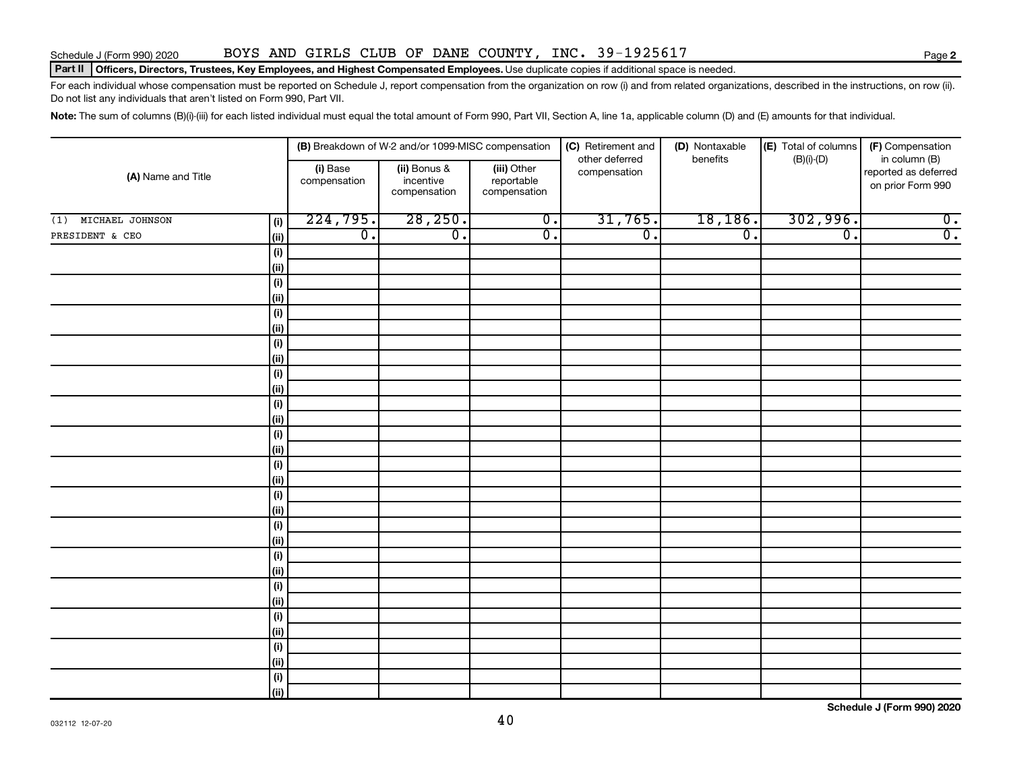#### Schedule J (Form 990) 2020 BOYS AND GIRLS CLUB OF DANE COUNTY, INC. 39-1925617

#### Part II | Officers, Directors, Trustees, Key Employees, and Highest Compensated Employees. Use duplicate copies if additional space is needed.

For each individual whose compensation must be reported on Schedule J, report compensation from the organization on row (i) and from related organizations, described in the instructions, on row (ii). Do not list any individuals that aren't listed on Form 990, Part VII.

Note: The sum of columns (B)(i)-(iii) for each listed individual must equal the total amount of Form 990, Part VII, Section A, line 1a, applicable column (D) and (E) amounts for that individual.

| (A) Name and Title  |             |                          | (B) Breakdown of W-2 and/or 1099-MISC compensation |                                           | (C) Retirement and<br>other deferred | (D) Nontaxable<br>benefits  | (E) Total of columns | (F) Compensation                                           |
|---------------------|-------------|--------------------------|----------------------------------------------------|-------------------------------------------|--------------------------------------|-----------------------------|----------------------|------------------------------------------------------------|
|                     |             | (i) Base<br>compensation | (ii) Bonus &<br>incentive<br>compensation          | (iii) Other<br>reportable<br>compensation | compensation                         |                             | $(B)(i)$ - $(D)$     | in column (B)<br>reported as deferred<br>on prior Form 990 |
| (1) MICHAEL JOHNSON | (i)         | 224,795.                 | 28, 250.                                           | $\overline{0}$ .                          | 31,765.                              | 18, 186.                    | 302,996.             | $\overline{0}$ .                                           |
| PRESIDENT & CEO     | <u>(ii)</u> | $\overline{0}$ .         | $\overline{\mathfrak{o}}$ .                        | $\overline{0}$ .                          | $\overline{0}$ .                     | $\overline{\mathfrak{o}}$ . | $\overline{0}$ .     | $\overline{0}$ .                                           |
|                     | (i)         |                          |                                                    |                                           |                                      |                             |                      |                                                            |
|                     | (ii)        |                          |                                                    |                                           |                                      |                             |                      |                                                            |
|                     | (i)         |                          |                                                    |                                           |                                      |                             |                      |                                                            |
|                     | <u>(ii)</u> |                          |                                                    |                                           |                                      |                             |                      |                                                            |
|                     | (i)         |                          |                                                    |                                           |                                      |                             |                      |                                                            |
|                     | <u>(ii)</u> |                          |                                                    |                                           |                                      |                             |                      |                                                            |
|                     | (i)         |                          |                                                    |                                           |                                      |                             |                      |                                                            |
|                     | (ii)        |                          |                                                    |                                           |                                      |                             |                      |                                                            |
|                     | (i)<br>(ii) |                          |                                                    |                                           |                                      |                             |                      |                                                            |
|                     | (i)         |                          |                                                    |                                           |                                      |                             |                      |                                                            |
|                     | (ii)        |                          |                                                    |                                           |                                      |                             |                      |                                                            |
|                     | (i)         |                          |                                                    |                                           |                                      |                             |                      |                                                            |
|                     | (ii)        |                          |                                                    |                                           |                                      |                             |                      |                                                            |
|                     | (i)         |                          |                                                    |                                           |                                      |                             |                      |                                                            |
|                     | (ii)        |                          |                                                    |                                           |                                      |                             |                      |                                                            |
|                     | (i)         |                          |                                                    |                                           |                                      |                             |                      |                                                            |
|                     | (ii)        |                          |                                                    |                                           |                                      |                             |                      |                                                            |
|                     | (i)         |                          |                                                    |                                           |                                      |                             |                      |                                                            |
|                     | (ii)        |                          |                                                    |                                           |                                      |                             |                      |                                                            |
|                     | (i)         |                          |                                                    |                                           |                                      |                             |                      |                                                            |
|                     | (ii)<br>(i) |                          |                                                    |                                           |                                      |                             |                      |                                                            |
|                     | (ii)        |                          |                                                    |                                           |                                      |                             |                      |                                                            |
|                     | (i)         |                          |                                                    |                                           |                                      |                             |                      |                                                            |
|                     | (ii)        |                          |                                                    |                                           |                                      |                             |                      |                                                            |
|                     | (i)         |                          |                                                    |                                           |                                      |                             |                      |                                                            |
|                     | (ii)        |                          |                                                    |                                           |                                      |                             |                      |                                                            |
|                     | (i)         |                          |                                                    |                                           |                                      |                             |                      |                                                            |
|                     | (ii)        |                          |                                                    |                                           |                                      |                             |                      |                                                            |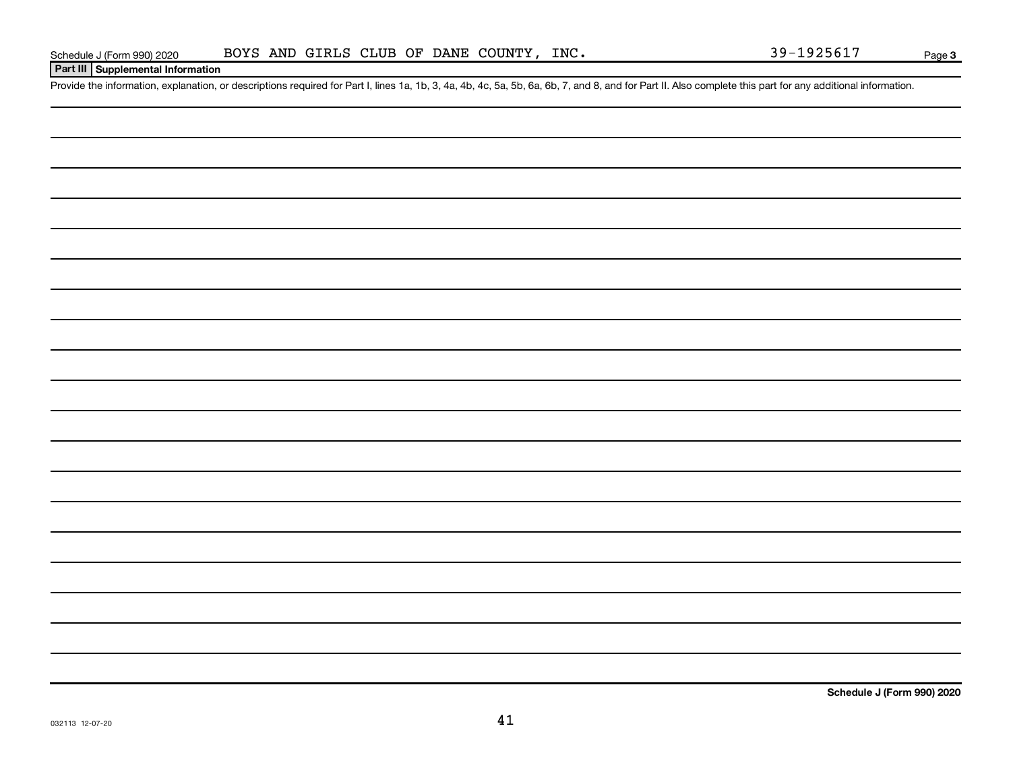#### **Part III Supplemental Information**

Provide the information, explanation, or descriptions required for Part I, lines 1a, 1b, 3, 4a, 4b, 4c, 5a, 5b, 6a, 6b, 7, and 8, and for Part II. Also complete this part for any additional information.

**Schedule J (Form 990) 2020**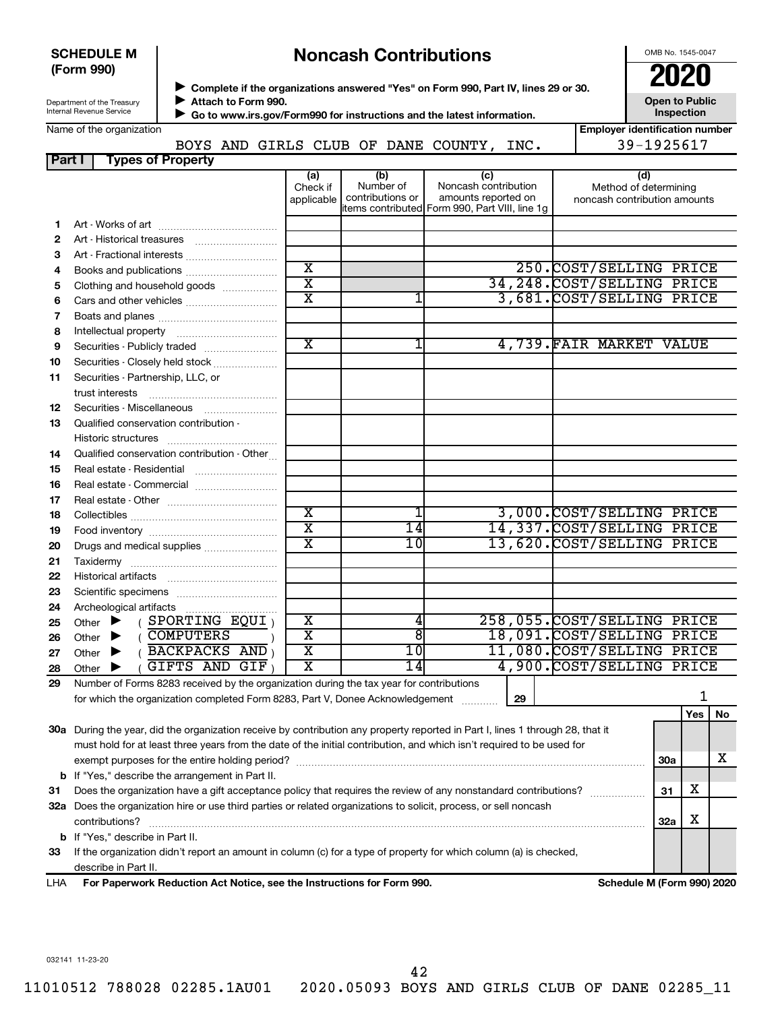#### **SCHEDULE M (Form 990)**

# **Noncash Contributions**

OMB No. 1545-0047

**Employer identification number**

| Department of the Treasury |
|----------------------------|
| Internal Revenue Service   |

◆ Complete if the organizations answered "Yes" on Form 990, Part IV, lines 29 or 30.<br>● Complete if the organizations answered "Yes" on Form 990, Part IV, lines 29 or 30. **Attach to Form 990.**  $\blacktriangleright$ 

 **Go to www.irs.gov/Form990 for instructions and the latest information.** J

**Open to Public Inspection**

| Name of the organization |
|--------------------------|
|--------------------------|

|        |                          |  |  | BOYS AND GIRLS CLUB OF DANE COUNTY, ? | INC. | 39-1925617 |
|--------|--------------------------|--|--|---------------------------------------|------|------------|
| Part I | <b>Types of Property</b> |  |  |                                       |      |            |

|    |                                                                                                                                                                           | (a)<br>Check if<br>applicable | (b)<br>Number of<br>contributions or                                                                                                                     | (c)<br>Noncash contribution<br>amounts reported on | (d)<br>Method of determining<br>noncash contribution amounts |                             |            |     |    |  |
|----|---------------------------------------------------------------------------------------------------------------------------------------------------------------------------|-------------------------------|----------------------------------------------------------------------------------------------------------------------------------------------------------|----------------------------------------------------|--------------------------------------------------------------|-----------------------------|------------|-----|----|--|
|    |                                                                                                                                                                           |                               |                                                                                                                                                          | items contributed Form 990, Part VIII, line 1g     |                                                              |                             |            |     |    |  |
| 1. |                                                                                                                                                                           |                               |                                                                                                                                                          |                                                    |                                                              |                             |            |     |    |  |
| 2  |                                                                                                                                                                           |                               |                                                                                                                                                          |                                                    |                                                              |                             |            |     |    |  |
| 3  | Art - Fractional interests                                                                                                                                                |                               |                                                                                                                                                          |                                                    |                                                              |                             |            |     |    |  |
| 4  |                                                                                                                                                                           | $\overline{\text{x}}$         |                                                                                                                                                          |                                                    |                                                              | 250. COST/SELLING PRICE     |            |     |    |  |
| 5  | Clothing and household goods                                                                                                                                              | $\overline{\mathtt{x}}$       |                                                                                                                                                          |                                                    |                                                              | 34, 248. COST/SELLING PRICE |            |     |    |  |
| 6  |                                                                                                                                                                           | $\overline{\text{x}}$         |                                                                                                                                                          |                                                    |                                                              | 3,681.COST/SELLING PRICE    |            |     |    |  |
| 7  |                                                                                                                                                                           |                               |                                                                                                                                                          |                                                    |                                                              |                             |            |     |    |  |
| 8  |                                                                                                                                                                           |                               |                                                                                                                                                          |                                                    |                                                              |                             |            |     |    |  |
| 9  |                                                                                                                                                                           | $\overline{\text{x}}$         |                                                                                                                                                          |                                                    |                                                              | 4,739. FAIR MARKET VALUE    |            |     |    |  |
| 10 | Securities - Closely held stock                                                                                                                                           |                               |                                                                                                                                                          |                                                    |                                                              |                             |            |     |    |  |
| 11 | Securities - Partnership, LLC, or                                                                                                                                         |                               |                                                                                                                                                          |                                                    |                                                              |                             |            |     |    |  |
|    |                                                                                                                                                                           |                               |                                                                                                                                                          |                                                    |                                                              |                             |            |     |    |  |
| 12 |                                                                                                                                                                           |                               |                                                                                                                                                          |                                                    |                                                              |                             |            |     |    |  |
| 13 | Qualified conservation contribution -                                                                                                                                     |                               |                                                                                                                                                          |                                                    |                                                              |                             |            |     |    |  |
|    |                                                                                                                                                                           |                               |                                                                                                                                                          |                                                    |                                                              |                             |            |     |    |  |
| 14 | Qualified conservation contribution - Other                                                                                                                               |                               |                                                                                                                                                          |                                                    |                                                              |                             |            |     |    |  |
| 15 | Real estate - Residential                                                                                                                                                 |                               |                                                                                                                                                          |                                                    |                                                              |                             |            |     |    |  |
| 16 |                                                                                                                                                                           |                               |                                                                                                                                                          |                                                    |                                                              |                             |            |     |    |  |
| 17 |                                                                                                                                                                           |                               |                                                                                                                                                          |                                                    |                                                              |                             |            |     |    |  |
| 18 | $\overline{\text{x}}$<br>3,000.COST/SELLING PRICE                                                                                                                         |                               |                                                                                                                                                          |                                                    |                                                              |                             |            |     |    |  |
| 19 | $\overline{\texttt{x}}$<br>14<br>14,337.COST/SELLING PRICE                                                                                                                |                               |                                                                                                                                                          |                                                    |                                                              |                             |            |     |    |  |
| 20 | Drugs and medical supplies                                                                                                                                                | $\overline{\text{x}}$         | 10                                                                                                                                                       |                                                    |                                                              | 13,620.COST/SELLING PRICE   |            |     |    |  |
| 21 |                                                                                                                                                                           |                               |                                                                                                                                                          |                                                    |                                                              |                             |            |     |    |  |
| 22 |                                                                                                                                                                           |                               |                                                                                                                                                          |                                                    |                                                              |                             |            |     |    |  |
| 23 |                                                                                                                                                                           |                               |                                                                                                                                                          |                                                    |                                                              |                             |            |     |    |  |
| 24 |                                                                                                                                                                           |                               |                                                                                                                                                          |                                                    |                                                              |                             |            |     |    |  |
| 25 | $($ SPORTING EQUI $)$<br>Other $\blacktriangleright$                                                                                                                      | $\overline{\textbf{x}}$       | 4                                                                                                                                                        |                                                    |                                                              | 258,055.COST/SELLING PRICE  |            |     |    |  |
| 26 | ( COMPUTERS<br>Other $\blacktriangleright$                                                                                                                                | $\overline{\textbf{x}}$       | ष्ठा                                                                                                                                                     |                                                    |                                                              | 18,091.COST/SELLING PRICE   |            |     |    |  |
| 27 | $($ BACKPACKS AND $)$<br>Other $\blacktriangleright$                                                                                                                      | $\overline{\mathtt{x}}$       | $10\,$                                                                                                                                                   |                                                    |                                                              | 11,080.COST/SELLING PRICE   |            |     |    |  |
| 28 | GIFTS AND GIF<br>Other $\blacktriangleright$                                                                                                                              | X                             | $\overline{14}$                                                                                                                                          |                                                    |                                                              | 4,900.COST/SELLING PRICE    |            |     |    |  |
| 29 | Number of Forms 8283 received by the organization during the tax year for contributions                                                                                   |                               |                                                                                                                                                          |                                                    |                                                              |                             |            |     |    |  |
|    | for which the organization completed Form 8283, Part V, Donee Acknowledgement                                                                                             |                               |                                                                                                                                                          |                                                    | 29                                                           |                             |            |     |    |  |
|    |                                                                                                                                                                           |                               |                                                                                                                                                          |                                                    |                                                              |                             |            |     |    |  |
|    | 30a During the year, did the organization receive by contribution any property reported in Part I, lines 1 through 28, that it                                            |                               |                                                                                                                                                          |                                                    |                                                              |                             |            | Yes | No |  |
|    | must hold for at least three years from the date of the initial contribution, and which isn't required to be used for                                                     |                               |                                                                                                                                                          |                                                    |                                                              |                             |            |     |    |  |
|    |                                                                                                                                                                           |                               |                                                                                                                                                          |                                                    |                                                              |                             | <b>30a</b> |     | x  |  |
|    | exempt purposes for the entire holding period?                                                                                                                            |                               |                                                                                                                                                          |                                                    |                                                              |                             |            |     |    |  |
|    | <b>b</b> If "Yes," describe the arrangement in Part II.<br>Does the organization have a gift acceptance policy that requires the review of any nonstandard contributions? |                               |                                                                                                                                                          |                                                    |                                                              |                             | 31         | х   |    |  |
| 31 |                                                                                                                                                                           |                               |                                                                                                                                                          |                                                    |                                                              |                             |            |     |    |  |
|    | 32a Does the organization hire or use third parties or related organizations to solicit, process, or sell noncash<br>contributions?                                       |                               |                                                                                                                                                          |                                                    |                                                              |                             | 32a        | х   |    |  |
|    | <b>b</b> If "Yes," describe in Part II.                                                                                                                                   |                               |                                                                                                                                                          |                                                    |                                                              |                             |            |     |    |  |
| 33 | If the organization didn't report an amount in column (c) for a type of property for which column (a) is checked,                                                         |                               |                                                                                                                                                          |                                                    |                                                              |                             |            |     |    |  |
|    | describe in Part II.                                                                                                                                                      |                               |                                                                                                                                                          |                                                    |                                                              |                             |            |     |    |  |
|    |                                                                                                                                                                           |                               | $\lambda$ of $\lambda$ of $\lambda$ of $\lambda$ of $\lambda$ of $\lambda$ of $\lambda$ of $\lambda$ of $\lambda$ of $\lambda$ of $\lambda$ of $\lambda$ |                                                    |                                                              |                             |            |     |    |  |

**For Paperwork Reduction Act Notice, see the Instructions for Form 990. Schedule M (Form 990) 2020** LHA

032141 11-23-20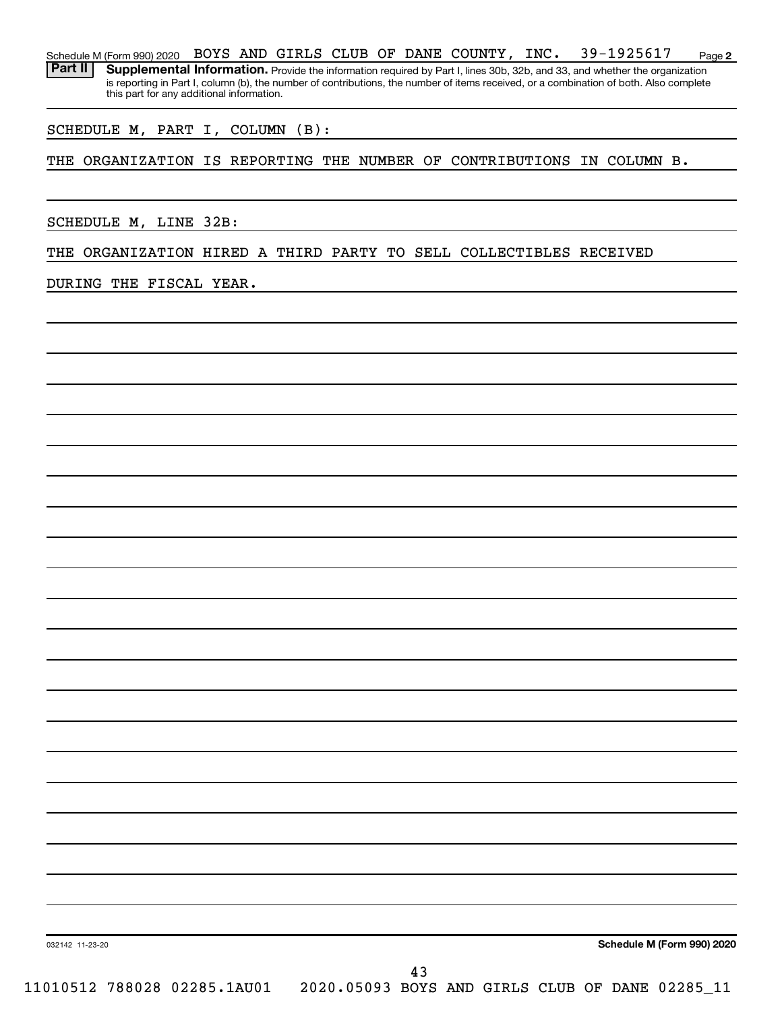**2** Schedule M (Form 990) 2020 BOYS AND GIRLS CLUB OF DANE COUNTY, INC.  $39-1925617$  Page Part II | Supplemental Information. Provide the information required by Part I, lines 30b, 32b, and 33, and whether the organization is reporting in Part I, column (b), the number of contributions, the number of items received, or a combination of both. Also complete this part for any additional information.

SCHEDULE M, PART I, COLUMN (B):

THE ORGANIZATION IS REPORTING THE NUMBER OF CONTRIBUTIONS IN COLUMN B.

SCHEDULE M, LINE 32B:

THE ORGANIZATION HIRED A THIRD PARTY TO SELL COLLECTIBLES RECEIVED

DURING THE FISCAL YEAR.

**Schedule M (Form 990) 2020**

032142 11-23-20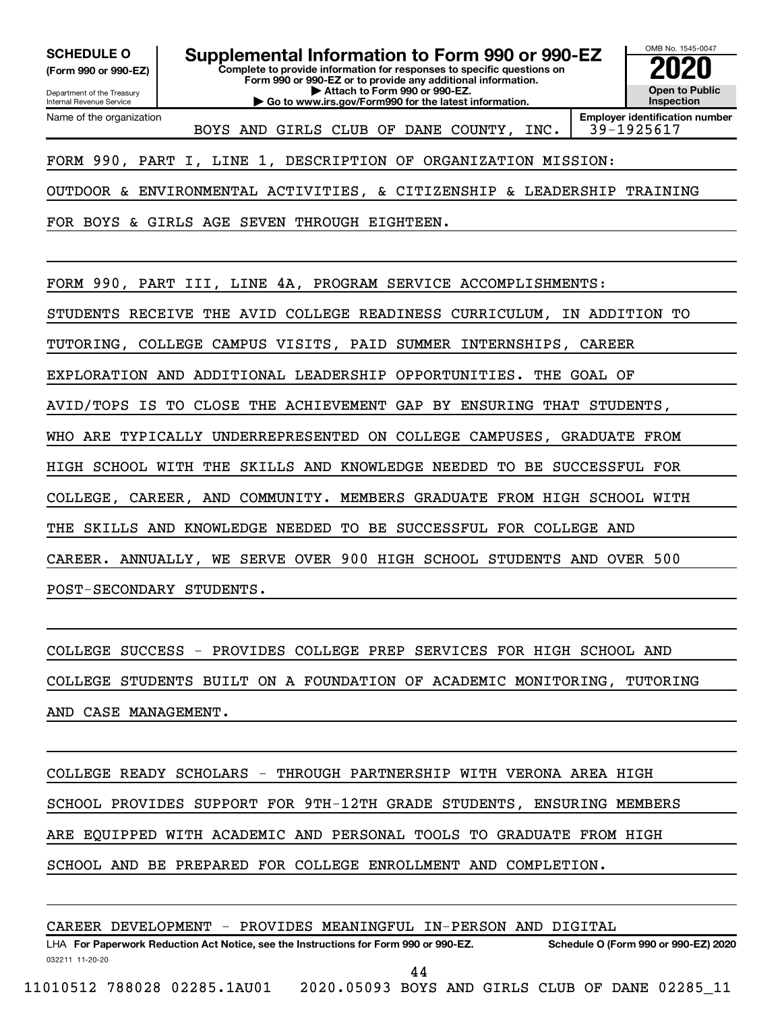Department of the Treasury **(Form 990 or 990-EZ)**

Name of the organization

Internal Revenue Service

**Complete to provide information for responses to specific questions on SCHEDULE O Supplemental Information to Form 990 or 990-EZ 2020**<br>(Form 990 or 990-EZ) Complete to provide information for responses to specific questions on

**Form 990 or 990-EZ or to provide any additional information. | Attach to Form 990 or 990-EZ. | Go to www.irs.gov/Form990 for the latest information.**



BOYS AND GIRLS CLUB OF DANE COUNTY, INC. 39-1925617

**Employer identification number**

FORM 990, PART I, LINE 1, DESCRIPTION OF ORGANIZATION MISSION:

OUTDOOR & ENVIRONMENTAL ACTIVITIES, & CITIZENSHIP & LEADERSHIP TRAINING

FOR BOYS & GIRLS AGE SEVEN THROUGH EIGHTEEN.

FORM 990, PART III, LINE 4A, PROGRAM SERVICE ACCOMPLISHMENTS:

STUDENTS RECEIVE THE AVID COLLEGE READINESS CURRICULUM, IN ADDITION TO

TUTORING, COLLEGE CAMPUS VISITS, PAID SUMMER INTERNSHIPS, CAREER

EXPLORATION AND ADDITIONAL LEADERSHIP OPPORTUNITIES. THE GOAL OF

AVID/TOPS IS TO CLOSE THE ACHIEVEMENT GAP BY ENSURING THAT STUDENTS,

WHO ARE TYPICALLY UNDERREPRESENTED ON COLLEGE CAMPUSES, GRADUATE FROM

HIGH SCHOOL WITH THE SKILLS AND KNOWLEDGE NEEDED TO BE SUCCESSFUL FOR

COLLEGE, CAREER, AND COMMUNITY. MEMBERS GRADUATE FROM HIGH SCHOOL WITH

THE SKILLS AND KNOWLEDGE NEEDED TO BE SUCCESSFUL FOR COLLEGE AND

CAREER. ANNUALLY, WE SERVE OVER 900 HIGH SCHOOL STUDENTS AND OVER 500

POST-SECONDARY STUDENTS.

COLLEGE SUCCESS - PROVIDES COLLEGE PREP SERVICES FOR HIGH SCHOOL AND

COLLEGE STUDENTS BUILT ON A FOUNDATION OF ACADEMIC MONITORING, TUTORING

AND CASE MANAGEMENT.

COLLEGE READY SCHOLARS - THROUGH PARTNERSHIP WITH VERONA AREA HIGH SCHOOL PROVIDES SUPPORT FOR 9TH-12TH GRADE STUDENTS, ENSURING MEMBERS ARE EQUIPPED WITH ACADEMIC AND PERSONAL TOOLS TO GRADUATE FROM HIGH SCHOOL AND BE PREPARED FOR COLLEGE ENROLLMENT AND COMPLETION.

CAREER DEVELOPMENT - PROVIDES MEANINGFUL IN-PERSON AND DIGITAL

032211 11-20-20 **For Paperwork Reduction Act Notice, see the Instructions for Form 990 or 990-EZ. Schedule O (Form 990 or 990-EZ) 2020** LHA 44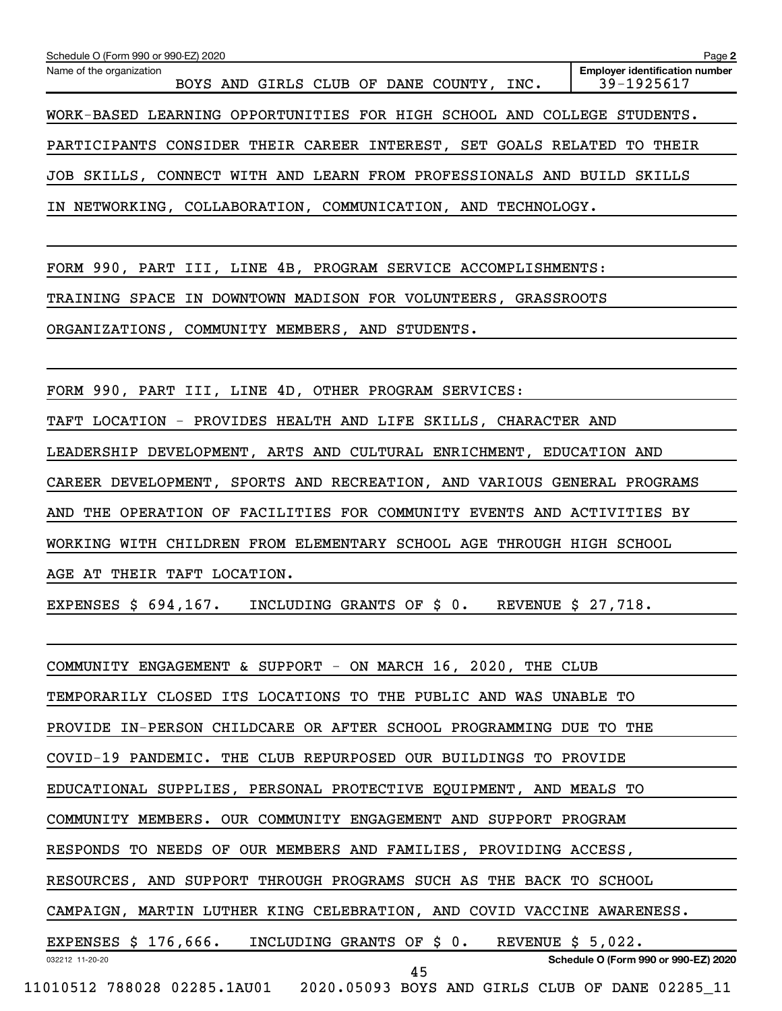| Schedule O (Form 990 or 990-EZ) 2020<br>Name of the organization<br>BOYS AND GIRLS CLUB OF DANE COUNTY, INC. | Page 2<br><b>Employer identification number</b><br>39-1925617 |  |  |  |  |  |
|--------------------------------------------------------------------------------------------------------------|---------------------------------------------------------------|--|--|--|--|--|
| WORK-BASED LEARNING OPPORTUNITIES FOR HIGH SCHOOL AND COLLEGE STUDENTS.                                      |                                                               |  |  |  |  |  |
| PARTICIPANTS CONSIDER THEIR CAREER INTEREST, SET GOALS RELATED TO THEIR                                      |                                                               |  |  |  |  |  |
| JOB SKILLS, CONNECT WITH AND LEARN FROM PROFESSIONALS AND BUILD SKILLS                                       |                                                               |  |  |  |  |  |
| IN NETWORKING, COLLABORATION, COMMUNICATION, AND TECHNOLOGY.                                                 |                                                               |  |  |  |  |  |
|                                                                                                              |                                                               |  |  |  |  |  |
| FORM 990, PART III, LINE 4B, PROGRAM SERVICE ACCOMPLISHMENTS:                                                |                                                               |  |  |  |  |  |
| TRAINING SPACE IN DOWNTOWN MADISON FOR VOLUNTEERS, GRASSROOTS                                                |                                                               |  |  |  |  |  |
| ORGANIZATIONS, COMMUNITY MEMBERS, AND STUDENTS.                                                              |                                                               |  |  |  |  |  |
|                                                                                                              |                                                               |  |  |  |  |  |
| FORM 990, PART III, LINE 4D, OTHER PROGRAM SERVICES:                                                         |                                                               |  |  |  |  |  |
| TAFT LOCATION - PROVIDES HEALTH AND LIFE SKILLS, CHARACTER AND                                               |                                                               |  |  |  |  |  |
| LEADERSHIP DEVELOPMENT, ARTS AND CULTURAL ENRICHMENT, EDUCATION AND                                          |                                                               |  |  |  |  |  |
| CAREER DEVELOPMENT, SPORTS AND RECREATION, AND VARIOUS GENERAL PROGRAMS                                      |                                                               |  |  |  |  |  |
| AND THE OPERATION OF FACILITIES FOR COMMUNITY EVENTS AND ACTIVITIES BY                                       |                                                               |  |  |  |  |  |
| WORKING WITH CHILDREN FROM ELEMENTARY SCHOOL AGE THROUGH HIGH SCHOOL                                         |                                                               |  |  |  |  |  |
| AGE AT THEIR TAFT LOCATION.                                                                                  |                                                               |  |  |  |  |  |
| EXPENSES \$ 694,167. INCLUDING GRANTS OF \$ 0. REVENUE \$ 27,718.                                            |                                                               |  |  |  |  |  |
|                                                                                                              |                                                               |  |  |  |  |  |
| COMMUNITY ENGAGEMENT & SUPPORT - ON MARCH 16, 2020, THE CLUB                                                 |                                                               |  |  |  |  |  |
| TEMPORARILY CLOSED ITS LOCATIONS TO THE PUBLIC AND WAS UNABLE TO                                             |                                                               |  |  |  |  |  |
| PROVIDE IN-PERSON CHILDCARE OR AFTER SCHOOL PROGRAMMING DUE TO THE                                           |                                                               |  |  |  |  |  |
| COVID-19 PANDEMIC. THE CLUB REPURPOSED OUR BUILDINGS TO PROVIDE                                              |                                                               |  |  |  |  |  |
| EDUCATIONAL SUPPLIES, PERSONAL PROTECTIVE EQUIPMENT, AND MEALS TO                                            |                                                               |  |  |  |  |  |
| COMMUNITY MEMBERS. OUR COMMUNITY ENGAGEMENT AND SUPPORT PROGRAM                                              |                                                               |  |  |  |  |  |
| RESPONDS TO NEEDS OF OUR MEMBERS AND FAMILIES, PROVIDING ACCESS,                                             |                                                               |  |  |  |  |  |

RESOURCES, AND SUPPORT THROUGH PROGRAMS SUCH AS THE BACK TO SCHOOL

CAMPAIGN, MARTIN LUTHER KING CELEBRATION, AND COVID VACCINE AWARENESS.

032212 11-20-20 EXPENSES \$ 176,666. INCLUDING GRANTS OF \$ 0. REVENUE \$ 5,022.

**Schedule O (Form 990 or 990-EZ) 2020**

 <sup>45</sup>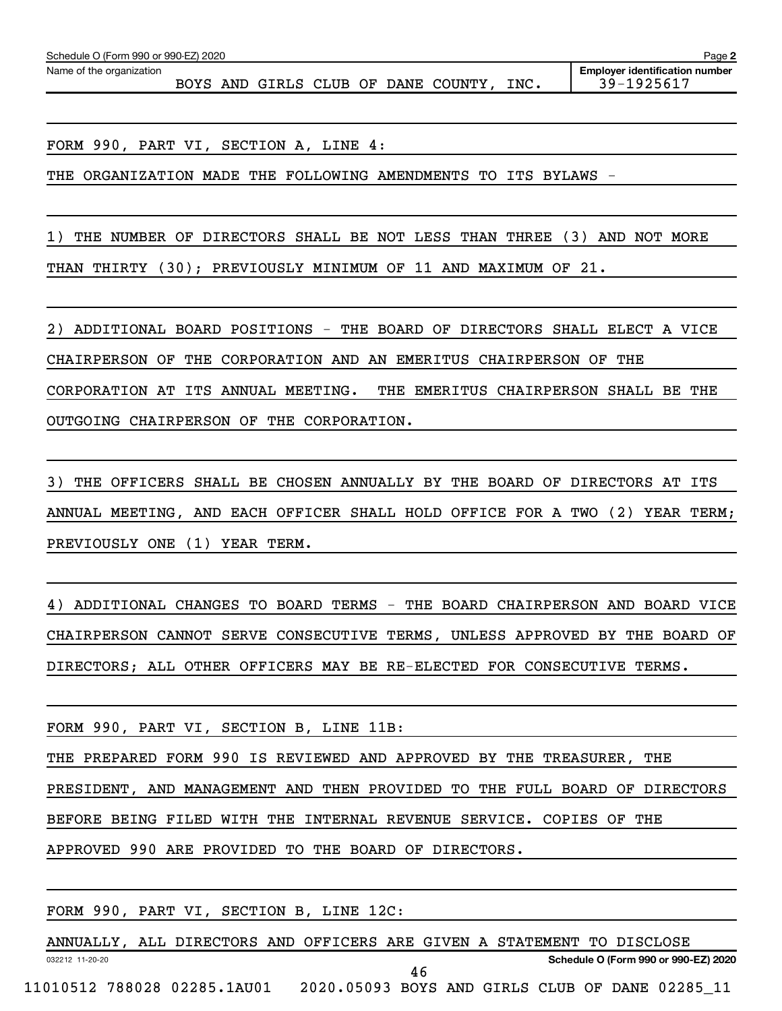Name of the organization

BOYS AND GIRLS CLUB OF DANE COUNTY, INC. 39-1925617

FORM 990, PART VI, SECTION A, LINE 4:

THE ORGANIZATION MADE THE FOLLOWING AMENDMENTS TO ITS BYLAWS -

1) THE NUMBER OF DIRECTORS SHALL BE NOT LESS THAN THREE (3) AND NOT MORE THAN THIRTY (30); PREVIOUSLY MINIMUM OF 11 AND MAXIMUM OF 21.

2) ADDITIONAL BOARD POSITIONS - THE BOARD OF DIRECTORS SHALL ELECT A VICE CHAIRPERSON OF THE CORPORATION AND AN EMERITUS CHAIRPERSON OF THE CORPORATION AT ITS ANNUAL MEETING. THE EMERITUS CHAIRPERSON SHALL BE THE OUTGOING CHAIRPERSON OF THE CORPORATION.

3) THE OFFICERS SHALL BE CHOSEN ANNUALLY BY THE BOARD OF DIRECTORS AT ITS ANNUAL MEETING, AND EACH OFFICER SHALL HOLD OFFICE FOR A TWO (2) YEAR TERM; PREVIOUSLY ONE (1) YEAR TERM.

4) ADDITIONAL CHANGES TO BOARD TERMS - THE BOARD CHAIRPERSON AND BOARD VICE CHAIRPERSON CANNOT SERVE CONSECUTIVE TERMS, UNLESS APPROVED BY THE BOARD OF DIRECTORS; ALL OTHER OFFICERS MAY BE RE-ELECTED FOR CONSECUTIVE TERMS.

FORM 990, PART VI, SECTION B, LINE 11B:

THE PREPARED FORM 990 IS REVIEWED AND APPROVED BY THE TREASURER, THE

PRESIDENT, AND MANAGEMENT AND THEN PROVIDED TO THE FULL BOARD OF DIRECTORS

BEFORE BEING FILED WITH THE INTERNAL REVENUE SERVICE. COPIES OF THE

APPROVED 990 ARE PROVIDED TO THE BOARD OF DIRECTORS.

FORM 990, PART VI, SECTION B, LINE 12C:

032212 11-20-20 **Schedule O (Form 990 or 990-EZ) 2020** ANNUALLY, ALL DIRECTORS AND OFFICERS ARE GIVEN A STATEMENT TO DISCLOSE 11010512 788028 02285.1AU01 2020.05093 BOYS AND GIRLS CLUB OF DANE 02285\_11 46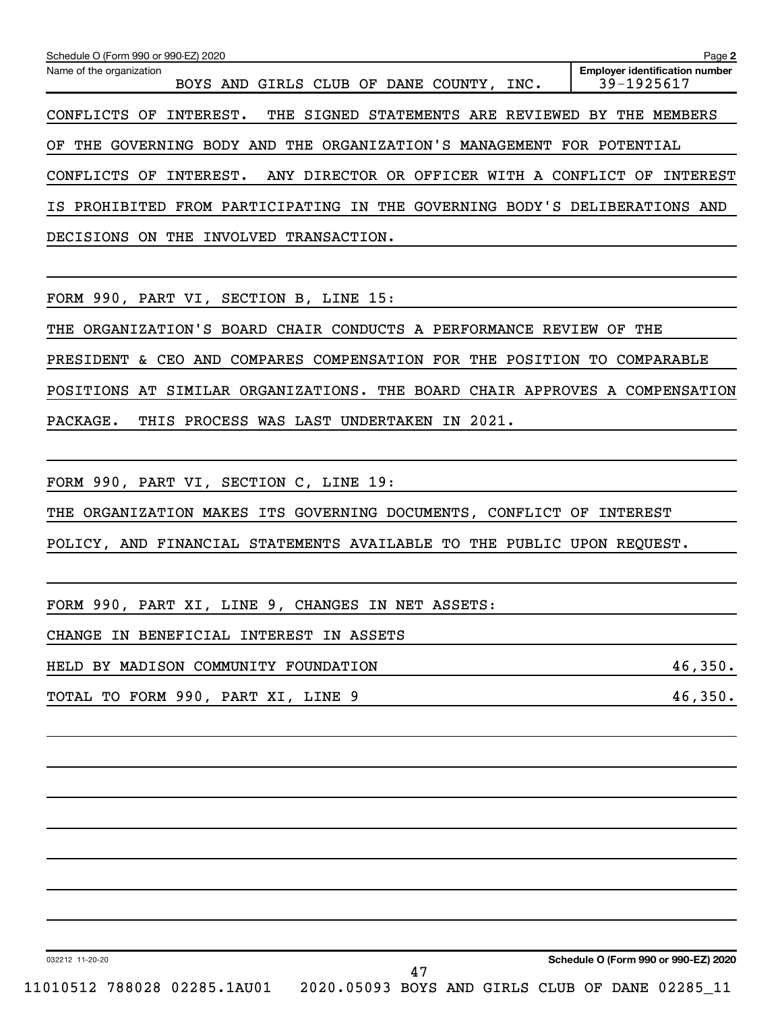| Schedule O (Form 990 or 990-EZ) 2020<br>Page 2                                 |                                                     |  |  |  |  |  |
|--------------------------------------------------------------------------------|-----------------------------------------------------|--|--|--|--|--|
| Name of the organization<br>BOYS AND GIRLS CLUB OF DANE COUNTY,<br>INC.        | <b>Employer identification number</b><br>39-1925617 |  |  |  |  |  |
| THE SIGNED STATEMENTS ARE REVIEWED BY THE MEMBERS<br>INTEREST.<br>CONFLICTS OF |                                                     |  |  |  |  |  |
| THE ORGANIZATION'S MANAGEMENT FOR POTENTIAL<br>GOVERNING BODY AND<br>OF<br>THE |                                                     |  |  |  |  |  |
| ANY DIRECTOR OR OFFICER<br>WITH A CONFLICT OF<br>INTEREST.<br>CONFLICTS<br>OF  | INTEREST                                            |  |  |  |  |  |
| IS PROHIBITED FROM PARTICIPATING IN THE GOVERNING BODY'S DELIBERATIONS AND     |                                                     |  |  |  |  |  |
| TRANSACTION.<br>DECISIONS<br>INVOLVED<br>THE<br>ON.                            |                                                     |  |  |  |  |  |

FORM 990, PART VI, SECTION B, LINE 15:

THE ORGANIZATION'S BOARD CHAIR CONDUCTS A PERFORMANCE REVIEW OF THE PRESIDENT & CEO AND COMPARES COMPENSATION FOR THE POSITION TO COMPARABLE POSITIONS AT SIMILAR ORGANIZATIONS. THE BOARD CHAIR APPROVES A COMPENSATION PACKAGE. THIS PROCESS WAS LAST UNDERTAKEN IN 2021.

FORM 990, PART VI, SECTION C, LINE 19:

THE ORGANIZATION MAKES ITS GOVERNING DOCUMENTS, CONFLICT OF INTEREST

POLICY, AND FINANCIAL STATEMENTS AVAILABLE TO THE PUBLIC UPON REQUEST.

FORM 990, PART XI, LINE 9, CHANGES IN NET ASSETS:

CHANGE IN BENEFICIAL INTEREST IN ASSETS

HELD BY MADISON COMMUNITY FOUNDATION 46,350.

TOTAL TO FORM 990, PART XI, LINE 9 46,350.

032212 11-20-20

**Schedule O (Form 990 or 990-EZ) 2020**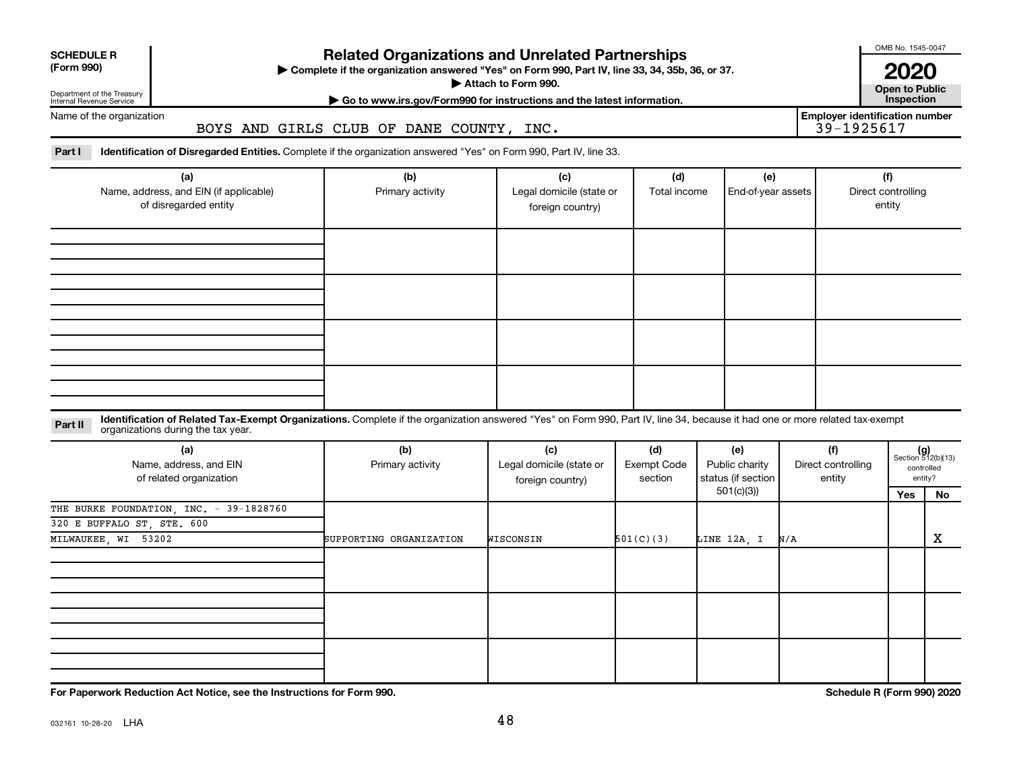# Department of the Treasury

# **Related Organizations and Unrelated Partnerships**

**(Form 990) Complete if the organization answered "Yes" on Form 990, Part IV, line 33, 34, 35b, 36, or 37.** |

■ Attach to Form 990. **Dependent of Attach to Form 990.** Open to Public

**| Go to www.irs.gov/Form990 for instructions and the latest information. Inspection**

**2020**<br>Open to Public

OMB No. 1545-0047

Internal Revenue Service Name of the organization

BOYS AND GIRLS CLUB OF DANE COUNTY, INC.

**Employer identification number**

Part I ldentification of Disregarded Entities. Complete if the organization answered "Yes" on Form 990, Part IV, line 33.

| (a)<br>Name, address, and EIN (if applicable)<br>of disregarded entity | (b)<br>Primary activity | (c)<br>Legal domicile (state or<br>foreign country) | (d)<br>Total income | (e)<br>End-of-year assets | (f)<br>Direct controlling<br>entity |
|------------------------------------------------------------------------|-------------------------|-----------------------------------------------------|---------------------|---------------------------|-------------------------------------|
|                                                                        |                         |                                                     |                     |                           |                                     |
|                                                                        |                         |                                                     |                     |                           |                                     |
|                                                                        |                         |                                                     |                     |                           |                                     |
|                                                                        |                         |                                                     |                     |                           |                                     |

#### **Part II** Identification of Related Tax-Exempt Organizations. Complete if the organization answered "Yes" on Form 990, Part IV, line 34, because it had one or more related tax-exempt<br>Part II acconizations during the tax ye organizations during the tax year.

| (a)<br>Name, address, and EIN<br>of related organization | (b)<br>Primary activity | (c)<br>Legal domicile (state or<br>foreign country) | (d)<br>Exempt Code<br>section | (e)<br>Public charity<br>status (if section | (f)<br>Direct controlling<br>entity |     | $(g)$<br>Section 512(b)(13)<br>controlled<br>entity? |
|----------------------------------------------------------|-------------------------|-----------------------------------------------------|-------------------------------|---------------------------------------------|-------------------------------------|-----|------------------------------------------------------|
|                                                          |                         |                                                     |                               | 501(c)(3))                                  |                                     | Yes | No                                                   |
| THE BURKE FOUNDATION, INC. - 39-1828760                  |                         |                                                     |                               |                                             |                                     |     |                                                      |
| 320 E BUFFALO ST, STE. 600                               |                         |                                                     |                               |                                             |                                     |     |                                                      |
| MILWAUKEE, WI 53202                                      | SUPPORTING ORGANIZATION | WISCONSIN                                           | 501(C)(3)                     | LINE 12A, I                                 | N/A                                 |     | X                                                    |
|                                                          |                         |                                                     |                               |                                             |                                     |     |                                                      |
|                                                          |                         |                                                     |                               |                                             |                                     |     |                                                      |
|                                                          |                         |                                                     |                               |                                             |                                     |     |                                                      |

**For Paperwork Reduction Act Notice, see the Instructions for Form 990. Schedule R (Form 990) 2020**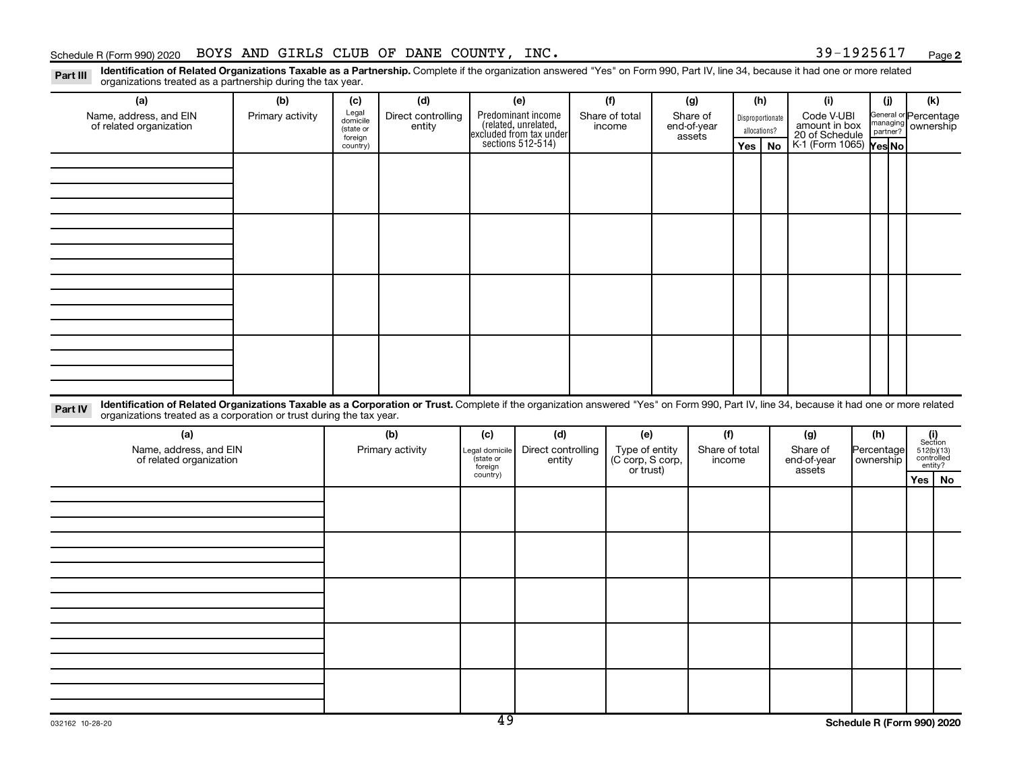#### Schedule R (Form 990) 2020 BOYS AND GIRLS CLUB OF DANE COUNTY, INC.  $39-1925617$  Page

**2**

Part III Identification of Related Organizations Taxable as a Partnership. Complete if the organization answered "Yes" on Form 990, Part IV, line 34, because it had one or more related<br>Read to the organizations tracted as organizations treated as a partnership during the tax year.

| Organizations treated as a partnership during the tax year.                                                                                                                                                                                                                 |                  |                                                                                       |                  |                     |                                              |                                    |                |     |              |                                               |            |                                              |  |
|-----------------------------------------------------------------------------------------------------------------------------------------------------------------------------------------------------------------------------------------------------------------------------|------------------|---------------------------------------------------------------------------------------|------------------|---------------------|----------------------------------------------|------------------------------------|----------------|-----|--------------|-----------------------------------------------|------------|----------------------------------------------|--|
| (a)                                                                                                                                                                                                                                                                         | (b)              | (c)                                                                                   | (d)              |                     | (e)                                          | (f)                                | (g)            |     | (h)          | (i)                                           | (i)        | (k)                                          |  |
| Name, address, and EIN                                                                                                                                                                                                                                                      | Primary activity | Legal<br>Direct controlling<br>Predominant income<br>(related, unrelated,<br>domicile |                  | Share of total      | Share of                                     | Disproportionate                   |                |     |              | General or Percentage                         |            |                                              |  |
| of related organization                                                                                                                                                                                                                                                     |                  | (state or                                                                             | entity           |                     |                                              | income                             | end-of-year    |     | allocations? | Code V-UBI<br>amount in box<br>20 of Schedule |            | managing ownership                           |  |
|                                                                                                                                                                                                                                                                             |                  | foreign<br>country)                                                                   |                  |                     | excluded from tax under<br>sections 512-514) |                                    | assets         | Yes | No           | K-1 (Form 1065) Yes No                        |            |                                              |  |
|                                                                                                                                                                                                                                                                             |                  |                                                                                       |                  |                     |                                              |                                    |                |     |              |                                               |            |                                              |  |
|                                                                                                                                                                                                                                                                             |                  |                                                                                       |                  |                     |                                              |                                    |                |     |              |                                               |            |                                              |  |
|                                                                                                                                                                                                                                                                             |                  |                                                                                       |                  |                     |                                              |                                    |                |     |              |                                               |            |                                              |  |
|                                                                                                                                                                                                                                                                             |                  |                                                                                       |                  |                     |                                              |                                    |                |     |              |                                               |            |                                              |  |
|                                                                                                                                                                                                                                                                             |                  |                                                                                       |                  |                     |                                              |                                    |                |     |              |                                               |            |                                              |  |
|                                                                                                                                                                                                                                                                             |                  |                                                                                       |                  |                     |                                              |                                    |                |     |              |                                               |            |                                              |  |
|                                                                                                                                                                                                                                                                             |                  |                                                                                       |                  |                     |                                              |                                    |                |     |              |                                               |            |                                              |  |
|                                                                                                                                                                                                                                                                             |                  |                                                                                       |                  |                     |                                              |                                    |                |     |              |                                               |            |                                              |  |
|                                                                                                                                                                                                                                                                             |                  |                                                                                       |                  |                     |                                              |                                    |                |     |              |                                               |            |                                              |  |
|                                                                                                                                                                                                                                                                             |                  |                                                                                       |                  |                     |                                              |                                    |                |     |              |                                               |            |                                              |  |
|                                                                                                                                                                                                                                                                             |                  |                                                                                       |                  |                     |                                              |                                    |                |     |              |                                               |            |                                              |  |
|                                                                                                                                                                                                                                                                             |                  |                                                                                       |                  |                     |                                              |                                    |                |     |              |                                               |            |                                              |  |
|                                                                                                                                                                                                                                                                             |                  |                                                                                       |                  |                     |                                              |                                    |                |     |              |                                               |            |                                              |  |
|                                                                                                                                                                                                                                                                             |                  |                                                                                       |                  |                     |                                              |                                    |                |     |              |                                               |            |                                              |  |
|                                                                                                                                                                                                                                                                             |                  |                                                                                       |                  |                     |                                              |                                    |                |     |              |                                               |            |                                              |  |
|                                                                                                                                                                                                                                                                             |                  |                                                                                       |                  |                     |                                              |                                    |                |     |              |                                               |            |                                              |  |
|                                                                                                                                                                                                                                                                             |                  |                                                                                       |                  |                     |                                              |                                    |                |     |              |                                               |            |                                              |  |
| Identification of Related Organizations Taxable as a Corporation or Trust. Complete if the organization answered "Yes" on Form 990, Part IV, line 34, because it had one or more related<br>Part IV<br>organizations treated as a corporation or trust during the tax year. |                  |                                                                                       |                  |                     |                                              |                                    |                |     |              |                                               |            |                                              |  |
| (a)                                                                                                                                                                                                                                                                         |                  |                                                                                       | (b)              | (c)                 | (d)                                          | (e)                                | (f)            |     |              | (g)                                           | (h)        |                                              |  |
| Name, address, and EIN                                                                                                                                                                                                                                                      |                  |                                                                                       | Primary activity | egal domicile       | Direct controlling                           |                                    | Share of total |     |              | Share of                                      | Percentage | $(i)$<br>Section<br>512(b)(13)<br>controlled |  |
| of related organization                                                                                                                                                                                                                                                     |                  |                                                                                       |                  | state or            | entity                                       | Type of entity<br>(C corp, S corp, | income         |     |              | end-of-year                                   | ownership  | entity?                                      |  |
|                                                                                                                                                                                                                                                                             |                  |                                                                                       |                  | foreign<br>country) |                                              | or trust)                          |                |     |              | assets                                        |            | Yes   $No$                                   |  |
|                                                                                                                                                                                                                                                                             |                  |                                                                                       |                  |                     |                                              |                                    |                |     |              |                                               |            |                                              |  |
|                                                                                                                                                                                                                                                                             |                  |                                                                                       |                  |                     |                                              |                                    |                |     |              |                                               |            |                                              |  |
|                                                                                                                                                                                                                                                                             |                  |                                                                                       |                  |                     |                                              |                                    |                |     |              |                                               |            |                                              |  |
|                                                                                                                                                                                                                                                                             |                  |                                                                                       |                  |                     |                                              |                                    |                |     |              |                                               |            |                                              |  |
|                                                                                                                                                                                                                                                                             |                  |                                                                                       |                  |                     |                                              |                                    |                |     |              |                                               |            |                                              |  |
|                                                                                                                                                                                                                                                                             |                  |                                                                                       |                  |                     |                                              |                                    |                |     |              |                                               |            |                                              |  |
|                                                                                                                                                                                                                                                                             |                  |                                                                                       |                  |                     |                                              |                                    |                |     |              |                                               |            |                                              |  |
|                                                                                                                                                                                                                                                                             |                  |                                                                                       |                  |                     |                                              |                                    |                |     |              |                                               |            |                                              |  |
|                                                                                                                                                                                                                                                                             |                  |                                                                                       |                  |                     |                                              |                                    |                |     |              |                                               |            |                                              |  |
|                                                                                                                                                                                                                                                                             |                  |                                                                                       |                  |                     |                                              |                                    |                |     |              |                                               |            |                                              |  |
|                                                                                                                                                                                                                                                                             |                  |                                                                                       |                  |                     |                                              |                                    |                |     |              |                                               |            |                                              |  |
|                                                                                                                                                                                                                                                                             |                  |                                                                                       |                  |                     |                                              |                                    |                |     |              |                                               |            |                                              |  |
|                                                                                                                                                                                                                                                                             |                  |                                                                                       |                  |                     |                                              |                                    |                |     |              |                                               |            |                                              |  |
|                                                                                                                                                                                                                                                                             |                  |                                                                                       |                  |                     |                                              |                                    |                |     |              |                                               |            |                                              |  |
|                                                                                                                                                                                                                                                                             |                  |                                                                                       |                  |                     |                                              |                                    |                |     |              |                                               |            |                                              |  |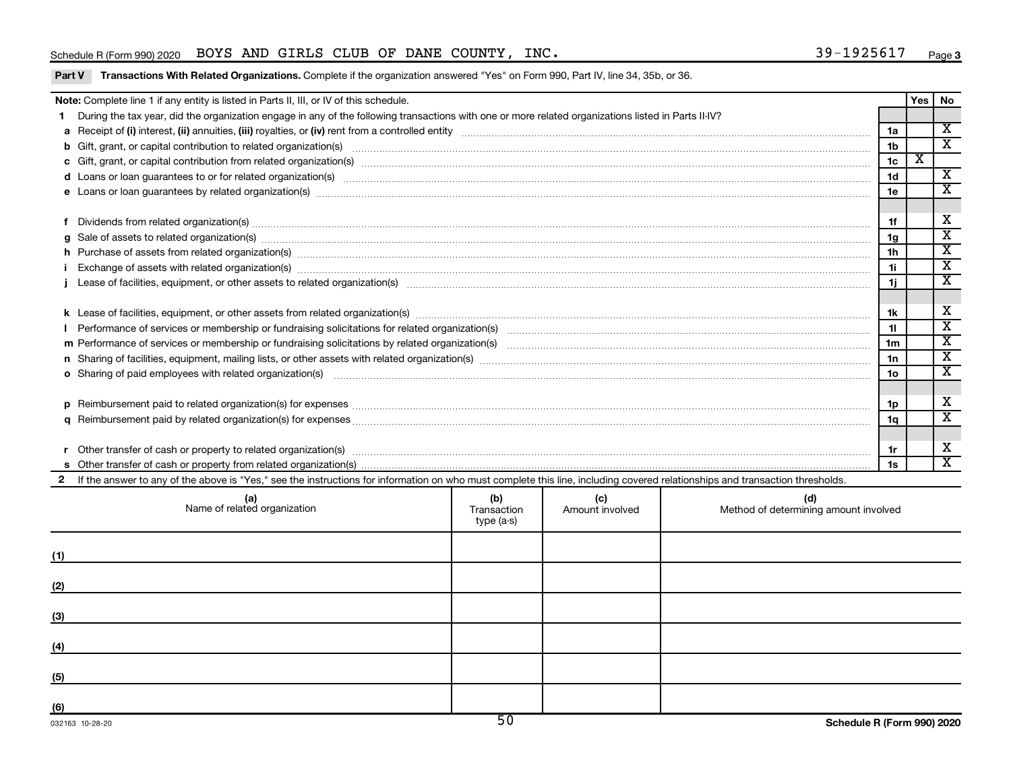#### Schedule R (Form 990) 2020 BOYS AND GIRLS CLUB OF DANE COUNTY, INC.  $39-1925617$  Page

Part V Transactions With Related Organizations. Complete if the organization answered "Yes" on Form 990, Part IV, line 34, 35b, or 36.

|          | Note: Complete line 1 if any entity is listed in Parts II, III, or IV of this schedule.                                                                                                                                        |                | Yes | <b>No</b>                   |
|----------|--------------------------------------------------------------------------------------------------------------------------------------------------------------------------------------------------------------------------------|----------------|-----|-----------------------------|
|          | During the tax year, did the organization engage in any of the following transactions with one or more related organizations listed in Parts II-IV?                                                                            |                |     |                             |
|          |                                                                                                                                                                                                                                | 1a             |     | $\mathbf x$                 |
|          | b Gift, grant, or capital contribution to related organization(s) material contracts and contribution to related organization(s) material contribution of the contribution to related organization(s) material contribution of | 1 <sub>b</sub> |     | $\overline{\mathbf{x}}$     |
|          | c Gift, grant, or capital contribution from related organization(s) manufaction(s) and contained a substitution of the set of the set of the set of the set of the set of the set of the set of the set of the set of the set  | 1 <sub>c</sub> | х   |                             |
|          | d Loans or loan guarantees to or for related organization(s) www.communities.com/www.communities.com/www.communities-                                                                                                          | 1 <sub>d</sub> |     | $\overline{\mathbf{x}}$     |
|          | e Loans or loan guarantees by related organization(s) material content content to content the content of the content of the content of the content of the content of the content of the content of the content of the content  | 1e             |     | $\overline{\textnormal{x}}$ |
|          |                                                                                                                                                                                                                                |                |     |                             |
|          | Dividends from related organization(s) material content and content and content and content and content and content and content and content and content and content and content and content and content and content and conten | 1f             |     | X                           |
| a        | Sale of assets to related organization(s) www.assettion.com/www.assettion.com/www.assettion.com/www.assettion.com/www.assettion.com/www.assettion.com/www.assettion.com/www.assettion.com/www.assettion.com/www.assettion.com/ | 1g             |     | $\overline{\texttt{x}}$     |
|          | h Purchase of assets from related organization(s) manufactured manufactured manufactured manufactured manufactured manufactured manufactured manufactured manufactured manufactured manufactured manufactured manufactured man | 1 <sub>h</sub> |     | $\overline{\mathbf{x}}$     |
|          | Exchange of assets with related organization(s) www.wallen.com/www.wallen.com/www.wallen.com/www.wallen.com/www.wallen.com/www.wallen.com/www.wallen.com/www.wallen.com/www.wallen.com/www.wallen.com/www.wallen.com/www.walle | 1i.            |     | $\overline{\textnormal{x}}$ |
|          |                                                                                                                                                                                                                                | 1j             |     | $\overline{\textbf{X}}$     |
|          |                                                                                                                                                                                                                                |                |     |                             |
|          |                                                                                                                                                                                                                                | 1k             |     | х                           |
|          |                                                                                                                                                                                                                                | 11             |     | $\overline{\mathbf{x}}$     |
|          |                                                                                                                                                                                                                                | 1 <sub>m</sub> |     | $\overline{\textnormal{x}}$ |
|          |                                                                                                                                                                                                                                | 1n             |     | $\overline{\mathbf{x}}$     |
|          | o Sharing of paid employees with related organization(s) manufactured content to the content of the state of the content of the content of the content of the content of the content of the content of the content of the cont | 1o             |     | $\overline{\textnormal{x}}$ |
|          |                                                                                                                                                                                                                                |                |     |                             |
| <b>D</b> | Reimbursement paid to related organization(s) for expenses [11111] Research Manuscript Reimbursement paid to related organization(s) for expenses [11111] [1111] Reimbursement manuscript Reimbursement paid to related organi | 1p             |     | X                           |
|          |                                                                                                                                                                                                                                | 1a             |     | $\overline{\textnormal{x}}$ |
|          |                                                                                                                                                                                                                                |                |     |                             |
|          | Other transfer of cash or property to related organization(s) material contents and content to the content of the content of the content of the content of the content of the content of the content of the content of the con | 1r             |     | X                           |
|          |                                                                                                                                                                                                                                | 1s             |     | $\overline{\mathbf{x}}$     |
|          | If the answer to any of the above is "Yes," see the instructions for information on who must complete this line, including covered relationships and transaction thresholds.                                                   |                |     |                             |

|     | (a)<br>Name of related organization | (b)<br>Transaction<br>type (a-s) | (c)<br>Amount involved | (d)<br>Method of determining amount involved |
|-----|-------------------------------------|----------------------------------|------------------------|----------------------------------------------|
| (1) |                                     |                                  |                        |                                              |
| (2) |                                     |                                  |                        |                                              |
| (3) |                                     |                                  |                        |                                              |
| (4) |                                     |                                  |                        |                                              |
| (5) |                                     |                                  |                        |                                              |
| (6) |                                     | $F \cup$                         |                        |                                              |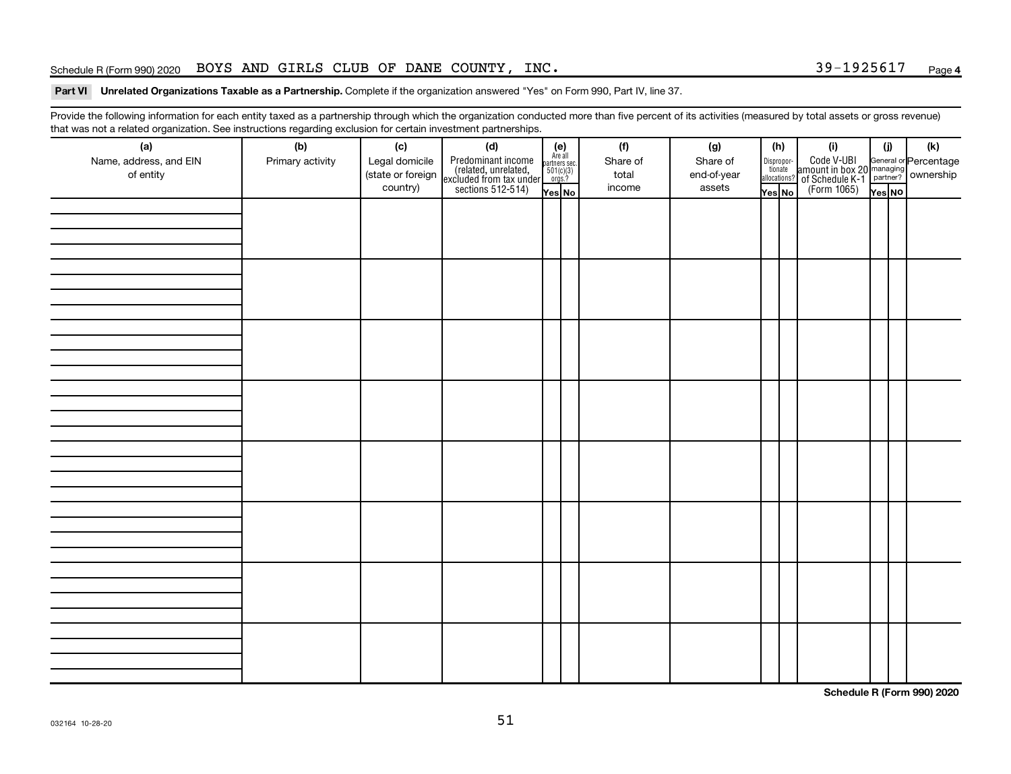#### Schedule R (Form 990) 2020 BOYS AND GIRLS CLUB OF DANE COUNTY, INC.  $39-1925617$  Page

#### Part VI Unrelated Organizations Taxable as a Partnership. Complete if the organization answered "Yes" on Form 990, Part IV, line 37.

Provide the following information for each entity taxed as a partnership through which the organization conducted more than five percent of its activities (measured by total assets or gross revenue) that was not a related organization. See instructions regarding exclusion for certain investment partnerships.

| (a)                    | (b)              | (c)               | .<br>. . <b>. . . .</b> .<br>(d)                                                           |                                                              |  | (f)      | (g)         |  | (h)                   | (i)                                                                                                | (i)    | $(\mathsf{k})$ |
|------------------------|------------------|-------------------|--------------------------------------------------------------------------------------------|--------------------------------------------------------------|--|----------|-------------|--|-----------------------|----------------------------------------------------------------------------------------------------|--------|----------------|
| Name, address, and EIN | Primary activity | Legal domicile    |                                                                                            | (e)<br>Are all<br>partners sec.<br>$\frac{501(c)(3)}{0rgs?}$ |  | Share of | Share of    |  |                       |                                                                                                    |        |                |
| of entity              |                  | (state or foreign |                                                                                            |                                                              |  | total    | end-of-year |  | Dispropor-<br>tionate |                                                                                                    |        |                |
|                        |                  | country)          | Predominant income<br>(related, unrelated,<br>excluded from tax under<br>sections 512-514) |                                                              |  | income   | assets      |  | allocations?          | Code V-UBI<br>amount in box 20 managing<br>of Schedule K-1<br>(Form 1065)<br>$\overline{V}$ ves No |        |                |
|                        |                  |                   |                                                                                            | Yes No                                                       |  |          |             |  | Yes  No               |                                                                                                    | Yes NO |                |
|                        |                  |                   |                                                                                            |                                                              |  |          |             |  |                       |                                                                                                    |        |                |
|                        |                  |                   |                                                                                            |                                                              |  |          |             |  |                       |                                                                                                    |        |                |
|                        |                  |                   |                                                                                            |                                                              |  |          |             |  |                       |                                                                                                    |        |                |
|                        |                  |                   |                                                                                            |                                                              |  |          |             |  |                       |                                                                                                    |        |                |
|                        |                  |                   |                                                                                            |                                                              |  |          |             |  |                       |                                                                                                    |        |                |
|                        |                  |                   |                                                                                            |                                                              |  |          |             |  |                       |                                                                                                    |        |                |
|                        |                  |                   |                                                                                            |                                                              |  |          |             |  |                       |                                                                                                    |        |                |
|                        |                  |                   |                                                                                            |                                                              |  |          |             |  |                       |                                                                                                    |        |                |
|                        |                  |                   |                                                                                            |                                                              |  |          |             |  |                       |                                                                                                    |        |                |
|                        |                  |                   |                                                                                            |                                                              |  |          |             |  |                       |                                                                                                    |        |                |
|                        |                  |                   |                                                                                            |                                                              |  |          |             |  |                       |                                                                                                    |        |                |
|                        |                  |                   |                                                                                            |                                                              |  |          |             |  |                       |                                                                                                    |        |                |
|                        |                  |                   |                                                                                            |                                                              |  |          |             |  |                       |                                                                                                    |        |                |
|                        |                  |                   |                                                                                            |                                                              |  |          |             |  |                       |                                                                                                    |        |                |
|                        |                  |                   |                                                                                            |                                                              |  |          |             |  |                       |                                                                                                    |        |                |
|                        |                  |                   |                                                                                            |                                                              |  |          |             |  |                       |                                                                                                    |        |                |
|                        |                  |                   |                                                                                            |                                                              |  |          |             |  |                       |                                                                                                    |        |                |
|                        |                  |                   |                                                                                            |                                                              |  |          |             |  |                       |                                                                                                    |        |                |
|                        |                  |                   |                                                                                            |                                                              |  |          |             |  |                       |                                                                                                    |        |                |
|                        |                  |                   |                                                                                            |                                                              |  |          |             |  |                       |                                                                                                    |        |                |
|                        |                  |                   |                                                                                            |                                                              |  |          |             |  |                       |                                                                                                    |        |                |
|                        |                  |                   |                                                                                            |                                                              |  |          |             |  |                       |                                                                                                    |        |                |
|                        |                  |                   |                                                                                            |                                                              |  |          |             |  |                       |                                                                                                    |        |                |
|                        |                  |                   |                                                                                            |                                                              |  |          |             |  |                       |                                                                                                    |        |                |
|                        |                  |                   |                                                                                            |                                                              |  |          |             |  |                       |                                                                                                    |        |                |
|                        |                  |                   |                                                                                            |                                                              |  |          |             |  |                       |                                                                                                    |        |                |
|                        |                  |                   |                                                                                            |                                                              |  |          |             |  |                       |                                                                                                    |        |                |
|                        |                  |                   |                                                                                            |                                                              |  |          |             |  |                       |                                                                                                    |        |                |
|                        |                  |                   |                                                                                            |                                                              |  |          |             |  |                       |                                                                                                    |        |                |
|                        |                  |                   |                                                                                            |                                                              |  |          |             |  |                       |                                                                                                    |        |                |
|                        |                  |                   |                                                                                            |                                                              |  |          |             |  |                       |                                                                                                    |        |                |
|                        |                  |                   |                                                                                            |                                                              |  |          |             |  |                       |                                                                                                    |        |                |
|                        |                  |                   |                                                                                            |                                                              |  |          |             |  |                       |                                                                                                    |        |                |
|                        |                  |                   |                                                                                            |                                                              |  |          |             |  |                       |                                                                                                    |        |                |
|                        |                  |                   |                                                                                            |                                                              |  |          |             |  |                       |                                                                                                    |        |                |

**Schedule R (Form 990) 2020**